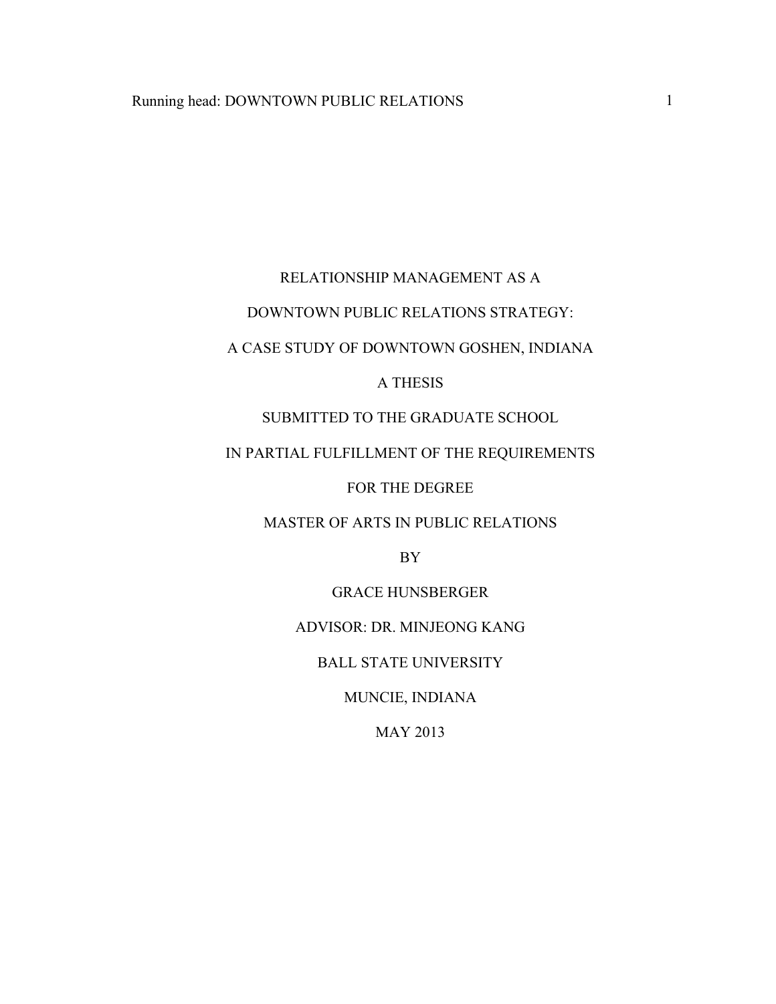## RELATIONSHIP MANAGEMENT AS A

### DOWNTOWN PUBLIC RELATIONS STRATEGY:

## A CASE STUDY OF DOWNTOWN GOSHEN, INDIANA

#### A THESIS

## SUBMITTED TO THE GRADUATE SCHOOL

## IN PARTIAL FULFILLMENT OF THE REQUIREMENTS

#### FOR THE DEGREE

#### MASTER OF ARTS IN PUBLIC RELATIONS

BY

### GRACE HUNSBERGER

## ADVISOR: DR. MINJEONG KANG

#### BALL STATE UNIVERSITY

## MUNCIE, INDIANA

## MAY 2013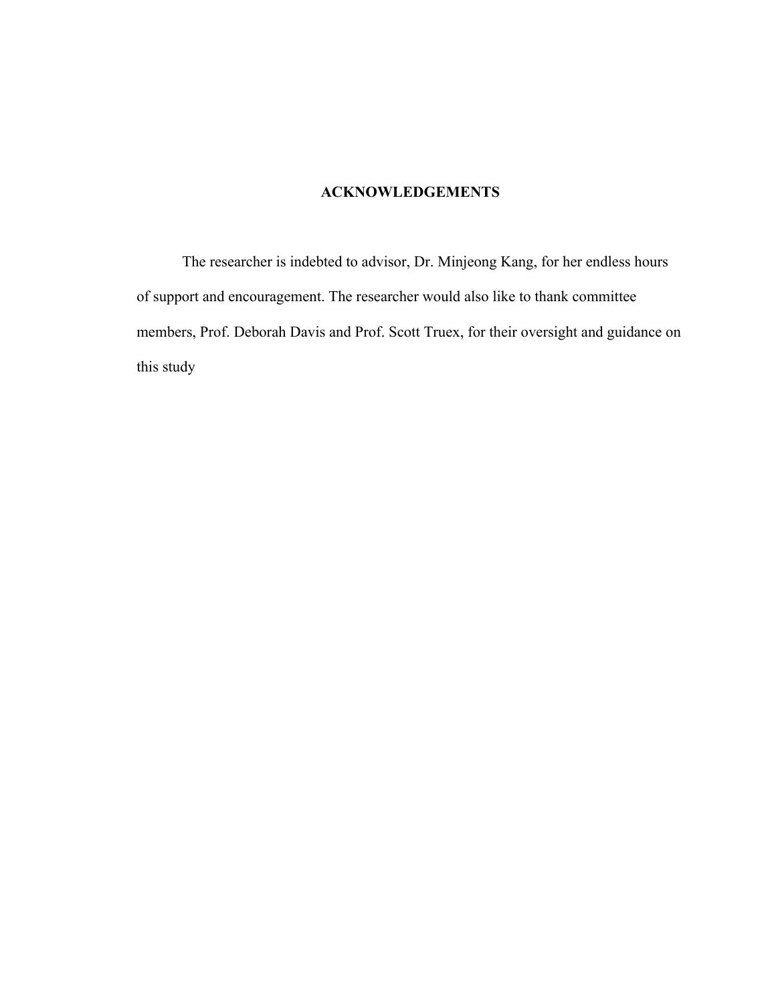## **ACKNOWLEDGEMENTS**

The researcher is indebted to advisor, Dr. Minjeong Kang, for her endless hours of support and encouragement. The researcher would also like to thank committee members, Prof. Deborah Davis and Prof. Scott Truex, for their oversight and guidance on this study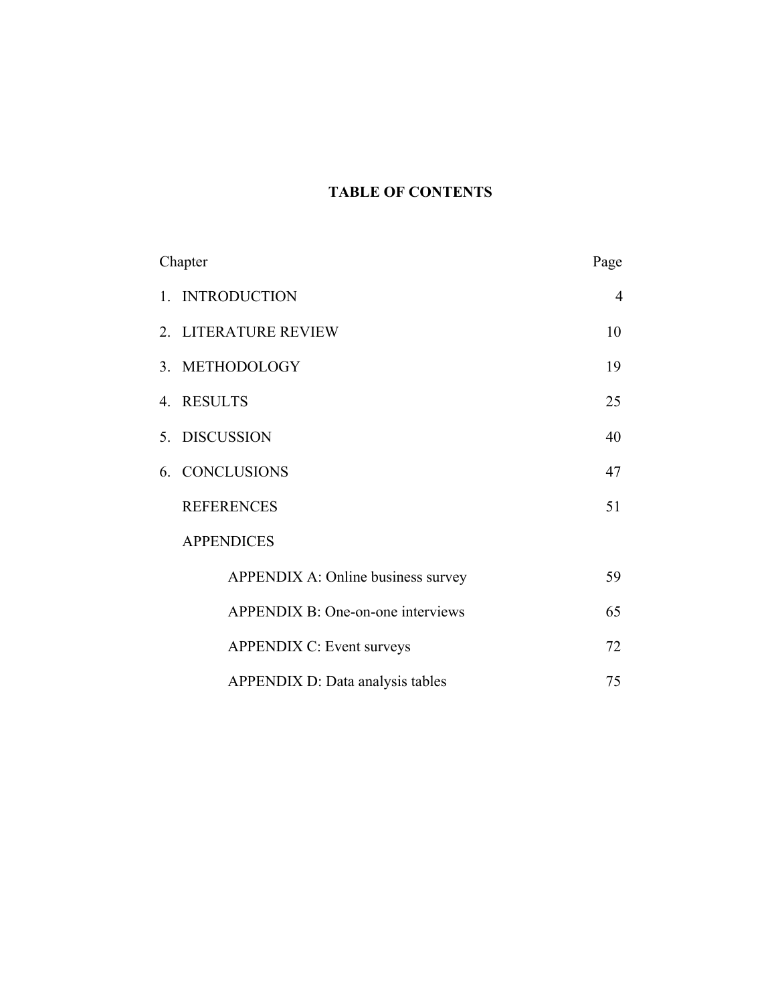## **TABLE OF CONTENTS**

| Chapter |                                         | Page |
|---------|-----------------------------------------|------|
|         | 1. INTRODUCTION                         | 4    |
|         | 2. LITERATURE REVIEW                    | 10   |
|         | 3. METHODOLOGY                          | 19   |
|         | 4. RESULTS                              | 25   |
|         | 5. DISCUSSION                           | 40   |
|         | 6. CONCLUSIONS                          | 47   |
|         | <b>REFERENCES</b>                       | 51   |
|         | <b>APPENDICES</b>                       |      |
|         | APPENDIX A: Online business survey      | 59   |
|         | APPENDIX B: One-on-one interviews       | 65   |
|         | <b>APPENDIX C: Event surveys</b>        | 72   |
|         | <b>APPENDIX D: Data analysis tables</b> | 75   |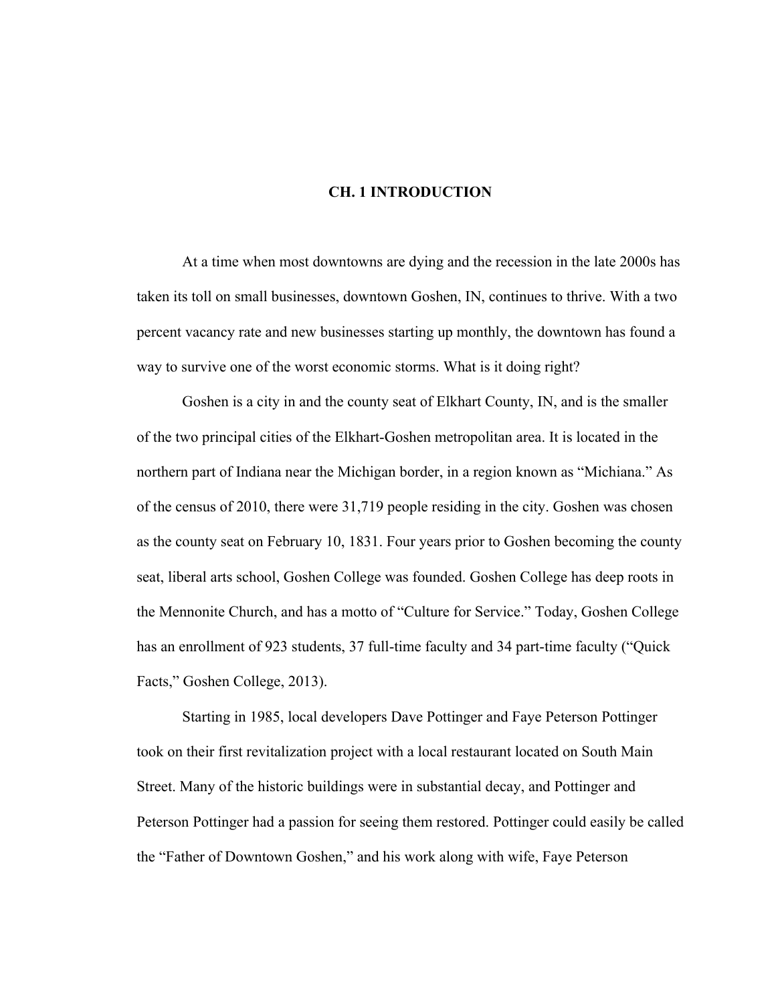#### **CH. 1 INTRODUCTION**

At a time when most downtowns are dying and the recession in the late 2000s has taken its toll on small businesses, downtown Goshen, IN, continues to thrive. With a two percent vacancy rate and new businesses starting up monthly, the downtown has found a way to survive one of the worst economic storms. What is it doing right?

Goshen is a city in and the county seat of Elkhart County, IN, and is the smaller of the two principal cities of the Elkhart-Goshen metropolitan area. It is located in the northern part of Indiana near the Michigan border, in a region known as "Michiana." As of the census of 2010, there were 31,719 people residing in the city. Goshen was chosen as the county seat on February 10, 1831. Four years prior to Goshen becoming the county seat, liberal arts school, Goshen College was founded. Goshen College has deep roots in the Mennonite Church, and has a motto of "Culture for Service." Today, Goshen College has an enrollment of 923 students, 37 full-time faculty and 34 part-time faculty ("Quick Facts," Goshen College, 2013).

Starting in 1985, local developers Dave Pottinger and Faye Peterson Pottinger took on their first revitalization project with a local restaurant located on South Main Street. Many of the historic buildings were in substantial decay, and Pottinger and Peterson Pottinger had a passion for seeing them restored. Pottinger could easily be called the "Father of Downtown Goshen," and his work along with wife, Faye Peterson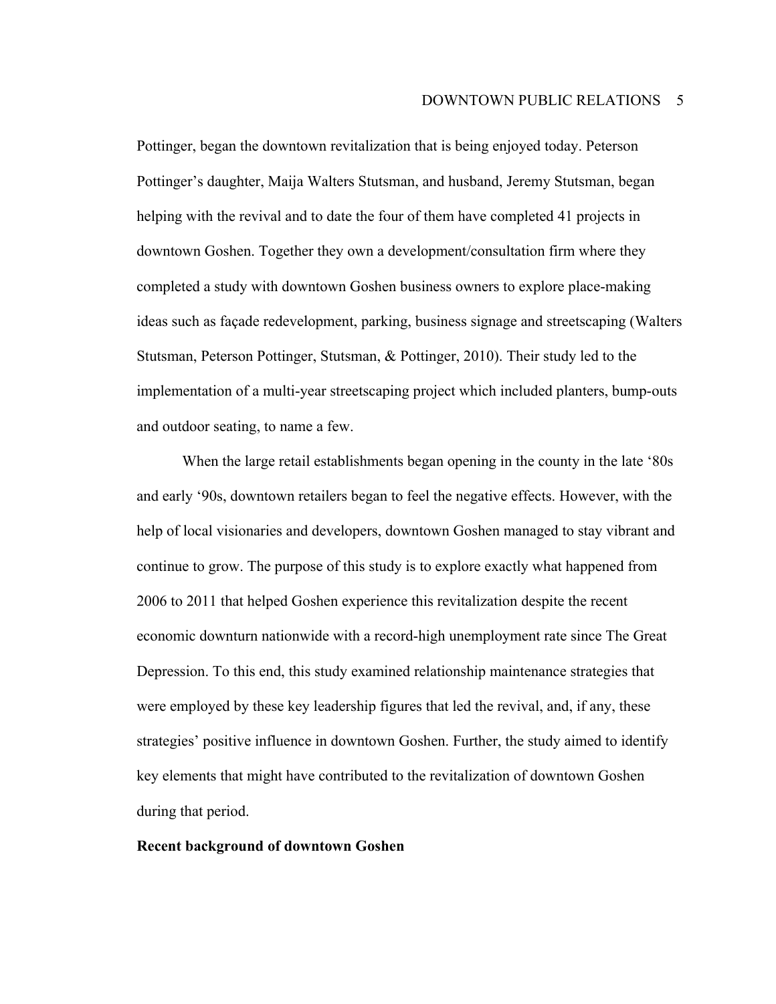Pottinger, began the downtown revitalization that is being enjoyed today. Peterson Pottinger's daughter, Maija Walters Stutsman, and husband, Jeremy Stutsman, began helping with the revival and to date the four of them have completed 41 projects in downtown Goshen. Together they own a development/consultation firm where they completed a study with downtown Goshen business owners to explore place-making ideas such as façade redevelopment, parking, business signage and streetscaping (Walters Stutsman, Peterson Pottinger, Stutsman, & Pottinger, 2010). Their study led to the implementation of a multi-year streetscaping project which included planters, bump-outs and outdoor seating, to name a few.

When the large retail establishments began opening in the county in the late '80s and early '90s, downtown retailers began to feel the negative effects. However, with the help of local visionaries and developers, downtown Goshen managed to stay vibrant and continue to grow. The purpose of this study is to explore exactly what happened from 2006 to 2011 that helped Goshen experience this revitalization despite the recent economic downturn nationwide with a record-high unemployment rate since The Great Depression. To this end, this study examined relationship maintenance strategies that were employed by these key leadership figures that led the revival, and, if any, these strategies' positive influence in downtown Goshen. Further, the study aimed to identify key elements that might have contributed to the revitalization of downtown Goshen during that period.

#### **Recent background of downtown Goshen**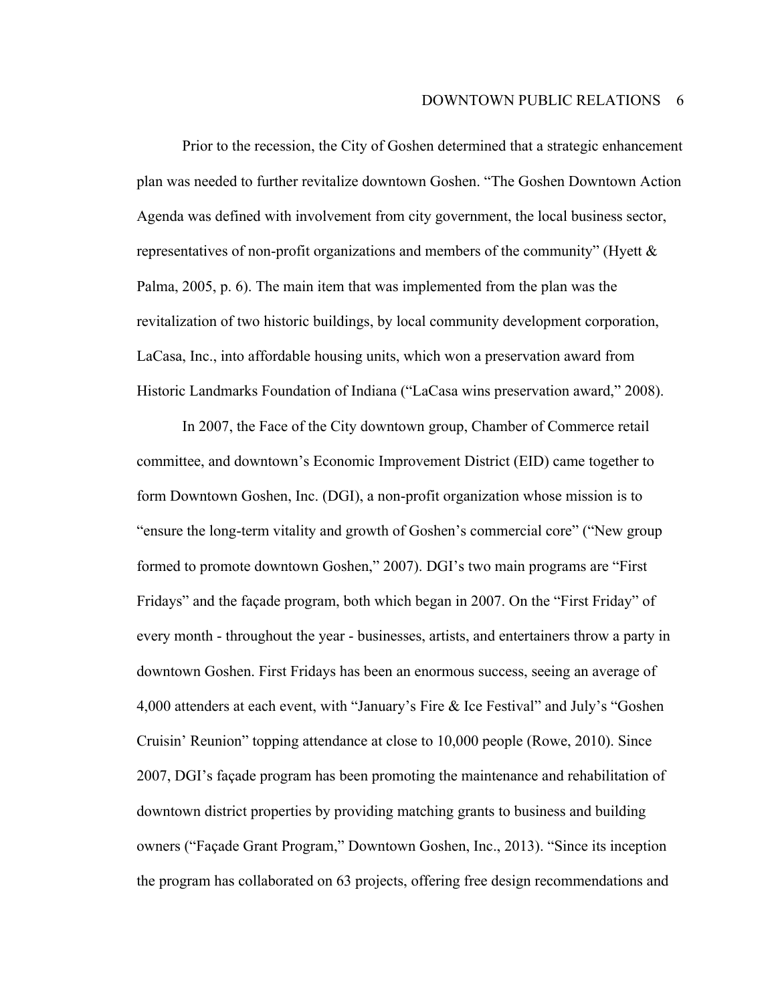Prior to the recession, the City of Goshen determined that a strategic enhancement plan was needed to further revitalize downtown Goshen. "The Goshen Downtown Action Agenda was defined with involvement from city government, the local business sector, representatives of non-profit organizations and members of the community" (Hyett & Palma, 2005, p. 6). The main item that was implemented from the plan was the revitalization of two historic buildings, by local community development corporation, LaCasa, Inc., into affordable housing units, which won a preservation award from Historic Landmarks Foundation of Indiana ("LaCasa wins preservation award," 2008).

In 2007, the Face of the City downtown group, Chamber of Commerce retail committee, and downtown's Economic Improvement District (EID) came together to form Downtown Goshen, Inc. (DGI), a non-profit organization whose mission is to "ensure the long-term vitality and growth of Goshen's commercial core" ("New group formed to promote downtown Goshen," 2007). DGI's two main programs are "First Fridays" and the façade program, both which began in 2007. On the "First Friday" of every month - throughout the year - businesses, artists, and entertainers throw a party in downtown Goshen. First Fridays has been an enormous success, seeing an average of 4,000 attenders at each event, with "January's Fire & Ice Festival" and July's "Goshen Cruisin' Reunion" topping attendance at close to 10,000 people (Rowe, 2010). Since 2007, DGI's façade program has been promoting the maintenance and rehabilitation of downtown district properties by providing matching grants to business and building owners ("Façade Grant Program," Downtown Goshen, Inc., 2013). "Since its inception the program has collaborated on 63 projects, offering free design recommendations and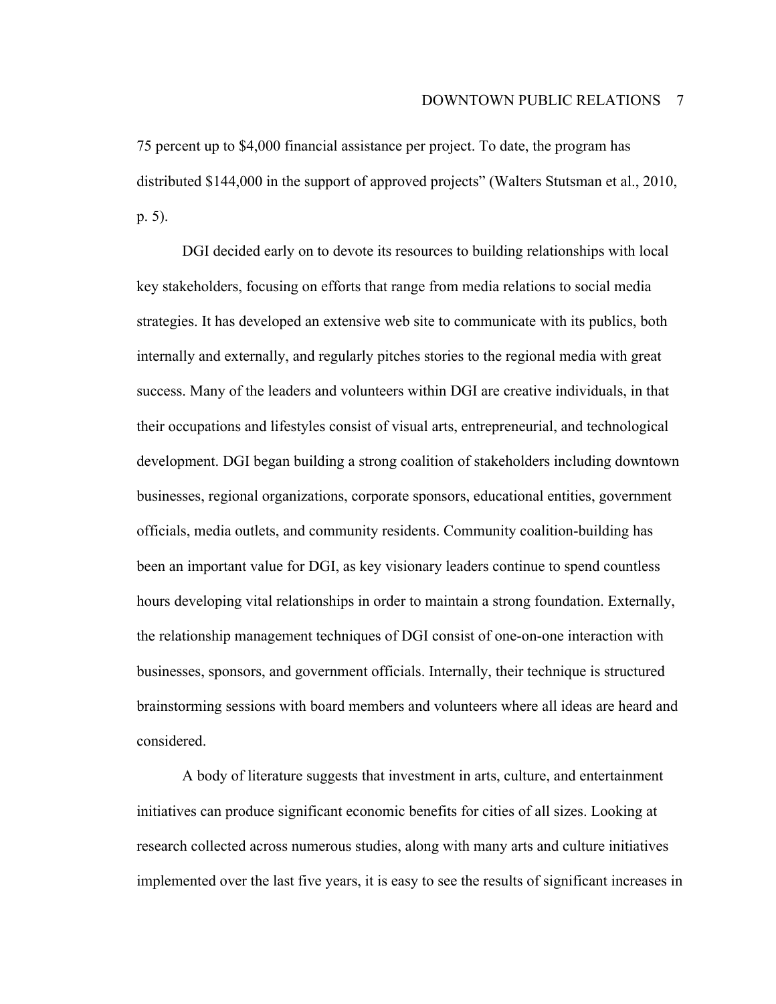75 percent up to \$4,000 financial assistance per project. To date, the program has distributed \$144,000 in the support of approved projects" (Walters Stutsman et al., 2010, p. 5).

DGI decided early on to devote its resources to building relationships with local key stakeholders, focusing on efforts that range from media relations to social media strategies. It has developed an extensive web site to communicate with its publics, both internally and externally, and regularly pitches stories to the regional media with great success. Many of the leaders and volunteers within DGI are creative individuals, in that their occupations and lifestyles consist of visual arts, entrepreneurial, and technological development. DGI began building a strong coalition of stakeholders including downtown businesses, regional organizations, corporate sponsors, educational entities, government officials, media outlets, and community residents. Community coalition-building has been an important value for DGI, as key visionary leaders continue to spend countless hours developing vital relationships in order to maintain a strong foundation. Externally, the relationship management techniques of DGI consist of one-on-one interaction with businesses, sponsors, and government officials. Internally, their technique is structured brainstorming sessions with board members and volunteers where all ideas are heard and considered.

A body of literature suggests that investment in arts, culture, and entertainment initiatives can produce significant economic benefits for cities of all sizes. Looking at research collected across numerous studies, along with many arts and culture initiatives implemented over the last five years, it is easy to see the results of significant increases in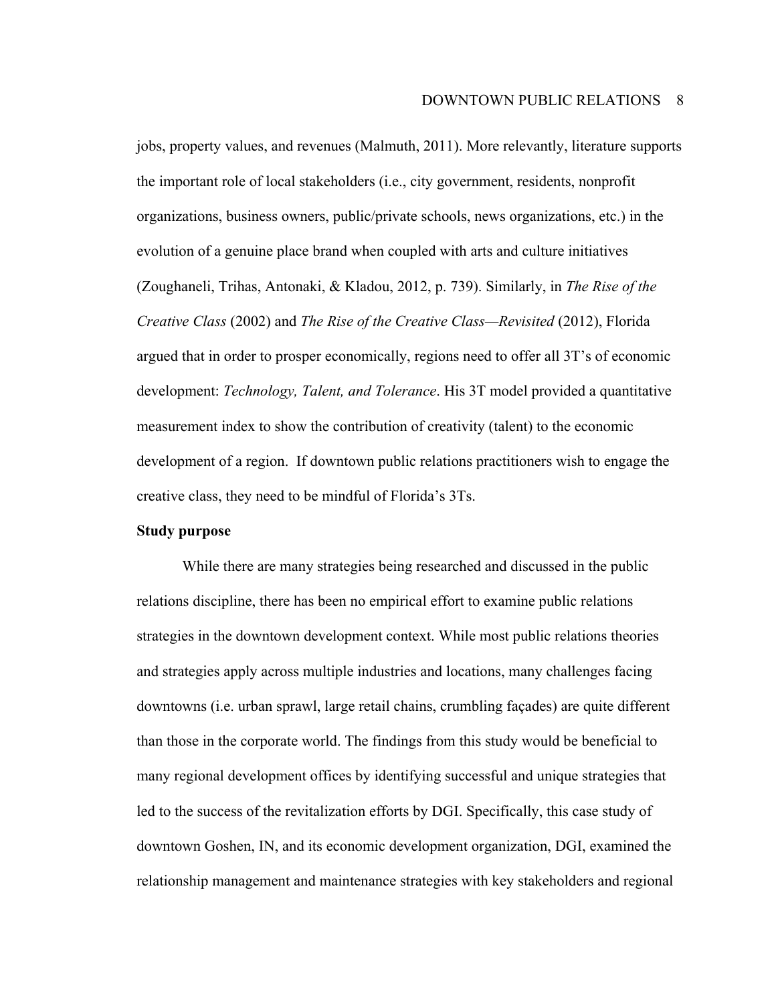jobs, property values, and revenues (Malmuth, 2011). More relevantly, literature supports the important role of local stakeholders (i.e., city government, residents, nonprofit organizations, business owners, public/private schools, news organizations, etc.) in the evolution of a genuine place brand when coupled with arts and culture initiatives (Zoughaneli, Trihas, Antonaki, & Kladou, 2012, p. 739). Similarly, in *The Rise of the Creative Class* (2002) and *The Rise of the Creative Class—Revisited* (2012), Florida argued that in order to prosper economically, regions need to offer all 3T's of economic development: *Technology, Talent, and Tolerance*. His 3T model provided a quantitative measurement index to show the contribution of creativity (talent) to the economic development of a region. If downtown public relations practitioners wish to engage the creative class, they need to be mindful of Florida's 3Ts.

#### **Study purpose**

While there are many strategies being researched and discussed in the public relations discipline, there has been no empirical effort to examine public relations strategies in the downtown development context. While most public relations theories and strategies apply across multiple industries and locations, many challenges facing downtowns (i.e. urban sprawl, large retail chains, crumbling façades) are quite different than those in the corporate world. The findings from this study would be beneficial to many regional development offices by identifying successful and unique strategies that led to the success of the revitalization efforts by DGI. Specifically, this case study of downtown Goshen, IN, and its economic development organization, DGI, examined the relationship management and maintenance strategies with key stakeholders and regional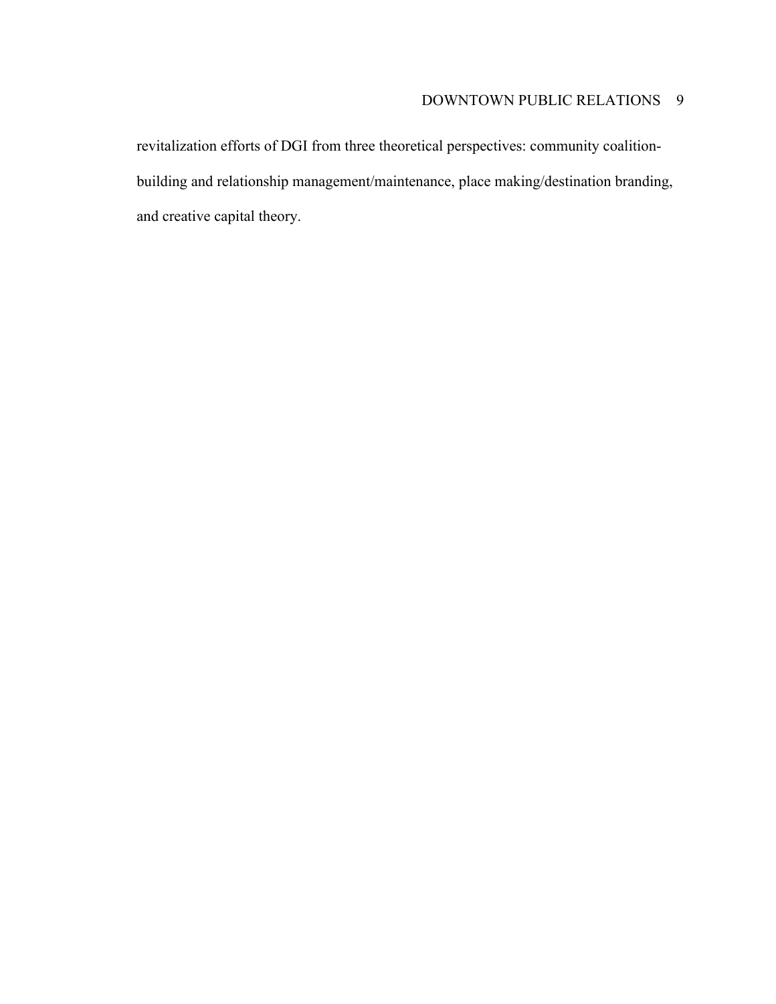revitalization efforts of DGI from three theoretical perspectives: community coalitionbuilding and relationship management/maintenance, place making/destination branding, and creative capital theory.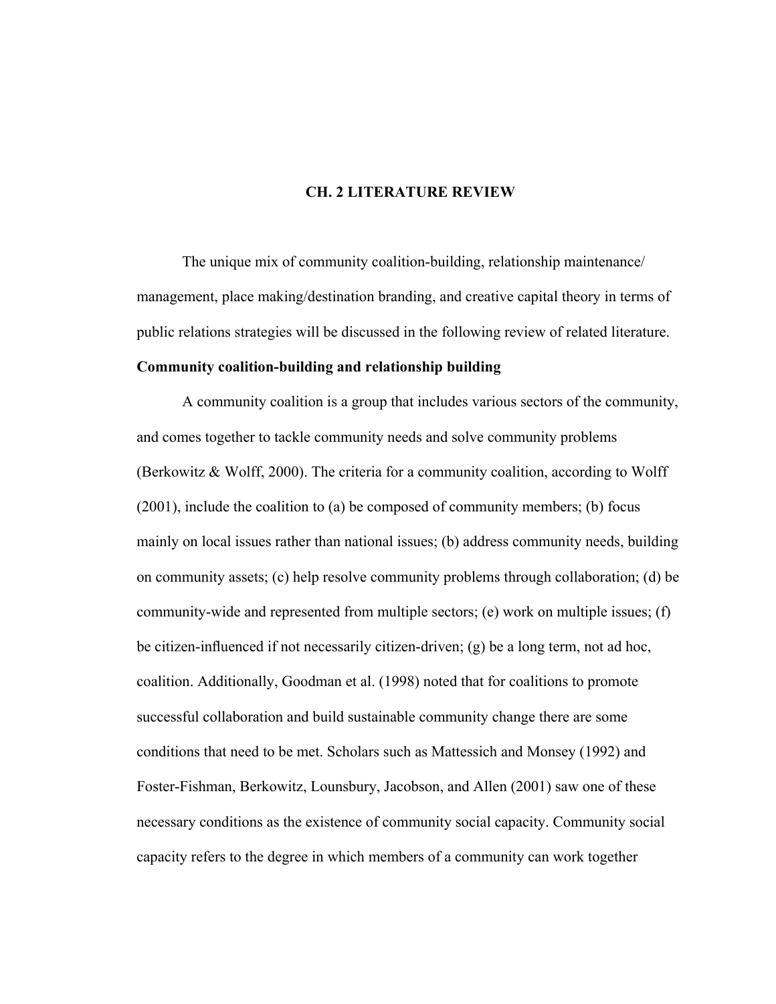#### **CH. 2 LITERATURE REVIEW**

The unique mix of community coalition-building, relationship maintenance/ management, place making/destination branding, and creative capital theory in terms of public relations strategies will be discussed in the following review of related literature.

#### **Community coalition-building and relationship building**

A community coalition is a group that includes various sectors of the community, and comes together to tackle community needs and solve community problems (Berkowitz & Wolff, 2000). The criteria for a community coalition, according to Wolff (2001), include the coalition to (a) be composed of community members; (b) focus mainly on local issues rather than national issues; (b) address community needs, building on community assets; (c) help resolve community problems through collaboration; (d) be community-wide and represented from multiple sectors; (e) work on multiple issues; (f) be citizen-influenced if not necessarily citizen-driven; (g) be a long term, not ad hoc, coalition. Additionally, Goodman et al. (1998) noted that for coalitions to promote successful collaboration and build sustainable community change there are some conditions that need to be met. Scholars such as Mattessich and Monsey (1992) and Foster-Fishman, Berkowitz, Lounsbury, Jacobson, and Allen (2001) saw one of these necessary conditions as the existence of community social capacity. Community social capacity refers to the degree in which members of a community can work together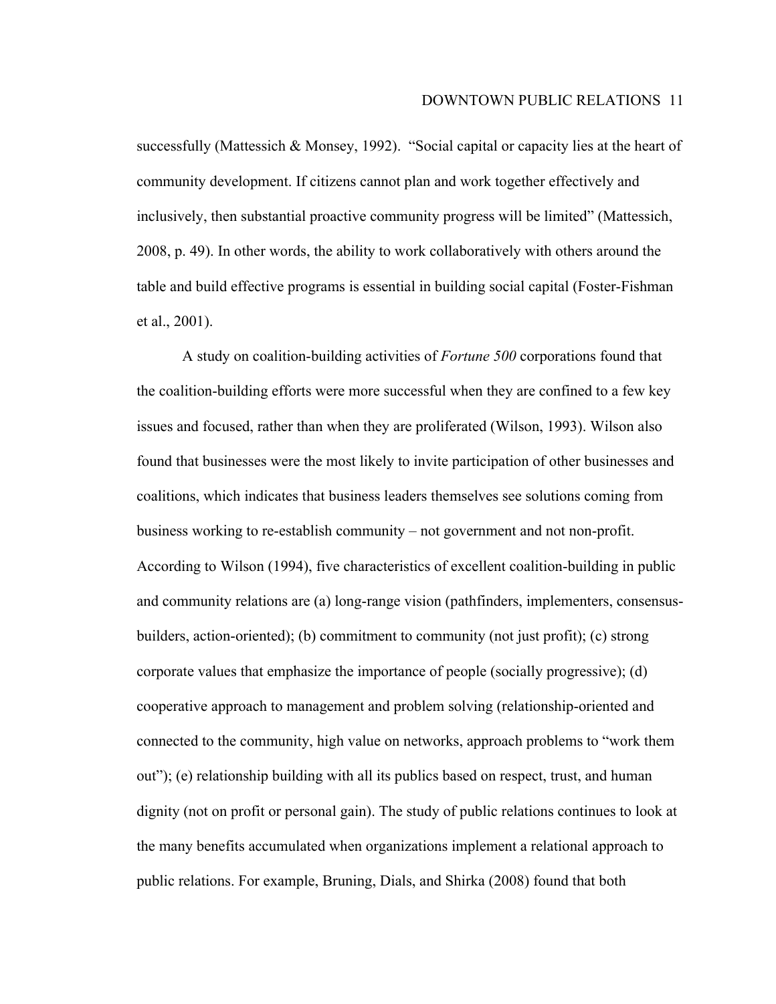successfully (Mattessich & Monsey, 1992). "Social capital or capacity lies at the heart of community development. If citizens cannot plan and work together effectively and inclusively, then substantial proactive community progress will be limited" (Mattessich, 2008, p. 49). In other words, the ability to work collaboratively with others around the table and build effective programs is essential in building social capital (Foster-Fishman et al., 2001).

A study on coalition-building activities of *Fortune 500* corporations found that the coalition-building efforts were more successful when they are confined to a few key issues and focused, rather than when they are proliferated (Wilson, 1993). Wilson also found that businesses were the most likely to invite participation of other businesses and coalitions, which indicates that business leaders themselves see solutions coming from business working to re-establish community – not government and not non-profit. According to Wilson (1994), five characteristics of excellent coalition-building in public and community relations are (a) long-range vision (pathfinders, implementers, consensusbuilders, action-oriented); (b) commitment to community (not just profit); (c) strong corporate values that emphasize the importance of people (socially progressive); (d) cooperative approach to management and problem solving (relationship-oriented and connected to the community, high value on networks, approach problems to "work them out"); (e) relationship building with all its publics based on respect, trust, and human dignity (not on profit or personal gain). The study of public relations continues to look at the many benefits accumulated when organizations implement a relational approach to public relations. For example, Bruning, Dials, and Shirka (2008) found that both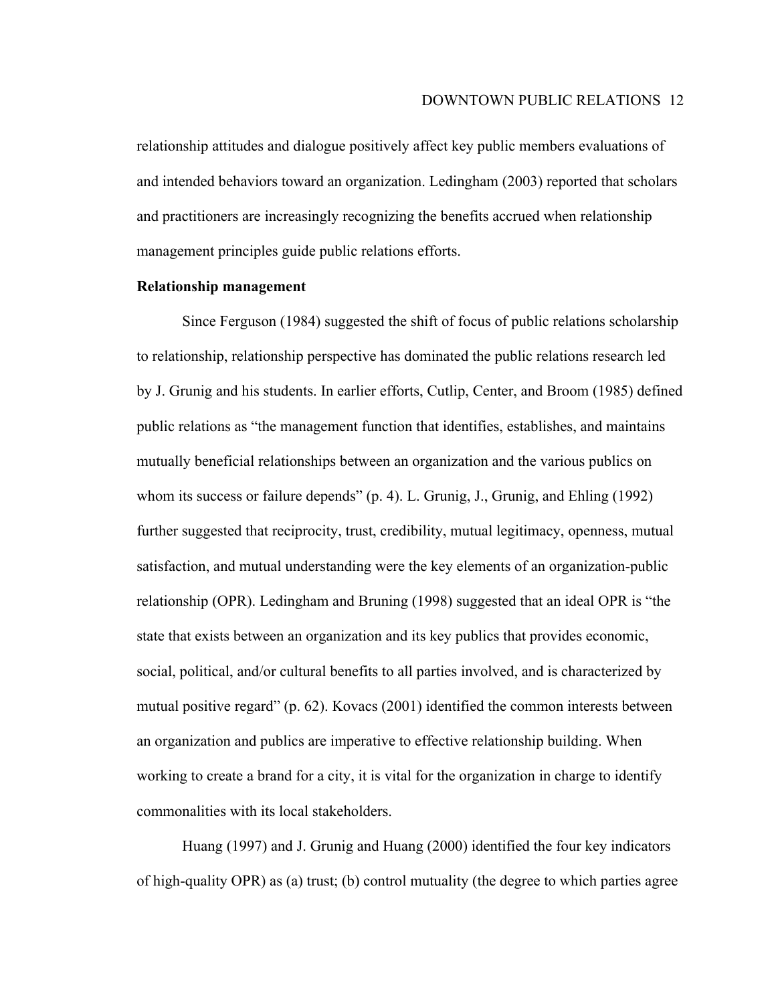relationship attitudes and dialogue positively affect key public members evaluations of and intended behaviors toward an organization. Ledingham (2003) reported that scholars and practitioners are increasingly recognizing the benefits accrued when relationship management principles guide public relations efforts.

#### **Relationship management**

Since Ferguson (1984) suggested the shift of focus of public relations scholarship to relationship, relationship perspective has dominated the public relations research led by J. Grunig and his students. In earlier efforts, Cutlip, Center, and Broom (1985) defined public relations as "the management function that identifies, establishes, and maintains mutually beneficial relationships between an organization and the various publics on whom its success or failure depends" (p. 4). L. Grunig, J., Grunig, and Ehling (1992) further suggested that reciprocity, trust, credibility, mutual legitimacy, openness, mutual satisfaction, and mutual understanding were the key elements of an organization-public relationship (OPR). Ledingham and Bruning (1998) suggested that an ideal OPR is "the state that exists between an organization and its key publics that provides economic, social, political, and/or cultural benefits to all parties involved, and is characterized by mutual positive regard" (p. 62). Kovacs (2001) identified the common interests between an organization and publics are imperative to effective relationship building. When working to create a brand for a city, it is vital for the organization in charge to identify commonalities with its local stakeholders.

Huang (1997) and J. Grunig and Huang (2000) identified the four key indicators of high-quality OPR) as (a) trust; (b) control mutuality (the degree to which parties agree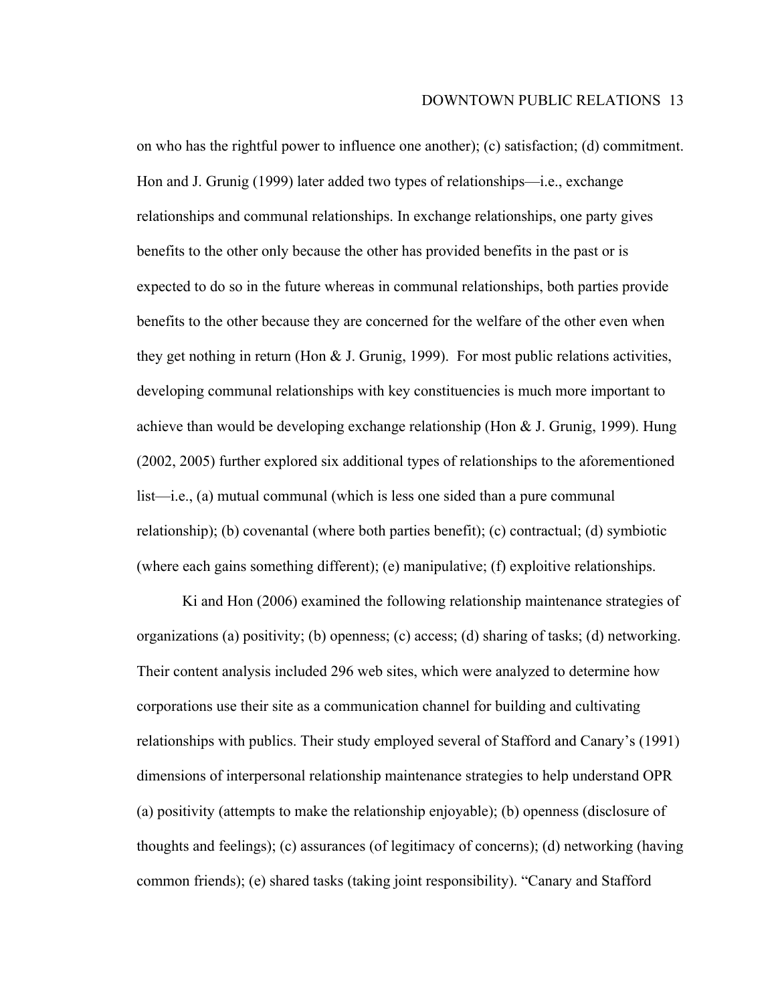on who has the rightful power to influence one another); (c) satisfaction; (d) commitment. Hon and J. Grunig (1999) later added two types of relationships—i.e., exchange relationships and communal relationships. In exchange relationships, one party gives benefits to the other only because the other has provided benefits in the past or is expected to do so in the future whereas in communal relationships, both parties provide benefits to the other because they are concerned for the welfare of the other even when they get nothing in return (Hon  $&$  J. Grunig, 1999). For most public relations activities, developing communal relationships with key constituencies is much more important to achieve than would be developing exchange relationship (Hon & J. Grunig, 1999). Hung (2002, 2005) further explored six additional types of relationships to the aforementioned list—i.e., (a) mutual communal (which is less one sided than a pure communal relationship); (b) covenantal (where both parties benefit); (c) contractual; (d) symbiotic (where each gains something different); (e) manipulative; (f) exploitive relationships.

Ki and Hon (2006) examined the following relationship maintenance strategies of organizations (a) positivity; (b) openness; (c) access; (d) sharing of tasks; (d) networking. Their content analysis included 296 web sites, which were analyzed to determine how corporations use their site as a communication channel for building and cultivating relationships with publics. Their study employed several of Stafford and Canary's (1991) dimensions of interpersonal relationship maintenance strategies to help understand OPR (a) positivity (attempts to make the relationship enjoyable); (b) openness (disclosure of thoughts and feelings); (c) assurances (of legitimacy of concerns); (d) networking (having common friends); (e) shared tasks (taking joint responsibility). "Canary and Stafford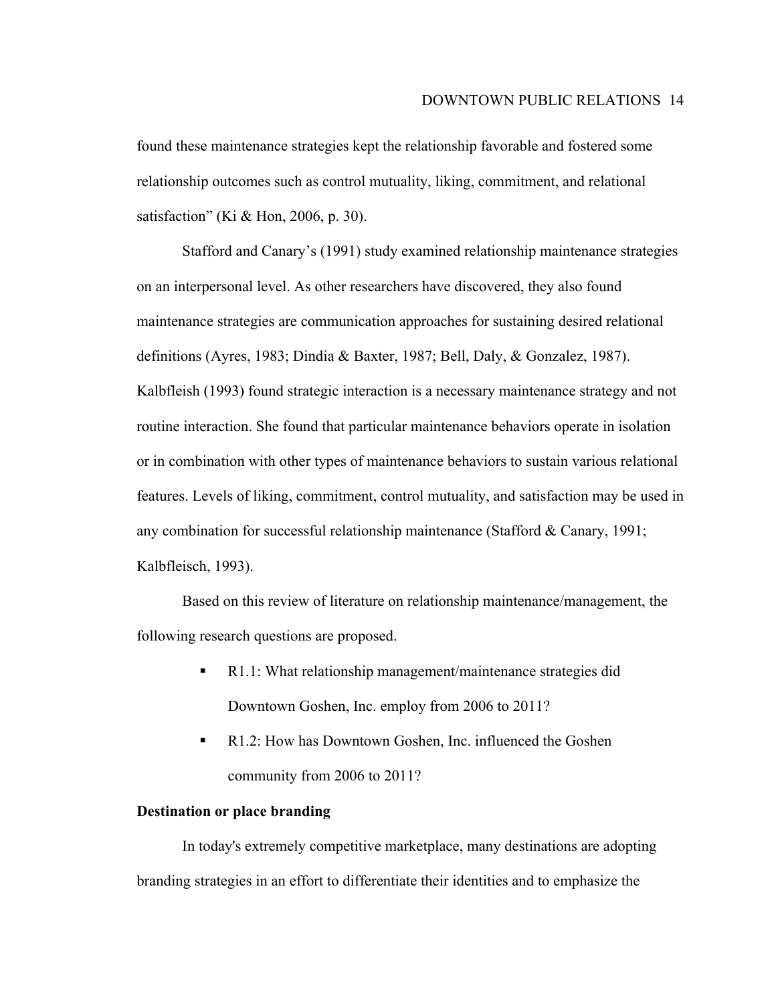found these maintenance strategies kept the relationship favorable and fostered some relationship outcomes such as control mutuality, liking, commitment, and relational satisfaction" (Ki & Hon, 2006, p. 30).

Stafford and Canary's (1991) study examined relationship maintenance strategies on an interpersonal level. As other researchers have discovered, they also found maintenance strategies are communication approaches for sustaining desired relational definitions (Ayres, 1983; Dindia & Baxter, 1987; Bell, Daly, & Gonzalez, 1987). Kalbfleish (1993) found strategic interaction is a necessary maintenance strategy and not routine interaction. She found that particular maintenance behaviors operate in isolation or in combination with other types of maintenance behaviors to sustain various relational features. Levels of liking, commitment, control mutuality, and satisfaction may be used in any combination for successful relationship maintenance (Stafford  $& Canary, 1991;$ Kalbfleisch, 1993).

Based on this review of literature on relationship maintenance/management, the following research questions are proposed.

- R1.1: What relationship management/maintenance strategies did Downtown Goshen, Inc. employ from 2006 to 2011?
- R1.2: How has Downtown Goshen, Inc. influenced the Goshen community from 2006 to 2011?

#### **Destination or place branding**

In today's extremely competitive marketplace, many destinations are adopting branding strategies in an effort to differentiate their identities and to emphasize the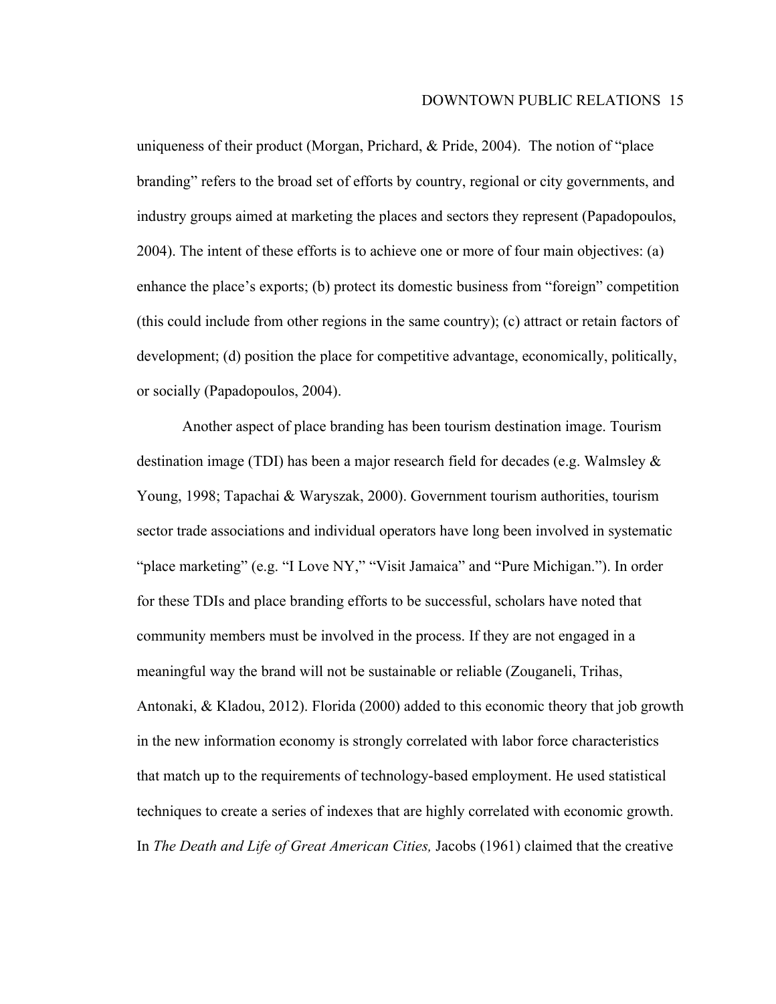uniqueness of their product (Morgan, Prichard, & Pride, 2004). The notion of "place branding" refers to the broad set of efforts by country, regional or city governments, and industry groups aimed at marketing the places and sectors they represent (Papadopoulos, 2004). The intent of these efforts is to achieve one or more of four main objectives: (a) enhance the place's exports; (b) protect its domestic business from "foreign" competition (this could include from other regions in the same country); (c) attract or retain factors of development; (d) position the place for competitive advantage, economically, politically, or socially (Papadopoulos, 2004).

Another aspect of place branding has been tourism destination image. Tourism destination image (TDI) has been a major research field for decades (e.g. Walmsley & Young, 1998; Tapachai & Waryszak, 2000). Government tourism authorities, tourism sector trade associations and individual operators have long been involved in systematic "place marketing" (e.g. "I Love NY," "Visit Jamaica" and "Pure Michigan."). In order for these TDIs and place branding efforts to be successful, scholars have noted that community members must be involved in the process. If they are not engaged in a meaningful way the brand will not be sustainable or reliable (Zouganeli, Trihas, Antonaki, & Kladou, 2012). Florida (2000) added to this economic theory that job growth in the new information economy is strongly correlated with labor force characteristics that match up to the requirements of technology-based employment. He used statistical techniques to create a series of indexes that are highly correlated with economic growth. In *The Death and Life of Great American Cities,* Jacobs (1961) claimed that the creative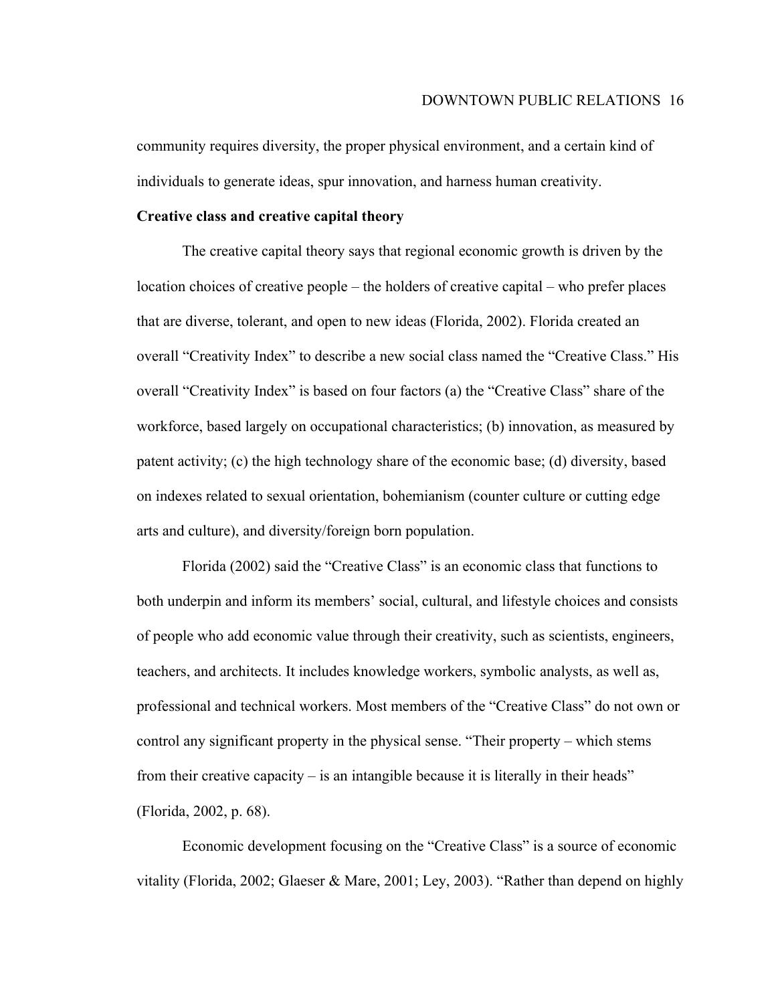community requires diversity, the proper physical environment, and a certain kind of individuals to generate ideas, spur innovation, and harness human creativity.

#### **Creative class and creative capital theory**

The creative capital theory says that regional economic growth is driven by the location choices of creative people – the holders of creative capital – who prefer places that are diverse, tolerant, and open to new ideas (Florida, 2002). Florida created an overall "Creativity Index" to describe a new social class named the "Creative Class." His overall "Creativity Index" is based on four factors (a) the "Creative Class" share of the workforce, based largely on occupational characteristics; (b) innovation, as measured by patent activity; (c) the high technology share of the economic base; (d) diversity, based on indexes related to sexual orientation, bohemianism (counter culture or cutting edge arts and culture), and diversity/foreign born population.

Florida (2002) said the "Creative Class" is an economic class that functions to both underpin and inform its members' social, cultural, and lifestyle choices and consists of people who add economic value through their creativity, such as scientists, engineers, teachers, and architects. It includes knowledge workers, symbolic analysts, as well as, professional and technical workers. Most members of the "Creative Class" do not own or control any significant property in the physical sense. "Their property – which stems from their creative capacity – is an intangible because it is literally in their heads" (Florida, 2002, p. 68).

Economic development focusing on the "Creative Class" is a source of economic vitality (Florida, 2002; Glaeser & Mare, 2001; Ley, 2003). "Rather than depend on highly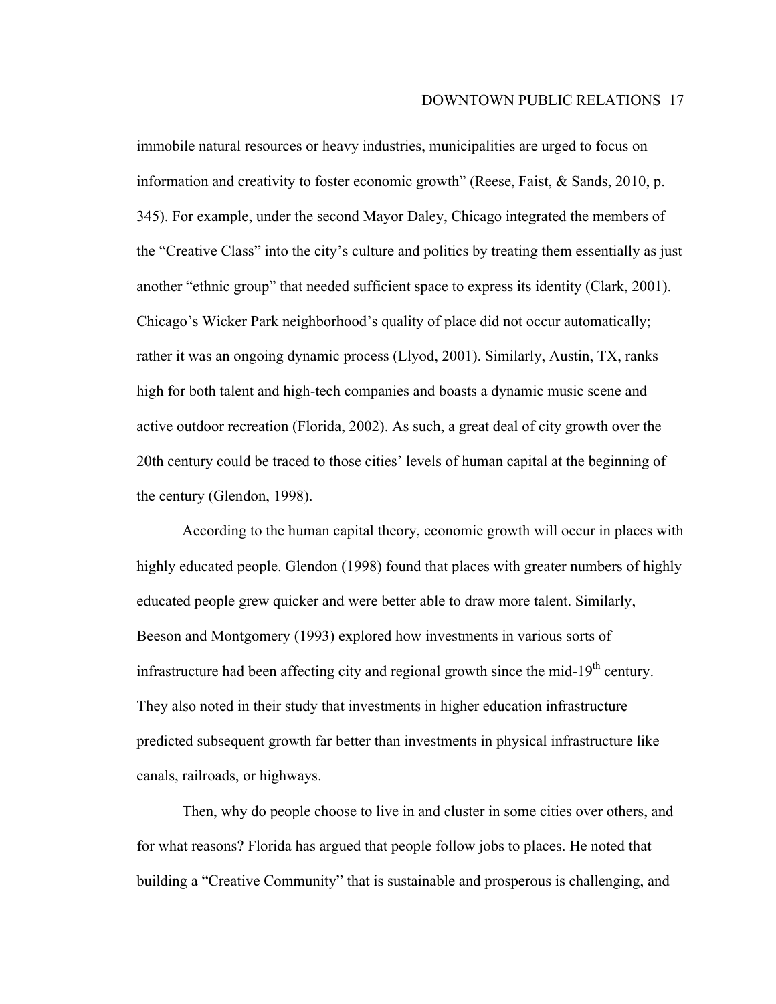immobile natural resources or heavy industries, municipalities are urged to focus on information and creativity to foster economic growth" (Reese, Faist, & Sands, 2010, p. 345). For example, under the second Mayor Daley, Chicago integrated the members of the "Creative Class" into the city's culture and politics by treating them essentially as just another "ethnic group" that needed sufficient space to express its identity (Clark, 2001). Chicago's Wicker Park neighborhood's quality of place did not occur automatically; rather it was an ongoing dynamic process (Llyod, 2001). Similarly, Austin, TX, ranks high for both talent and high-tech companies and boasts a dynamic music scene and active outdoor recreation (Florida, 2002). As such, a great deal of city growth over the 20th century could be traced to those cities' levels of human capital at the beginning of the century (Glendon, 1998).

According to the human capital theory, economic growth will occur in places with highly educated people. Glendon (1998) found that places with greater numbers of highly educated people grew quicker and were better able to draw more talent. Similarly, Beeson and Montgomery (1993) explored how investments in various sorts of infrastructure had been affecting city and regional growth since the mid-19<sup>th</sup> century. They also noted in their study that investments in higher education infrastructure predicted subsequent growth far better than investments in physical infrastructure like canals, railroads, or highways.

Then, why do people choose to live in and cluster in some cities over others, and for what reasons? Florida has argued that people follow jobs to places. He noted that building a "Creative Community" that is sustainable and prosperous is challenging, and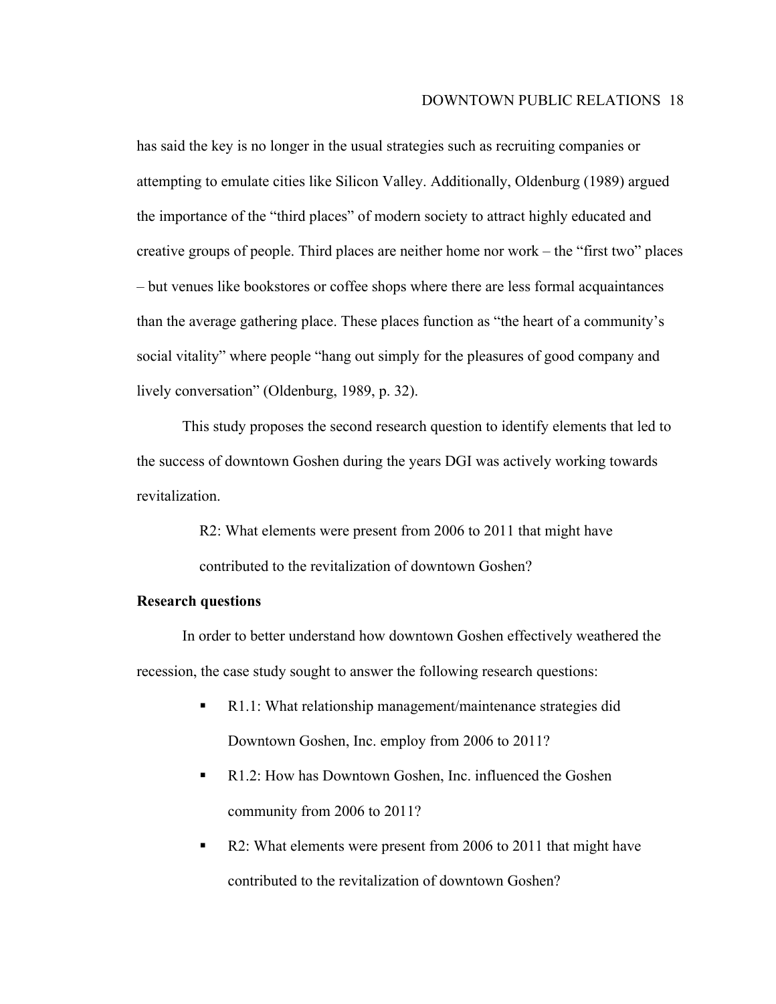has said the key is no longer in the usual strategies such as recruiting companies or attempting to emulate cities like Silicon Valley. Additionally, Oldenburg (1989) argued the importance of the "third places" of modern society to attract highly educated and creative groups of people. Third places are neither home nor work – the "first two" places – but venues like bookstores or coffee shops where there are less formal acquaintances than the average gathering place. These places function as "the heart of a community's social vitality" where people "hang out simply for the pleasures of good company and lively conversation" (Oldenburg, 1989, p. 32).

This study proposes the second research question to identify elements that led to the success of downtown Goshen during the years DGI was actively working towards revitalization.

> R2: What elements were present from 2006 to 2011 that might have contributed to the revitalization of downtown Goshen?

#### **Research questions**

In order to better understand how downtown Goshen effectively weathered the recession, the case study sought to answer the following research questions:

- R1.1: What relationship management/maintenance strategies did Downtown Goshen, Inc. employ from 2006 to 2011?
- R1.2: How has Downtown Goshen, Inc. influenced the Goshen community from 2006 to 2011?
- R2: What elements were present from 2006 to 2011 that might have contributed to the revitalization of downtown Goshen?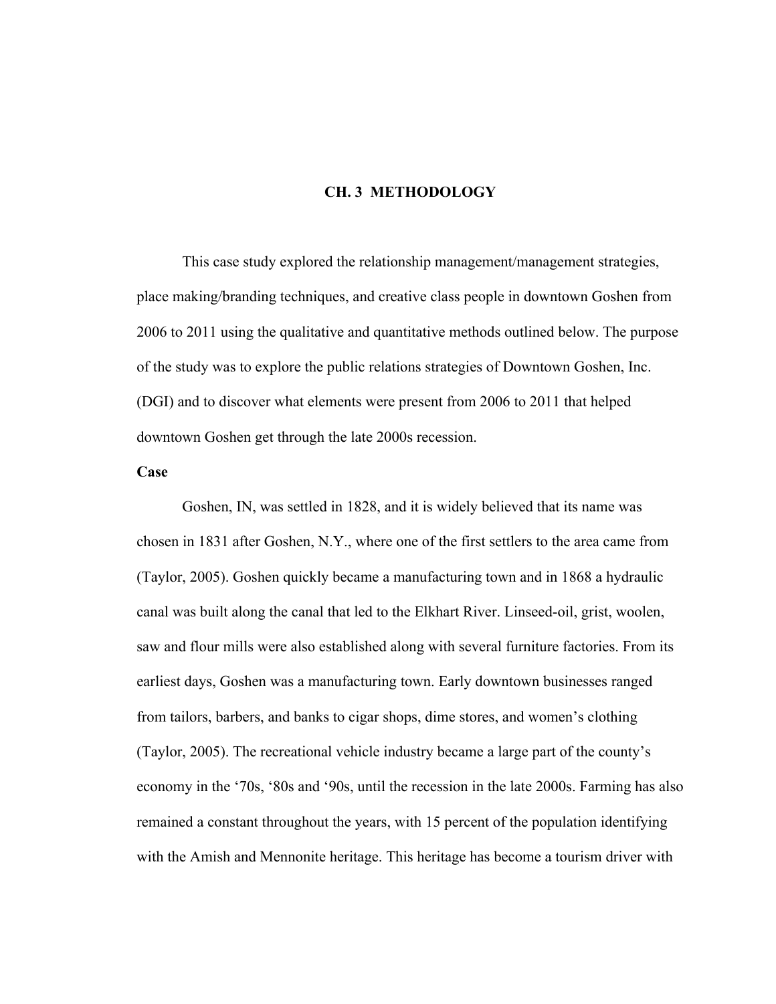#### **CH. 3 METHODOLOGY**

This case study explored the relationship management/management strategies, place making/branding techniques, and creative class people in downtown Goshen from 2006 to 2011 using the qualitative and quantitative methods outlined below. The purpose of the study was to explore the public relations strategies of Downtown Goshen, Inc. (DGI) and to discover what elements were present from 2006 to 2011 that helped downtown Goshen get through the late 2000s recession.

#### **Case**

Goshen, IN, was settled in 1828, and it is widely believed that its name was chosen in 1831 after Goshen, N.Y., where one of the first settlers to the area came from (Taylor, 2005). Goshen quickly became a manufacturing town and in 1868 a hydraulic canal was built along the canal that led to the Elkhart River. Linseed-oil, grist, woolen, saw and flour mills were also established along with several furniture factories. From its earliest days, Goshen was a manufacturing town. Early downtown businesses ranged from tailors, barbers, and banks to cigar shops, dime stores, and women's clothing (Taylor, 2005). The recreational vehicle industry became a large part of the county's economy in the '70s, '80s and '90s, until the recession in the late 2000s. Farming has also remained a constant throughout the years, with 15 percent of the population identifying with the Amish and Mennonite heritage. This heritage has become a tourism driver with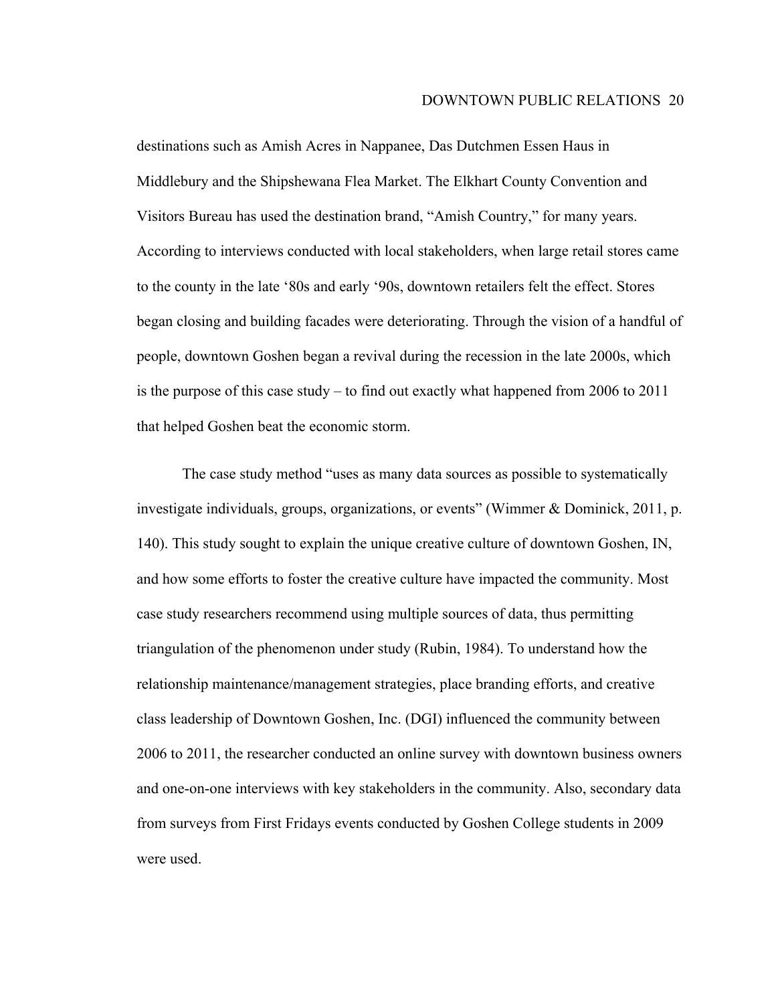destinations such as Amish Acres in Nappanee, Das Dutchmen Essen Haus in Middlebury and the Shipshewana Flea Market. The Elkhart County Convention and Visitors Bureau has used the destination brand, "Amish Country," for many years. According to interviews conducted with local stakeholders, when large retail stores came to the county in the late '80s and early '90s, downtown retailers felt the effect. Stores began closing and building facades were deteriorating. Through the vision of a handful of people, downtown Goshen began a revival during the recession in the late 2000s, which is the purpose of this case study – to find out exactly what happened from 2006 to 2011 that helped Goshen beat the economic storm.

The case study method "uses as many data sources as possible to systematically investigate individuals, groups, organizations, or events" (Wimmer & Dominick, 2011, p. 140). This study sought to explain the unique creative culture of downtown Goshen, IN, and how some efforts to foster the creative culture have impacted the community. Most case study researchers recommend using multiple sources of data, thus permitting triangulation of the phenomenon under study (Rubin, 1984). To understand how the relationship maintenance/management strategies, place branding efforts, and creative class leadership of Downtown Goshen, Inc. (DGI) influenced the community between 2006 to 2011, the researcher conducted an online survey with downtown business owners and one-on-one interviews with key stakeholders in the community. Also, secondary data from surveys from First Fridays events conducted by Goshen College students in 2009 were used.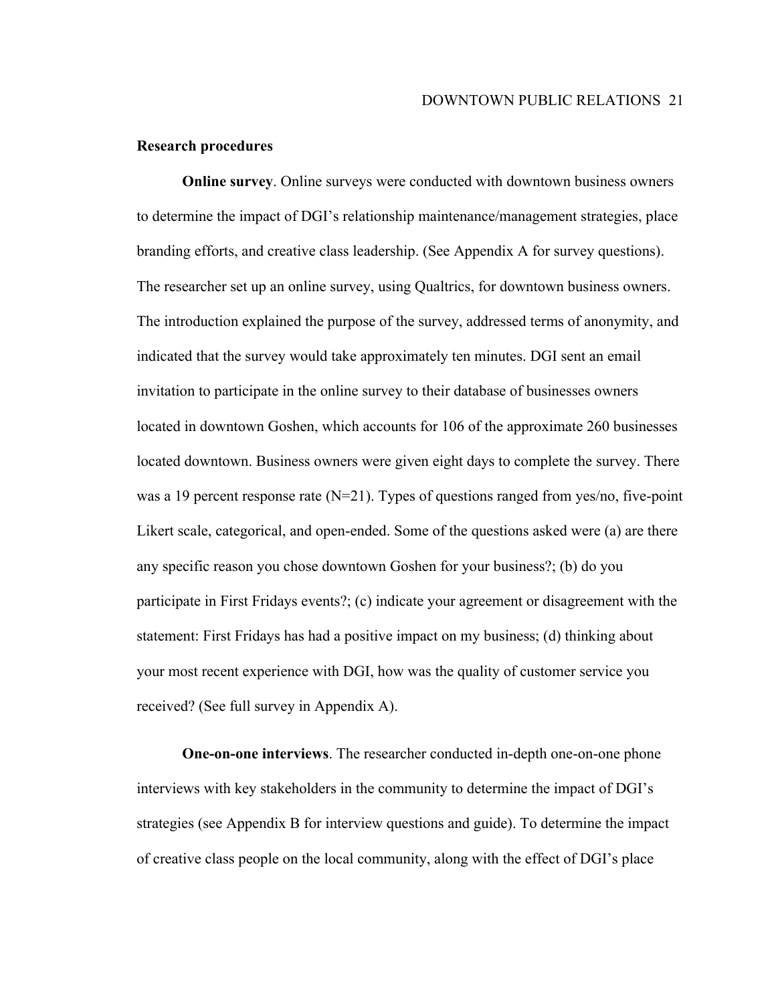#### **Research procedures**

**Online survey**. Online surveys were conducted with downtown business owners to determine the impact of DGI's relationship maintenance/management strategies, place branding efforts, and creative class leadership. (See Appendix A for survey questions). The researcher set up an online survey, using Qualtrics, for downtown business owners. The introduction explained the purpose of the survey, addressed terms of anonymity, and indicated that the survey would take approximately ten minutes. DGI sent an email invitation to participate in the online survey to their database of businesses owners located in downtown Goshen, which accounts for 106 of the approximate 260 businesses located downtown. Business owners were given eight days to complete the survey. There was a 19 percent response rate (N=21). Types of questions ranged from yes/no, five-point Likert scale, categorical, and open-ended. Some of the questions asked were (a) are there any specific reason you chose downtown Goshen for your business?; (b) do you participate in First Fridays events?; (c) indicate your agreement or disagreement with the statement: First Fridays has had a positive impact on my business; (d) thinking about your most recent experience with DGI, how was the quality of customer service you received? (See full survey in Appendix A).

**One-on-one interviews**. The researcher conducted in-depth one-on-one phone interviews with key stakeholders in the community to determine the impact of DGI's strategies (see Appendix B for interview questions and guide). To determine the impact of creative class people on the local community, along with the effect of DGI's place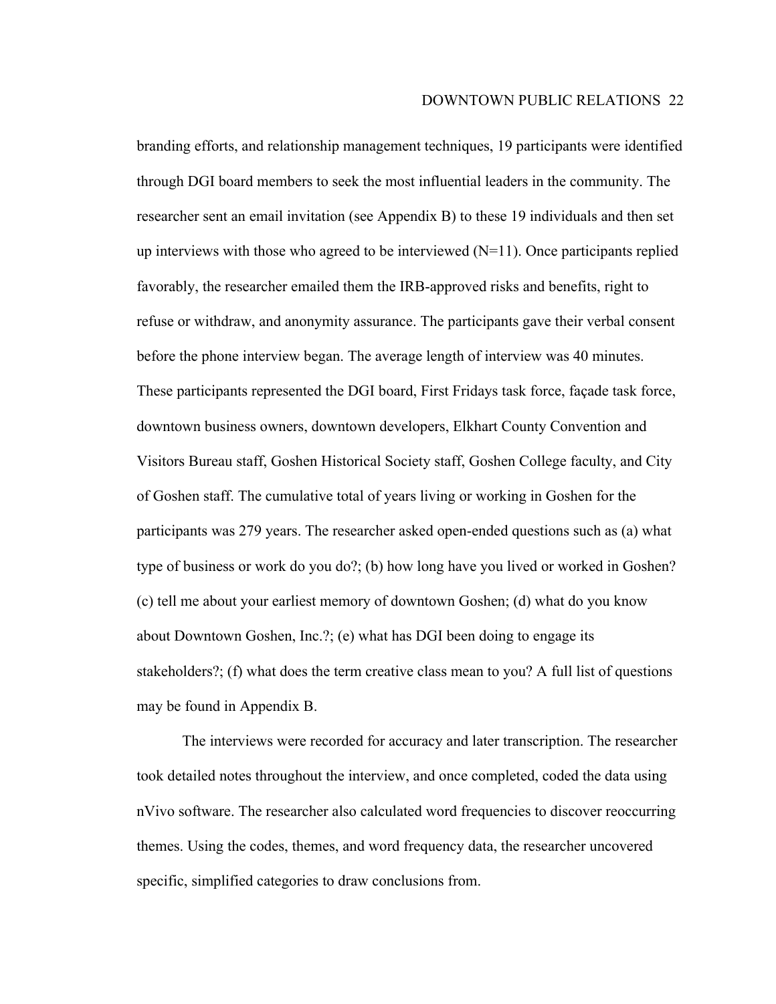branding efforts, and relationship management techniques, 19 participants were identified through DGI board members to seek the most influential leaders in the community. The researcher sent an email invitation (see Appendix B) to these 19 individuals and then set up interviews with those who agreed to be interviewed  $(N=11)$ . Once participants replied favorably, the researcher emailed them the IRB-approved risks and benefits, right to refuse or withdraw, and anonymity assurance. The participants gave their verbal consent before the phone interview began. The average length of interview was 40 minutes. These participants represented the DGI board, First Fridays task force, façade task force, downtown business owners, downtown developers, Elkhart County Convention and Visitors Bureau staff, Goshen Historical Society staff, Goshen College faculty, and City of Goshen staff. The cumulative total of years living or working in Goshen for the participants was 279 years. The researcher asked open-ended questions such as (a) what type of business or work do you do?; (b) how long have you lived or worked in Goshen? (c) tell me about your earliest memory of downtown Goshen; (d) what do you know about Downtown Goshen, Inc.?; (e) what has DGI been doing to engage its stakeholders?; (f) what does the term creative class mean to you? A full list of questions may be found in Appendix B.

The interviews were recorded for accuracy and later transcription. The researcher took detailed notes throughout the interview, and once completed, coded the data using nVivo software. The researcher also calculated word frequencies to discover reoccurring themes. Using the codes, themes, and word frequency data, the researcher uncovered specific, simplified categories to draw conclusions from.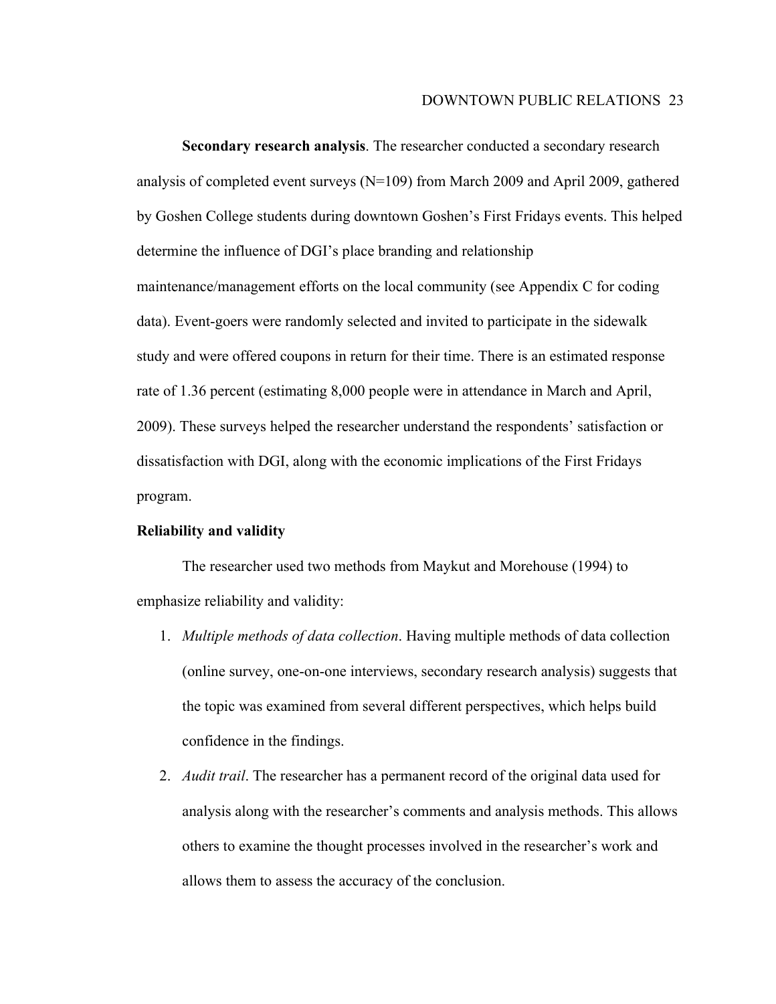**Secondary research analysis**. The researcher conducted a secondary research analysis of completed event surveys (N=109) from March 2009 and April 2009, gathered by Goshen College students during downtown Goshen's First Fridays events. This helped determine the influence of DGI's place branding and relationship maintenance/management efforts on the local community (see Appendix C for coding data). Event-goers were randomly selected and invited to participate in the sidewalk study and were offered coupons in return for their time. There is an estimated response rate of 1.36 percent (estimating 8,000 people were in attendance in March and April, 2009). These surveys helped the researcher understand the respondents' satisfaction or dissatisfaction with DGI, along with the economic implications of the First Fridays program.

#### **Reliability and validity**

The researcher used two methods from Maykut and Morehouse (1994) to emphasize reliability and validity:

- 1. *Multiple methods of data collection*. Having multiple methods of data collection (online survey, one-on-one interviews, secondary research analysis) suggests that the topic was examined from several different perspectives, which helps build confidence in the findings.
- 2. *Audit trail*. The researcher has a permanent record of the original data used for analysis along with the researcher's comments and analysis methods. This allows others to examine the thought processes involved in the researcher's work and allows them to assess the accuracy of the conclusion.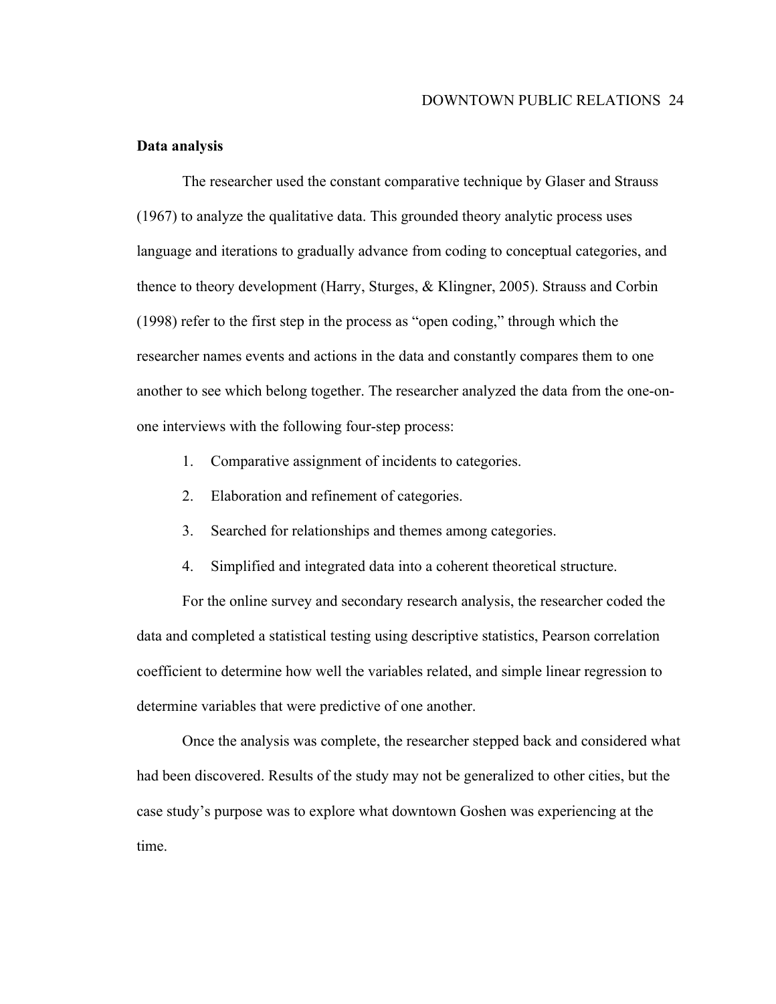#### **Data analysis**

The researcher used the constant comparative technique by Glaser and Strauss (1967) to analyze the qualitative data. This grounded theory analytic process uses language and iterations to gradually advance from coding to conceptual categories, and thence to theory development (Harry, Sturges, & Klingner, 2005). Strauss and Corbin (1998) refer to the first step in the process as "open coding," through which the researcher names events and actions in the data and constantly compares them to one another to see which belong together. The researcher analyzed the data from the one-onone interviews with the following four-step process:

- 1. Comparative assignment of incidents to categories.
- 2. Elaboration and refinement of categories.
- 3. Searched for relationships and themes among categories.
- 4. Simplified and integrated data into a coherent theoretical structure.

For the online survey and secondary research analysis, the researcher coded the data and completed a statistical testing using descriptive statistics, Pearson correlation coefficient to determine how well the variables related, and simple linear regression to determine variables that were predictive of one another.

Once the analysis was complete, the researcher stepped back and considered what had been discovered. Results of the study may not be generalized to other cities, but the case study's purpose was to explore what downtown Goshen was experiencing at the time.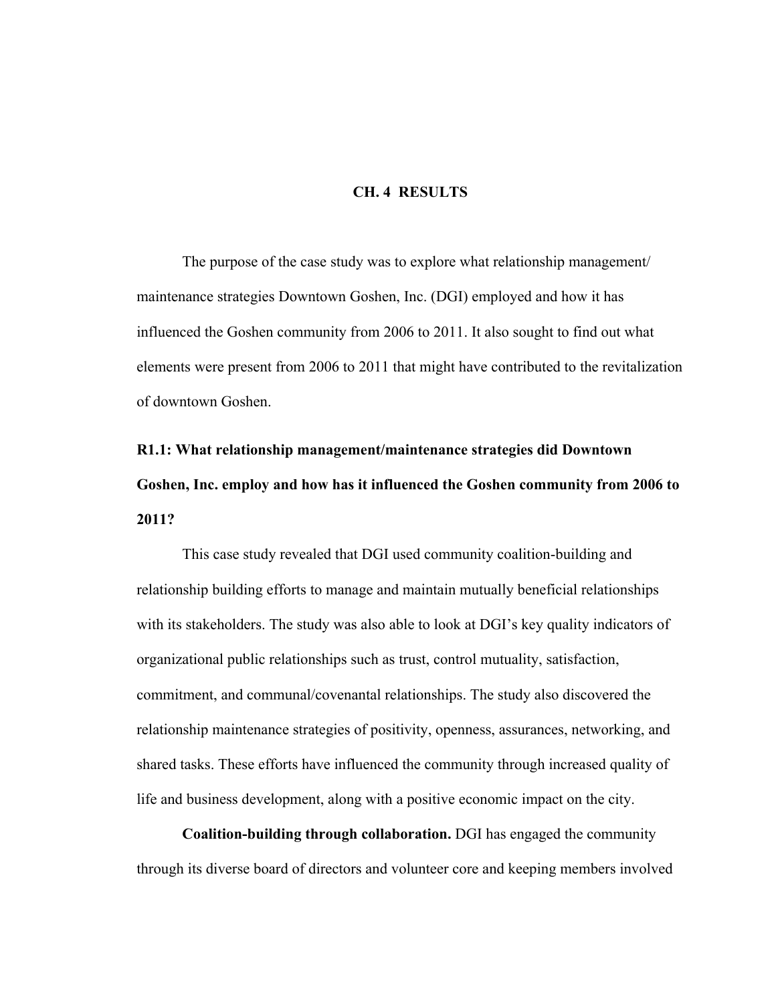#### **CH. 4 RESULTS**

The purpose of the case study was to explore what relationship management/ maintenance strategies Downtown Goshen, Inc. (DGI) employed and how it has influenced the Goshen community from 2006 to 2011. It also sought to find out what elements were present from 2006 to 2011 that might have contributed to the revitalization of downtown Goshen.

# **R1.1: What relationship management/maintenance strategies did Downtown Goshen, Inc. employ and how has it influenced the Goshen community from 2006 to 2011?**

This case study revealed that DGI used community coalition-building and relationship building efforts to manage and maintain mutually beneficial relationships with its stakeholders. The study was also able to look at DGI's key quality indicators of organizational public relationships such as trust, control mutuality, satisfaction, commitment, and communal/covenantal relationships. The study also discovered the relationship maintenance strategies of positivity, openness, assurances, networking, and shared tasks. These efforts have influenced the community through increased quality of life and business development, along with a positive economic impact on the city.

**Coalition-building through collaboration.** DGI has engaged the community through its diverse board of directors and volunteer core and keeping members involved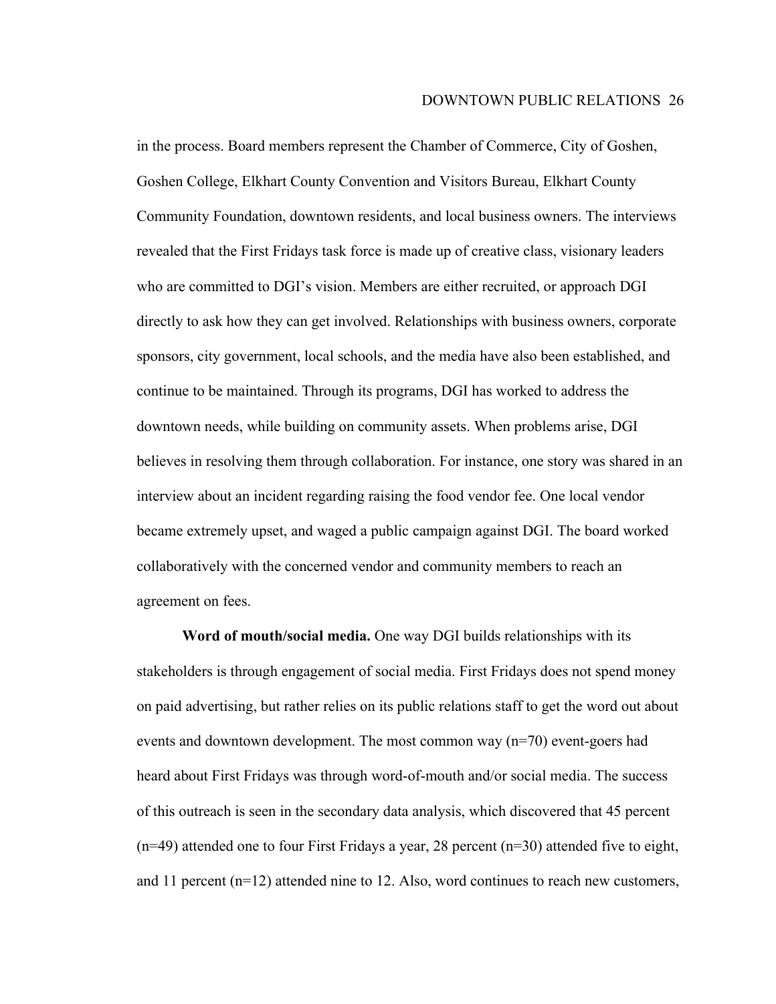in the process. Board members represent the Chamber of Commerce, City of Goshen, Goshen College, Elkhart County Convention and Visitors Bureau, Elkhart County Community Foundation, downtown residents, and local business owners. The interviews revealed that the First Fridays task force is made up of creative class, visionary leaders who are committed to DGI's vision. Members are either recruited, or approach DGI directly to ask how they can get involved. Relationships with business owners, corporate sponsors, city government, local schools, and the media have also been established, and continue to be maintained. Through its programs, DGI has worked to address the downtown needs, while building on community assets. When problems arise, DGI believes in resolving them through collaboration. For instance, one story was shared in an interview about an incident regarding raising the food vendor fee. One local vendor became extremely upset, and waged a public campaign against DGI. The board worked collaboratively with the concerned vendor and community members to reach an agreement on fees.

**Word of mouth/social media.** One way DGI builds relationships with its stakeholders is through engagement of social media. First Fridays does not spend money on paid advertising, but rather relies on its public relations staff to get the word out about events and downtown development. The most common way (n=70) event-goers had heard about First Fridays was through word-of-mouth and/or social media. The success of this outreach is seen in the secondary data analysis, which discovered that 45 percent (n=49) attended one to four First Fridays a year, 28 percent (n=30) attended five to eight, and 11 percent (n=12) attended nine to 12. Also, word continues to reach new customers,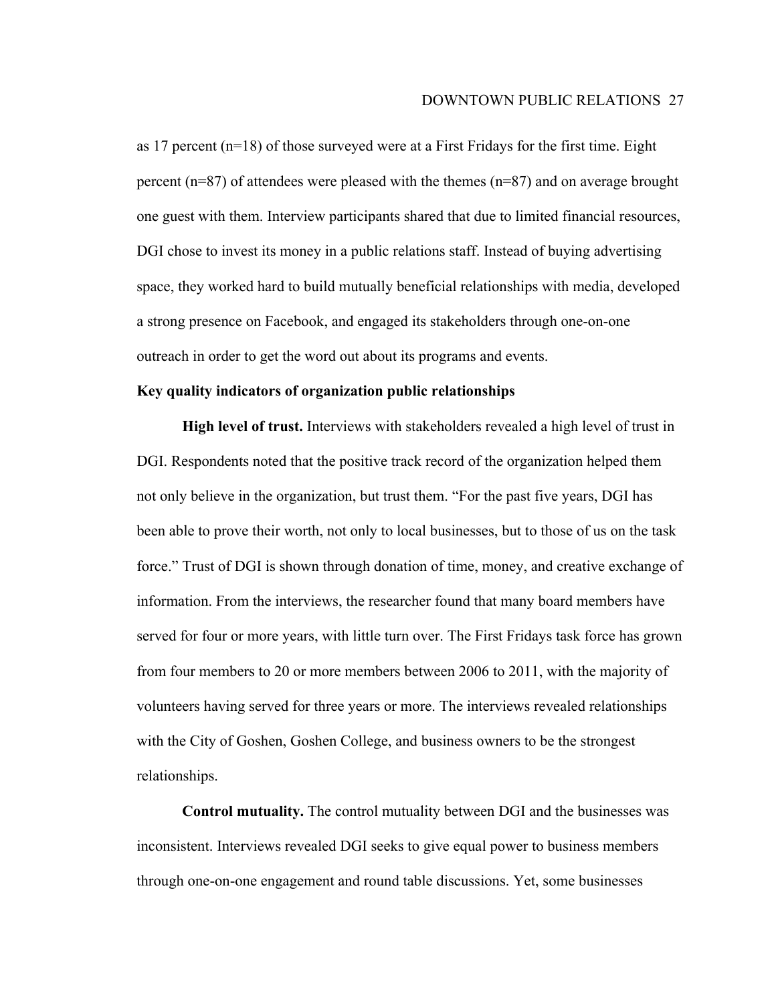as 17 percent (n=18) of those surveyed were at a First Fridays for the first time. Eight percent (n=87) of attendees were pleased with the themes (n=87) and on average brought one guest with them. Interview participants shared that due to limited financial resources, DGI chose to invest its money in a public relations staff. Instead of buying advertising space, they worked hard to build mutually beneficial relationships with media, developed a strong presence on Facebook, and engaged its stakeholders through one-on-one outreach in order to get the word out about its programs and events.

#### **Key quality indicators of organization public relationships**

**High level of trust.** Interviews with stakeholders revealed a high level of trust in DGI. Respondents noted that the positive track record of the organization helped them not only believe in the organization, but trust them. "For the past five years, DGI has been able to prove their worth, not only to local businesses, but to those of us on the task force." Trust of DGI is shown through donation of time, money, and creative exchange of information. From the interviews, the researcher found that many board members have served for four or more years, with little turn over. The First Fridays task force has grown from four members to 20 or more members between 2006 to 2011, with the majority of volunteers having served for three years or more. The interviews revealed relationships with the City of Goshen, Goshen College, and business owners to be the strongest relationships.

**Control mutuality.** The control mutuality between DGI and the businesses was inconsistent. Interviews revealed DGI seeks to give equal power to business members through one-on-one engagement and round table discussions. Yet, some businesses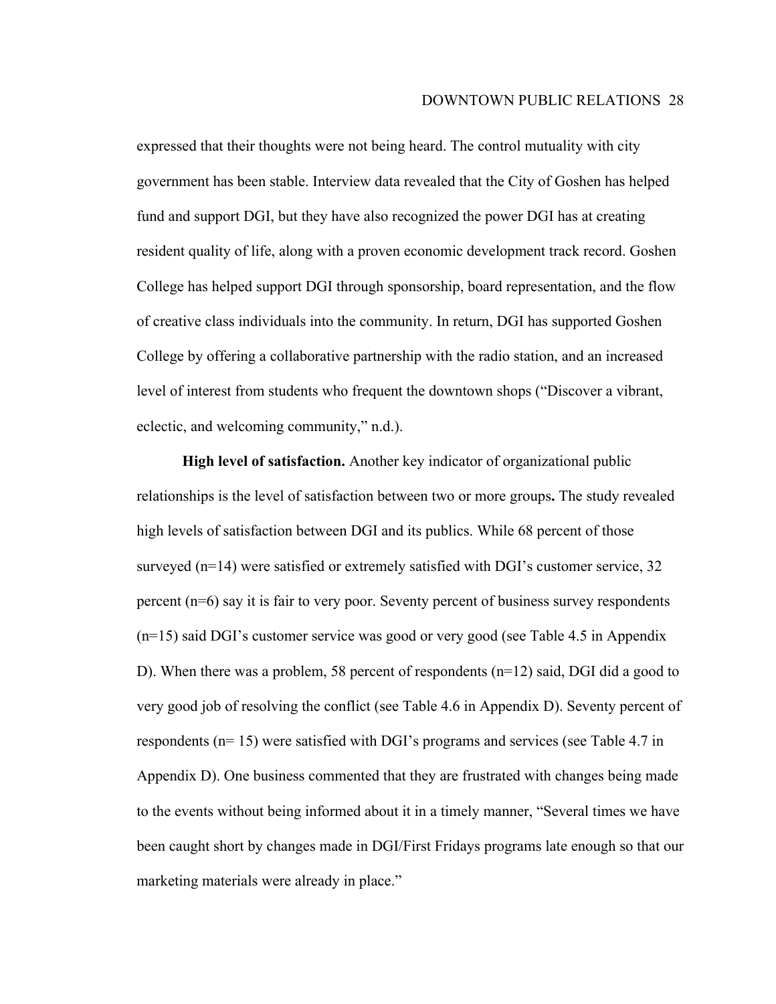expressed that their thoughts were not being heard. The control mutuality with city government has been stable. Interview data revealed that the City of Goshen has helped fund and support DGI, but they have also recognized the power DGI has at creating resident quality of life, along with a proven economic development track record. Goshen College has helped support DGI through sponsorship, board representation, and the flow of creative class individuals into the community. In return, DGI has supported Goshen College by offering a collaborative partnership with the radio station, and an increased level of interest from students who frequent the downtown shops ("Discover a vibrant, eclectic, and welcoming community," n.d.).

**High level of satisfaction.** Another key indicator of organizational public relationships is the level of satisfaction between two or more groups**.** The study revealed high levels of satisfaction between DGI and its publics. While 68 percent of those surveyed (n=14) were satisfied or extremely satisfied with DGI's customer service, 32 percent (n=6) say it is fair to very poor. Seventy percent of business survey respondents (n=15) said DGI's customer service was good or very good (see Table 4.5 in Appendix D). When there was a problem, 58 percent of respondents (n=12) said, DGI did a good to very good job of resolving the conflict (see Table 4.6 in Appendix D). Seventy percent of respondents (n= 15) were satisfied with DGI's programs and services (see Table 4.7 in Appendix D). One business commented that they are frustrated with changes being made to the events without being informed about it in a timely manner, "Several times we have been caught short by changes made in DGI/First Fridays programs late enough so that our marketing materials were already in place."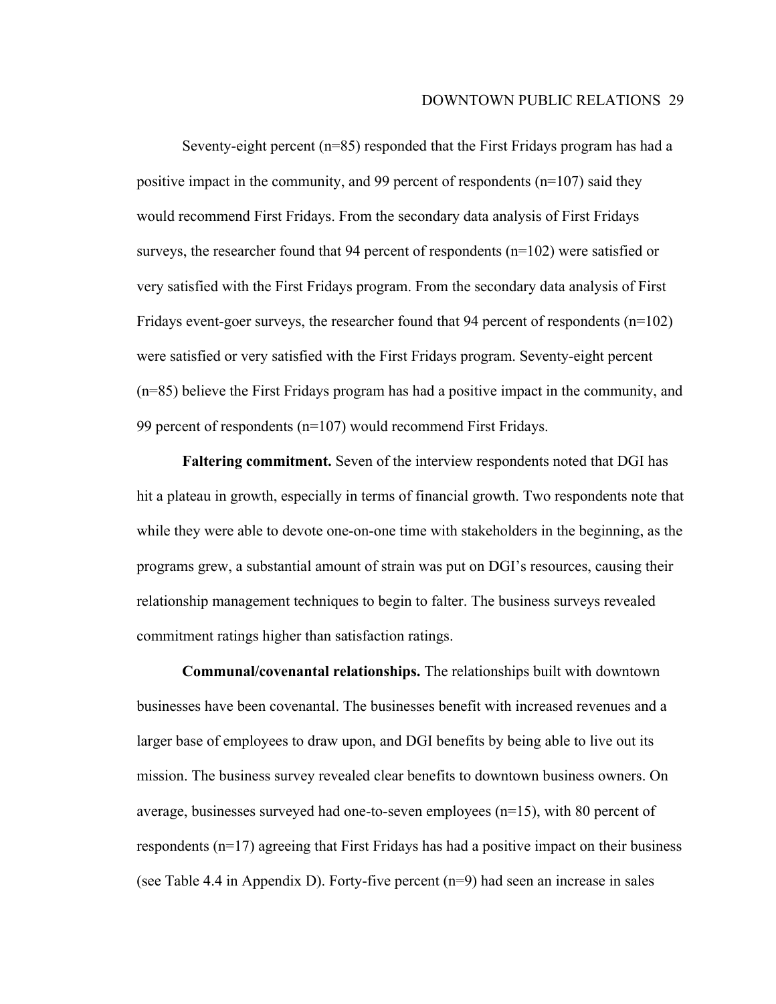Seventy-eight percent (n=85) responded that the First Fridays program has had a positive impact in the community, and 99 percent of respondents (n=107) said they would recommend First Fridays. From the secondary data analysis of First Fridays surveys, the researcher found that 94 percent of respondents (n=102) were satisfied or very satisfied with the First Fridays program. From the secondary data analysis of First Fridays event-goer surveys, the researcher found that 94 percent of respondents  $(n=102)$ were satisfied or very satisfied with the First Fridays program. Seventy-eight percent (n=85) believe the First Fridays program has had a positive impact in the community, and 99 percent of respondents (n=107) would recommend First Fridays.

**Faltering commitment.** Seven of the interview respondents noted that DGI has hit a plateau in growth, especially in terms of financial growth. Two respondents note that while they were able to devote one-on-one time with stakeholders in the beginning, as the programs grew, a substantial amount of strain was put on DGI's resources, causing their relationship management techniques to begin to falter. The business surveys revealed commitment ratings higher than satisfaction ratings.

**Communal/covenantal relationships.** The relationships built with downtown businesses have been covenantal. The businesses benefit with increased revenues and a larger base of employees to draw upon, and DGI benefits by being able to live out its mission. The business survey revealed clear benefits to downtown business owners. On average, businesses surveyed had one-to-seven employees (n=15), with 80 percent of respondents (n=17) agreeing that First Fridays has had a positive impact on their business (see Table 4.4 in Appendix D). Forty-five percent (n=9) had seen an increase in sales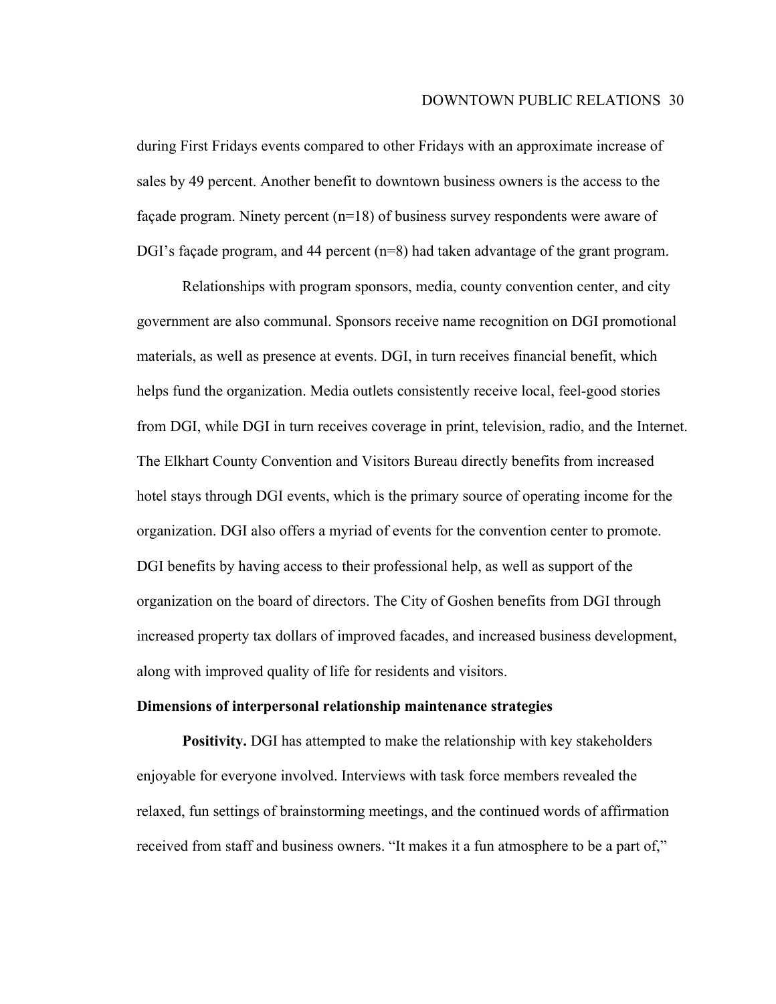during First Fridays events compared to other Fridays with an approximate increase of sales by 49 percent. Another benefit to downtown business owners is the access to the façade program. Ninety percent (n=18) of business survey respondents were aware of DGI's façade program, and 44 percent (n=8) had taken advantage of the grant program.

Relationships with program sponsors, media, county convention center, and city government are also communal. Sponsors receive name recognition on DGI promotional materials, as well as presence at events. DGI, in turn receives financial benefit, which helps fund the organization. Media outlets consistently receive local, feel-good stories from DGI, while DGI in turn receives coverage in print, television, radio, and the Internet. The Elkhart County Convention and Visitors Bureau directly benefits from increased hotel stays through DGI events, which is the primary source of operating income for the organization. DGI also offers a myriad of events for the convention center to promote. DGI benefits by having access to their professional help, as well as support of the organization on the board of directors. The City of Goshen benefits from DGI through increased property tax dollars of improved facades, and increased business development, along with improved quality of life for residents and visitors.

#### **Dimensions of interpersonal relationship maintenance strategies**

**Positivity.** DGI has attempted to make the relationship with key stakeholders enjoyable for everyone involved. Interviews with task force members revealed the relaxed, fun settings of brainstorming meetings, and the continued words of affirmation received from staff and business owners. "It makes it a fun atmosphere to be a part of,"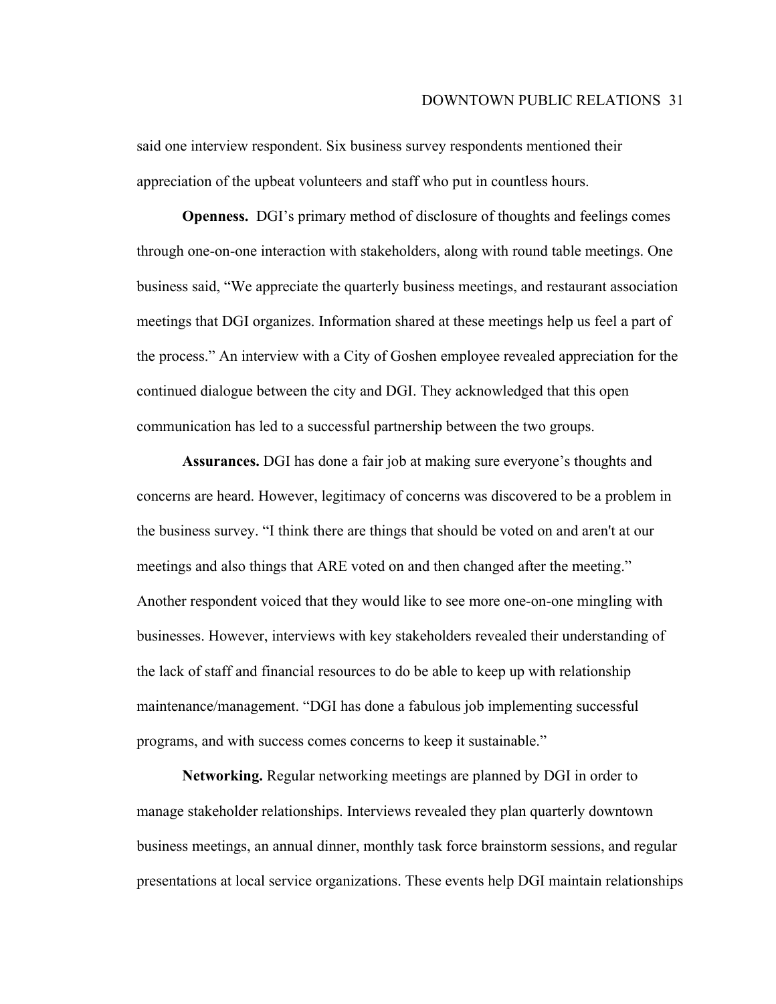said one interview respondent. Six business survey respondents mentioned their appreciation of the upbeat volunteers and staff who put in countless hours.

**Openness.** DGI's primary method of disclosure of thoughts and feelings comes through one-on-one interaction with stakeholders, along with round table meetings. One business said, "We appreciate the quarterly business meetings, and restaurant association meetings that DGI organizes. Information shared at these meetings help us feel a part of the process." An interview with a City of Goshen employee revealed appreciation for the continued dialogue between the city and DGI. They acknowledged that this open communication has led to a successful partnership between the two groups.

**Assurances.** DGI has done a fair job at making sure everyone's thoughts and concerns are heard. However, legitimacy of concerns was discovered to be a problem in the business survey. "I think there are things that should be voted on and aren't at our meetings and also things that ARE voted on and then changed after the meeting." Another respondent voiced that they would like to see more one-on-one mingling with businesses. However, interviews with key stakeholders revealed their understanding of the lack of staff and financial resources to do be able to keep up with relationship maintenance/management. "DGI has done a fabulous job implementing successful programs, and with success comes concerns to keep it sustainable."

**Networking.** Regular networking meetings are planned by DGI in order to manage stakeholder relationships. Interviews revealed they plan quarterly downtown business meetings, an annual dinner, monthly task force brainstorm sessions, and regular presentations at local service organizations. These events help DGI maintain relationships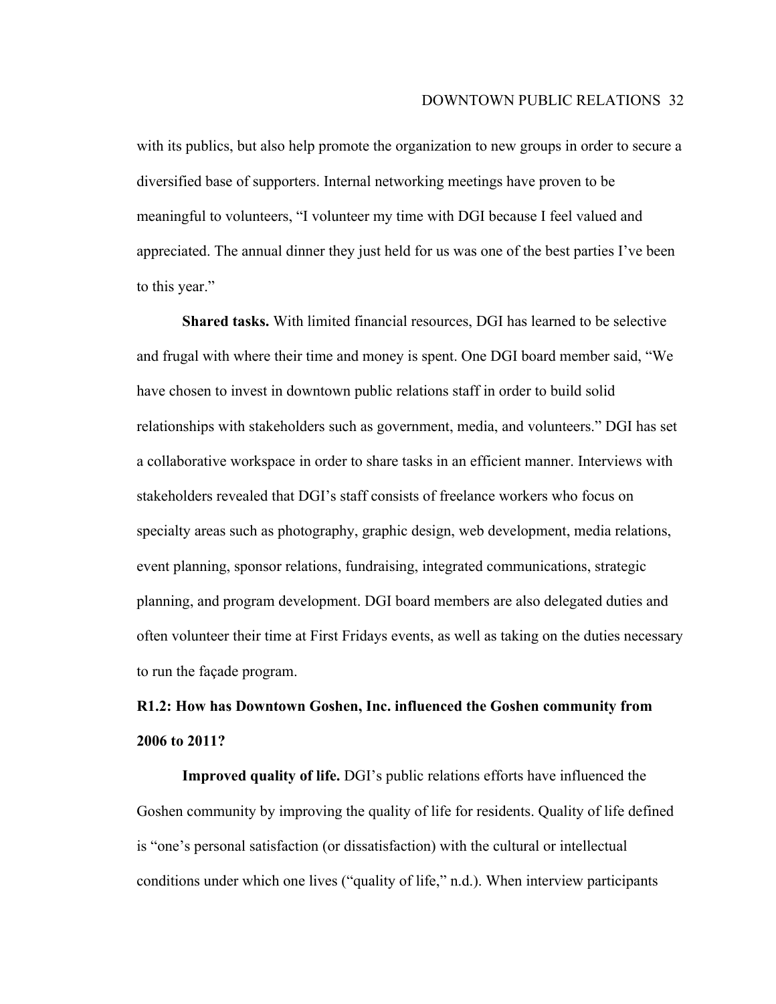with its publics, but also help promote the organization to new groups in order to secure a diversified base of supporters. Internal networking meetings have proven to be meaningful to volunteers, "I volunteer my time with DGI because I feel valued and appreciated. The annual dinner they just held for us was one of the best parties I've been to this year."

**Shared tasks.** With limited financial resources, DGI has learned to be selective and frugal with where their time and money is spent. One DGI board member said, "We have chosen to invest in downtown public relations staff in order to build solid relationships with stakeholders such as government, media, and volunteers." DGI has set a collaborative workspace in order to share tasks in an efficient manner. Interviews with stakeholders revealed that DGI's staff consists of freelance workers who focus on specialty areas such as photography, graphic design, web development, media relations, event planning, sponsor relations, fundraising, integrated communications, strategic planning, and program development. DGI board members are also delegated duties and often volunteer their time at First Fridays events, as well as taking on the duties necessary to run the façade program.

## **R1.2: How has Downtown Goshen, Inc. influenced the Goshen community from 2006 to 2011?**

**Improved quality of life.** DGI's public relations efforts have influenced the Goshen community by improving the quality of life for residents. Quality of life defined is "one's personal satisfaction (or dissatisfaction) with the cultural or intellectual conditions under which one lives ("quality of life," n.d.). When interview participants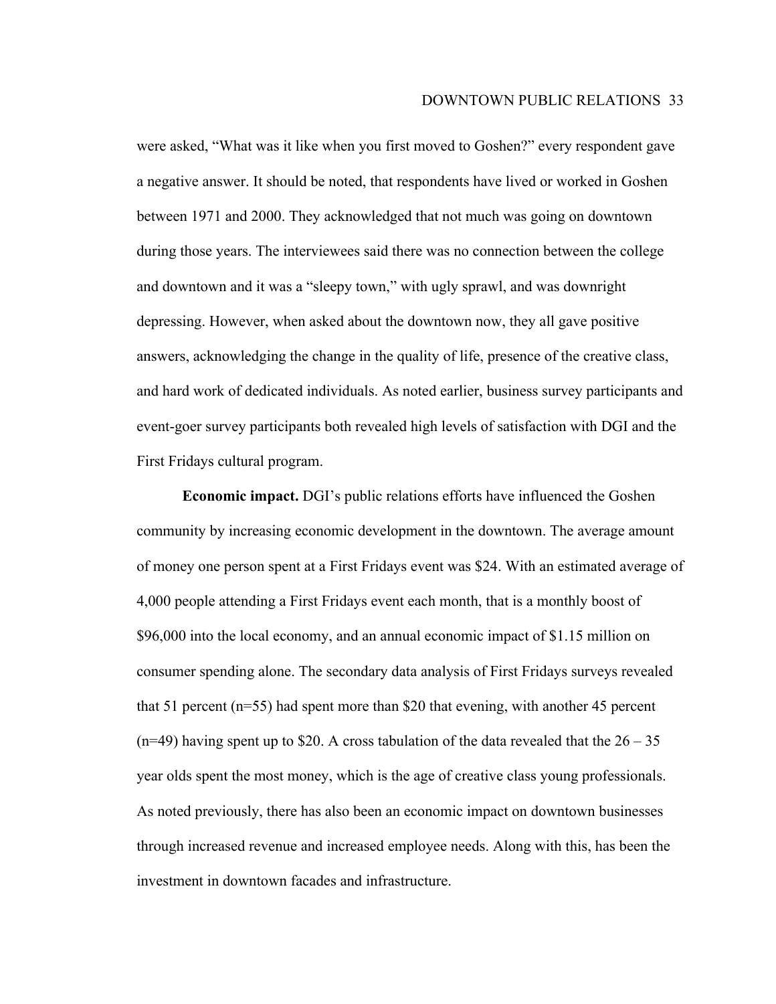were asked, "What was it like when you first moved to Goshen?" every respondent gave a negative answer. It should be noted, that respondents have lived or worked in Goshen between 1971 and 2000. They acknowledged that not much was going on downtown during those years. The interviewees said there was no connection between the college and downtown and it was a "sleepy town," with ugly sprawl, and was downright depressing. However, when asked about the downtown now, they all gave positive answers, acknowledging the change in the quality of life, presence of the creative class, and hard work of dedicated individuals. As noted earlier, business survey participants and event-goer survey participants both revealed high levels of satisfaction with DGI and the First Fridays cultural program.

**Economic impact.** DGI's public relations efforts have influenced the Goshen community by increasing economic development in the downtown. The average amount of money one person spent at a First Fridays event was \$24. With an estimated average of 4,000 people attending a First Fridays event each month, that is a monthly boost of \$96,000 into the local economy, and an annual economic impact of \$1.15 million on consumer spending alone. The secondary data analysis of First Fridays surveys revealed that 51 percent (n=55) had spent more than \$20 that evening, with another 45 percent  $(n=49)$  having spent up to \$20. A cross tabulation of the data revealed that the  $26 - 35$ year olds spent the most money, which is the age of creative class young professionals. As noted previously, there has also been an economic impact on downtown businesses through increased revenue and increased employee needs. Along with this, has been the investment in downtown facades and infrastructure.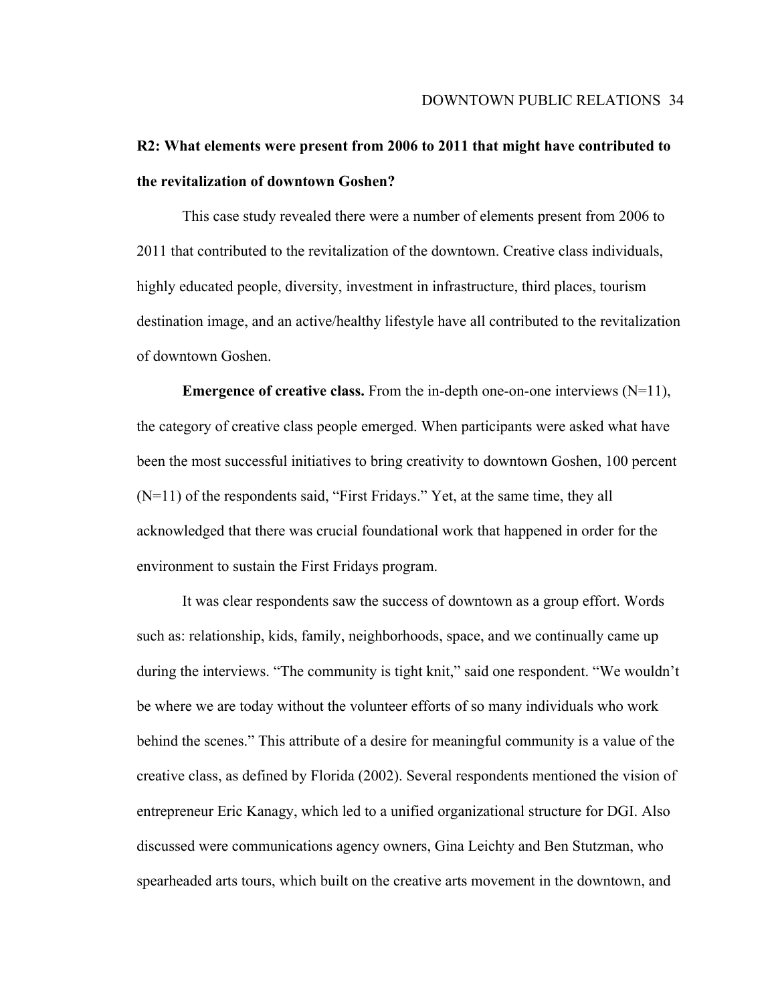## **R2: What elements were present from 2006 to 2011 that might have contributed to the revitalization of downtown Goshen?**

This case study revealed there were a number of elements present from 2006 to 2011 that contributed to the revitalization of the downtown. Creative class individuals, highly educated people, diversity, investment in infrastructure, third places, tourism destination image, and an active/healthy lifestyle have all contributed to the revitalization of downtown Goshen.

**Emergence of creative class.** From the in-depth one-on-one interviews  $(N=11)$ , the category of creative class people emerged. When participants were asked what have been the most successful initiatives to bring creativity to downtown Goshen, 100 percent (N=11) of the respondents said, "First Fridays." Yet, at the same time, they all acknowledged that there was crucial foundational work that happened in order for the environment to sustain the First Fridays program.

It was clear respondents saw the success of downtown as a group effort. Words such as: relationship, kids, family, neighborhoods, space, and we continually came up during the interviews. "The community is tight knit," said one respondent. "We wouldn't be where we are today without the volunteer efforts of so many individuals who work behind the scenes." This attribute of a desire for meaningful community is a value of the creative class, as defined by Florida (2002). Several respondents mentioned the vision of entrepreneur Eric Kanagy, which led to a unified organizational structure for DGI. Also discussed were communications agency owners, Gina Leichty and Ben Stutzman, who spearheaded arts tours, which built on the creative arts movement in the downtown, and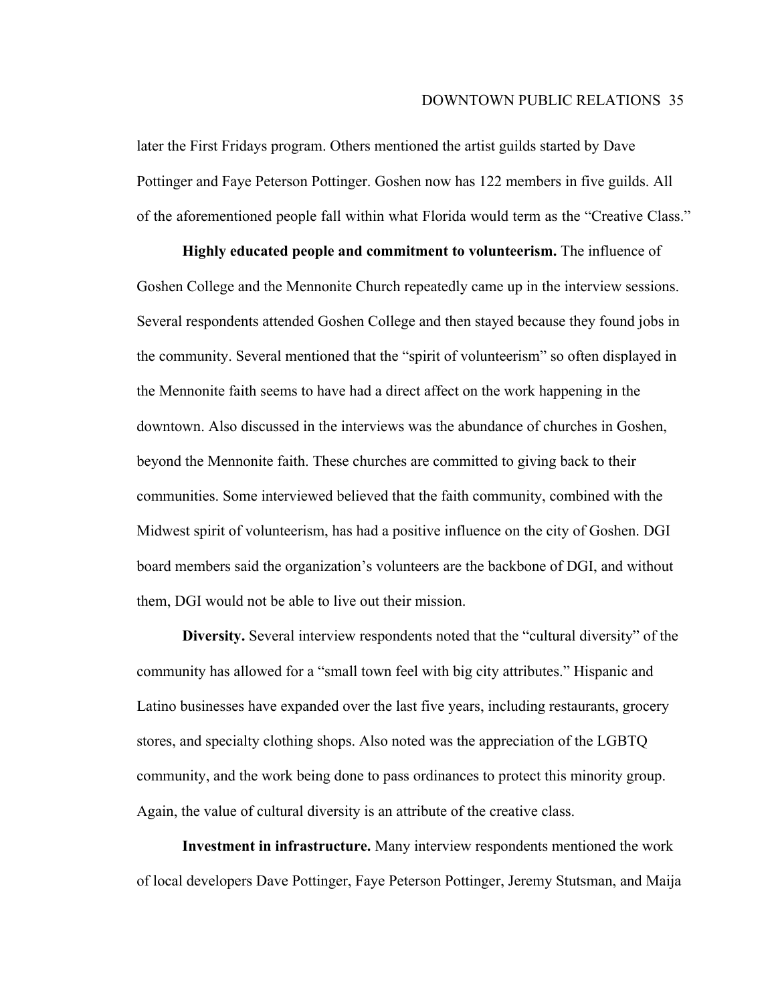later the First Fridays program. Others mentioned the artist guilds started by Dave Pottinger and Faye Peterson Pottinger. Goshen now has 122 members in five guilds. All of the aforementioned people fall within what Florida would term as the "Creative Class."

**Highly educated people and commitment to volunteerism.** The influence of Goshen College and the Mennonite Church repeatedly came up in the interview sessions. Several respondents attended Goshen College and then stayed because they found jobs in the community. Several mentioned that the "spirit of volunteerism" so often displayed in the Mennonite faith seems to have had a direct affect on the work happening in the downtown. Also discussed in the interviews was the abundance of churches in Goshen, beyond the Mennonite faith. These churches are committed to giving back to their communities. Some interviewed believed that the faith community, combined with the Midwest spirit of volunteerism, has had a positive influence on the city of Goshen. DGI board members said the organization's volunteers are the backbone of DGI, and without them, DGI would not be able to live out their mission.

**Diversity.** Several interview respondents noted that the "cultural diversity" of the community has allowed for a "small town feel with big city attributes." Hispanic and Latino businesses have expanded over the last five years, including restaurants, grocery stores, and specialty clothing shops. Also noted was the appreciation of the LGBTQ community, and the work being done to pass ordinances to protect this minority group. Again, the value of cultural diversity is an attribute of the creative class.

**Investment in infrastructure.** Many interview respondents mentioned the work of local developers Dave Pottinger, Faye Peterson Pottinger, Jeremy Stutsman, and Maija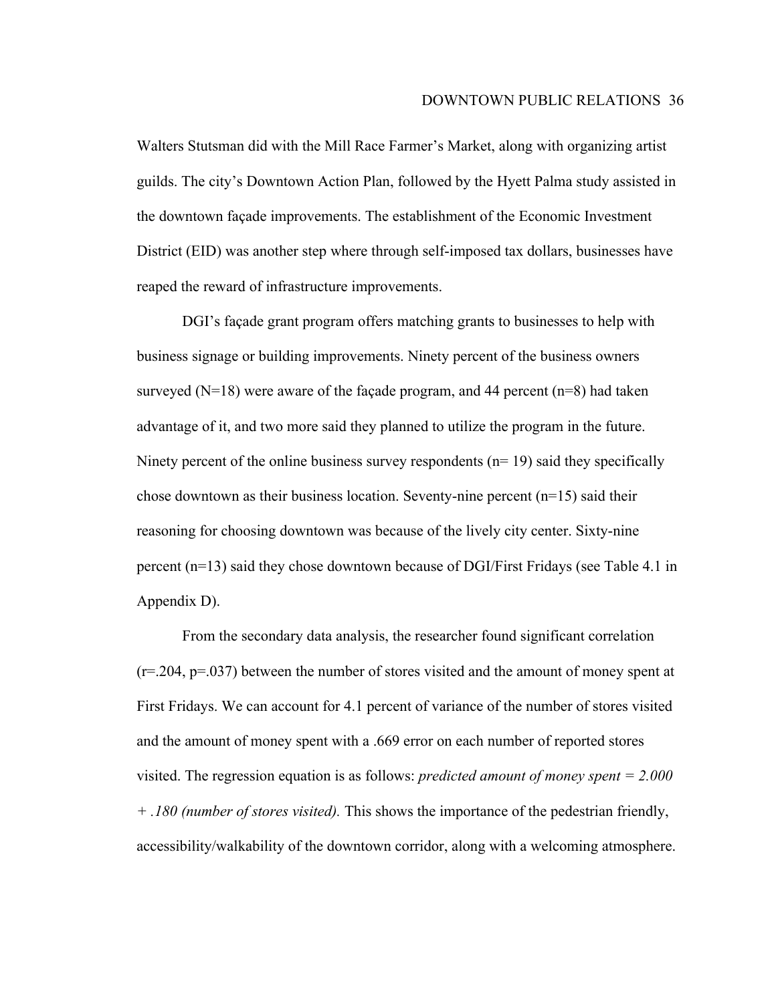Walters Stutsman did with the Mill Race Farmer's Market, along with organizing artist guilds. The city's Downtown Action Plan, followed by the Hyett Palma study assisted in the downtown façade improvements. The establishment of the Economic Investment District (EID) was another step where through self-imposed tax dollars, businesses have reaped the reward of infrastructure improvements.

DGI's façade grant program offers matching grants to businesses to help with business signage or building improvements. Ninety percent of the business owners surveyed  $(N=18)$  were aware of the façade program, and 44 percent  $(n=8)$  had taken advantage of it, and two more said they planned to utilize the program in the future. Ninety percent of the online business survey respondents ( $n=19$ ) said they specifically chose downtown as their business location. Seventy-nine percent  $(n=15)$  said their reasoning for choosing downtown was because of the lively city center. Sixty-nine percent (n=13) said they chose downtown because of DGI/First Fridays (see Table 4.1 in Appendix D).

From the secondary data analysis, the researcher found significant correlation  $(r=204, p=037)$  between the number of stores visited and the amount of money spent at First Fridays. We can account for 4.1 percent of variance of the number of stores visited and the amount of money spent with a .669 error on each number of reported stores visited. The regression equation is as follows: *predicted amount of money spent = 2.000 + .180 (number of stores visited).* This shows the importance of the pedestrian friendly, accessibility/walkability of the downtown corridor, along with a welcoming atmosphere.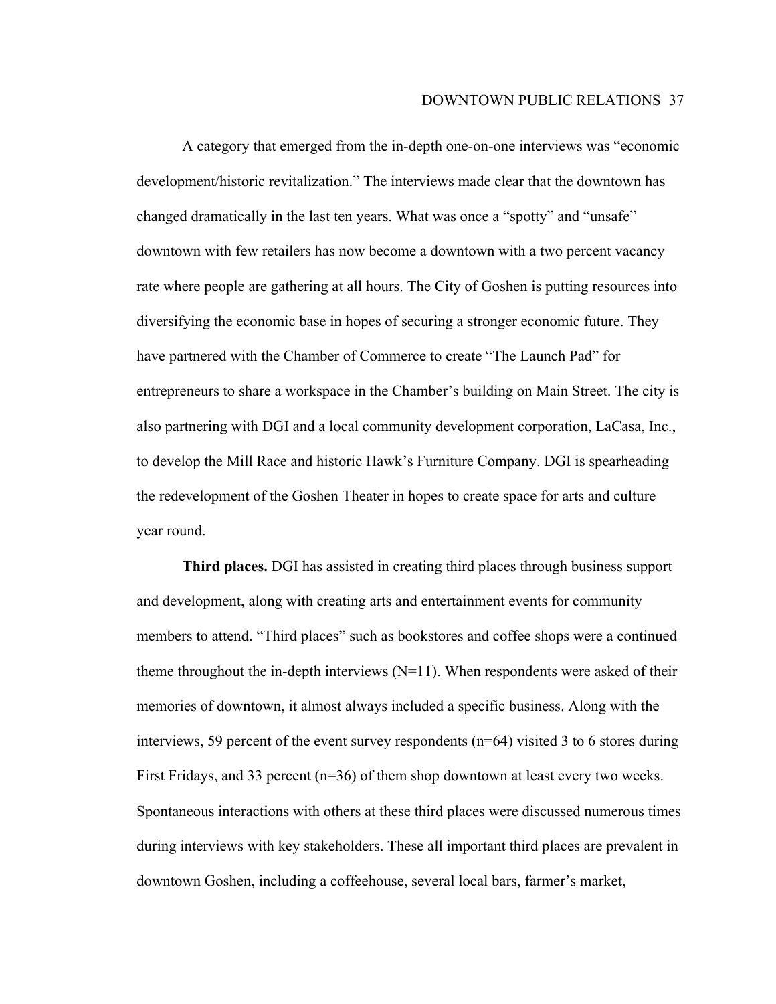A category that emerged from the in-depth one-on-one interviews was "economic development/historic revitalization." The interviews made clear that the downtown has changed dramatically in the last ten years. What was once a "spotty" and "unsafe" downtown with few retailers has now become a downtown with a two percent vacancy rate where people are gathering at all hours. The City of Goshen is putting resources into diversifying the economic base in hopes of securing a stronger economic future. They have partnered with the Chamber of Commerce to create "The Launch Pad" for entrepreneurs to share a workspace in the Chamber's building on Main Street. The city is also partnering with DGI and a local community development corporation, LaCasa, Inc., to develop the Mill Race and historic Hawk's Furniture Company. DGI is spearheading the redevelopment of the Goshen Theater in hopes to create space for arts and culture year round.

**Third places.** DGI has assisted in creating third places through business support and development, along with creating arts and entertainment events for community members to attend. "Third places" such as bookstores and coffee shops were a continued theme throughout the in-depth interviews  $(N=11)$ . When respondents were asked of their memories of downtown, it almost always included a specific business. Along with the interviews, 59 percent of the event survey respondents (n=64) visited 3 to 6 stores during First Fridays, and 33 percent  $(n=36)$  of them shop downtown at least every two weeks. Spontaneous interactions with others at these third places were discussed numerous times during interviews with key stakeholders. These all important third places are prevalent in downtown Goshen, including a coffeehouse, several local bars, farmer's market,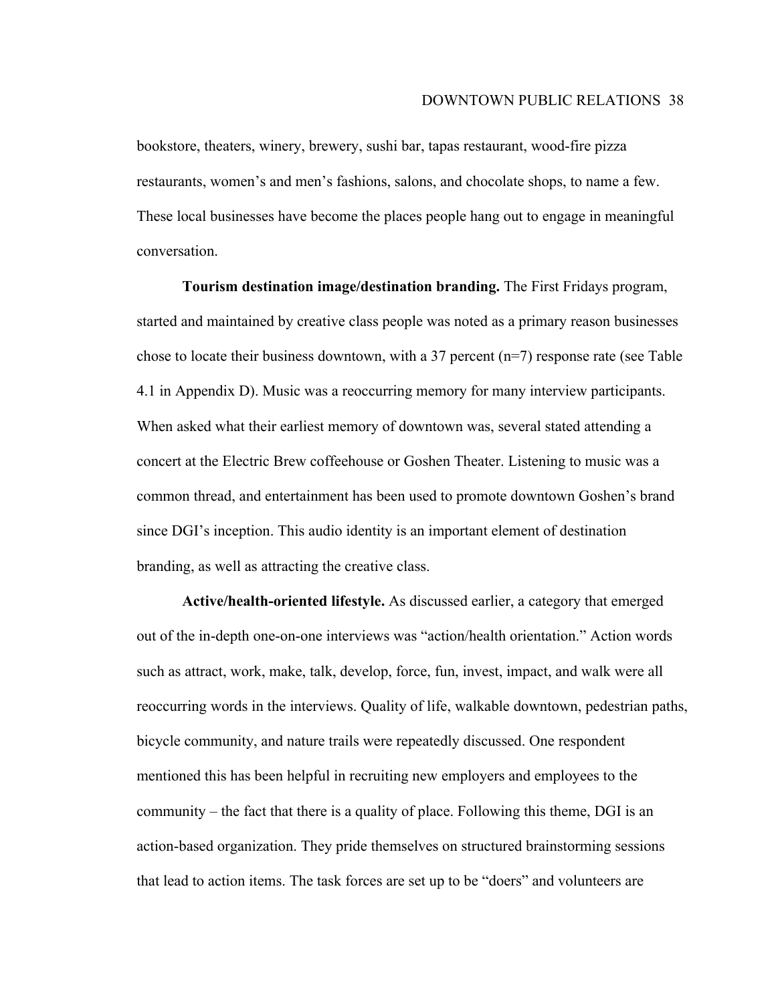bookstore, theaters, winery, brewery, sushi bar, tapas restaurant, wood-fire pizza restaurants, women's and men's fashions, salons, and chocolate shops, to name a few. These local businesses have become the places people hang out to engage in meaningful conversation.

**Tourism destination image/destination branding.** The First Fridays program, started and maintained by creative class people was noted as a primary reason businesses chose to locate their business downtown, with a 37 percent (n=7) response rate (see Table 4.1 in Appendix D). Music was a reoccurring memory for many interview participants. When asked what their earliest memory of downtown was, several stated attending a concert at the Electric Brew coffeehouse or Goshen Theater. Listening to music was a common thread, and entertainment has been used to promote downtown Goshen's brand since DGI's inception. This audio identity is an important element of destination branding, as well as attracting the creative class.

**Active/health-oriented lifestyle.** As discussed earlier, a category that emerged out of the in-depth one-on-one interviews was "action/health orientation." Action words such as attract, work, make, talk, develop, force, fun, invest, impact, and walk were all reoccurring words in the interviews. Quality of life, walkable downtown, pedestrian paths, bicycle community, and nature trails were repeatedly discussed. One respondent mentioned this has been helpful in recruiting new employers and employees to the community – the fact that there is a quality of place. Following this theme, DGI is an action-based organization. They pride themselves on structured brainstorming sessions that lead to action items. The task forces are set up to be "doers" and volunteers are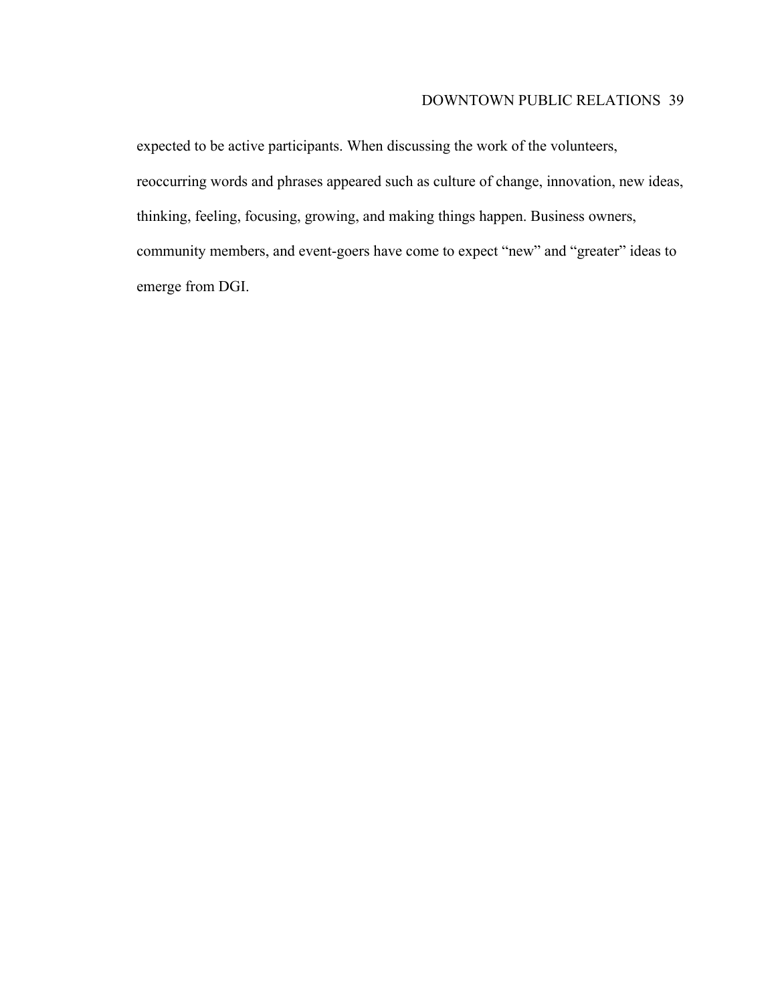# DOWNTOWN PUBLIC RELATIONS 39

expected to be active participants. When discussing the work of the volunteers, reoccurring words and phrases appeared such as culture of change, innovation, new ideas, thinking, feeling, focusing, growing, and making things happen. Business owners, community members, and event-goers have come to expect "new" and "greater" ideas to emerge from DGI.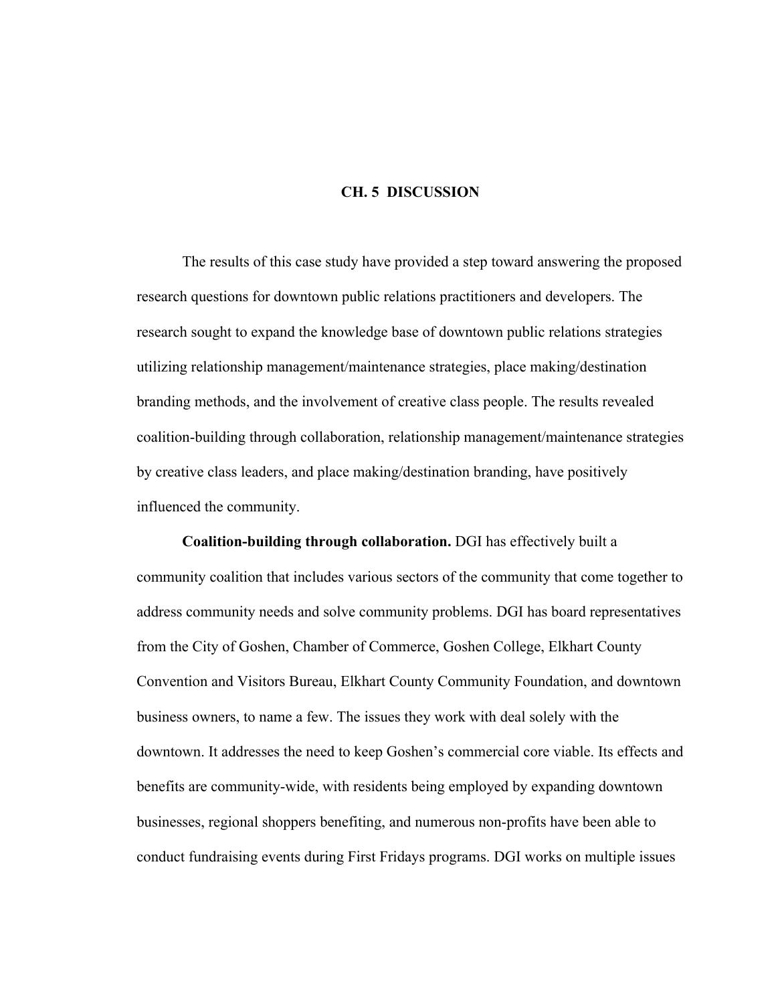#### **CH. 5 DISCUSSION**

The results of this case study have provided a step toward answering the proposed research questions for downtown public relations practitioners and developers. The research sought to expand the knowledge base of downtown public relations strategies utilizing relationship management/maintenance strategies, place making/destination branding methods, and the involvement of creative class people. The results revealed coalition-building through collaboration, relationship management/maintenance strategies by creative class leaders, and place making/destination branding, have positively influenced the community.

**Coalition-building through collaboration.** DGI has effectively built a community coalition that includes various sectors of the community that come together to address community needs and solve community problems. DGI has board representatives from the City of Goshen, Chamber of Commerce, Goshen College, Elkhart County Convention and Visitors Bureau, Elkhart County Community Foundation, and downtown business owners, to name a few. The issues they work with deal solely with the downtown. It addresses the need to keep Goshen's commercial core viable. Its effects and benefits are community-wide, with residents being employed by expanding downtown businesses, regional shoppers benefiting, and numerous non-profits have been able to conduct fundraising events during First Fridays programs. DGI works on multiple issues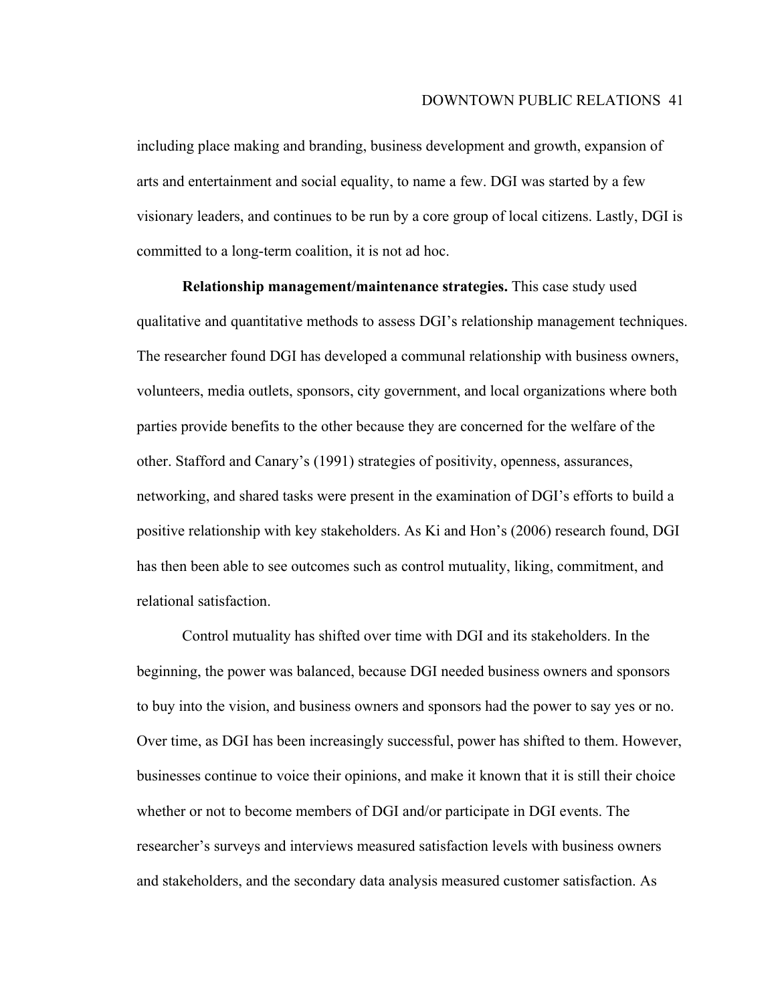including place making and branding, business development and growth, expansion of arts and entertainment and social equality, to name a few. DGI was started by a few visionary leaders, and continues to be run by a core group of local citizens. Lastly, DGI is committed to a long-term coalition, it is not ad hoc.

**Relationship management/maintenance strategies.** This case study used qualitative and quantitative methods to assess DGI's relationship management techniques. The researcher found DGI has developed a communal relationship with business owners, volunteers, media outlets, sponsors, city government, and local organizations where both parties provide benefits to the other because they are concerned for the welfare of the other. Stafford and Canary's (1991) strategies of positivity, openness, assurances, networking, and shared tasks were present in the examination of DGI's efforts to build a positive relationship with key stakeholders. As Ki and Hon's (2006) research found, DGI has then been able to see outcomes such as control mutuality, liking, commitment, and relational satisfaction.

Control mutuality has shifted over time with DGI and its stakeholders. In the beginning, the power was balanced, because DGI needed business owners and sponsors to buy into the vision, and business owners and sponsors had the power to say yes or no. Over time, as DGI has been increasingly successful, power has shifted to them. However, businesses continue to voice their opinions, and make it known that it is still their choice whether or not to become members of DGI and/or participate in DGI events. The researcher's surveys and interviews measured satisfaction levels with business owners and stakeholders, and the secondary data analysis measured customer satisfaction. As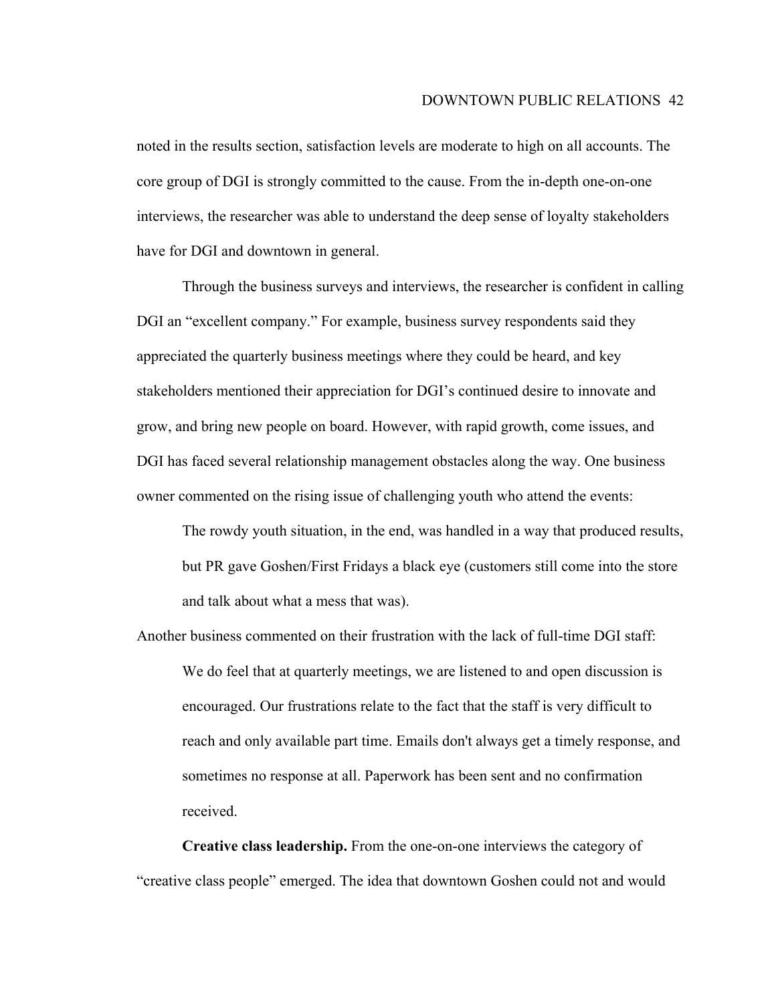noted in the results section, satisfaction levels are moderate to high on all accounts. The core group of DGI is strongly committed to the cause. From the in-depth one-on-one interviews, the researcher was able to understand the deep sense of loyalty stakeholders have for DGI and downtown in general.

Through the business surveys and interviews, the researcher is confident in calling DGI an "excellent company." For example, business survey respondents said they appreciated the quarterly business meetings where they could be heard, and key stakeholders mentioned their appreciation for DGI's continued desire to innovate and grow, and bring new people on board. However, with rapid growth, come issues, and DGI has faced several relationship management obstacles along the way. One business owner commented on the rising issue of challenging youth who attend the events:

The rowdy youth situation, in the end, was handled in a way that produced results, but PR gave Goshen/First Fridays a black eye (customers still come into the store and talk about what a mess that was).

Another business commented on their frustration with the lack of full-time DGI staff: We do feel that at quarterly meetings, we are listened to and open discussion is encouraged. Our frustrations relate to the fact that the staff is very difficult to reach and only available part time. Emails don't always get a timely response, and sometimes no response at all. Paperwork has been sent and no confirmation received.

**Creative class leadership.** From the one-on-one interviews the category of "creative class people" emerged. The idea that downtown Goshen could not and would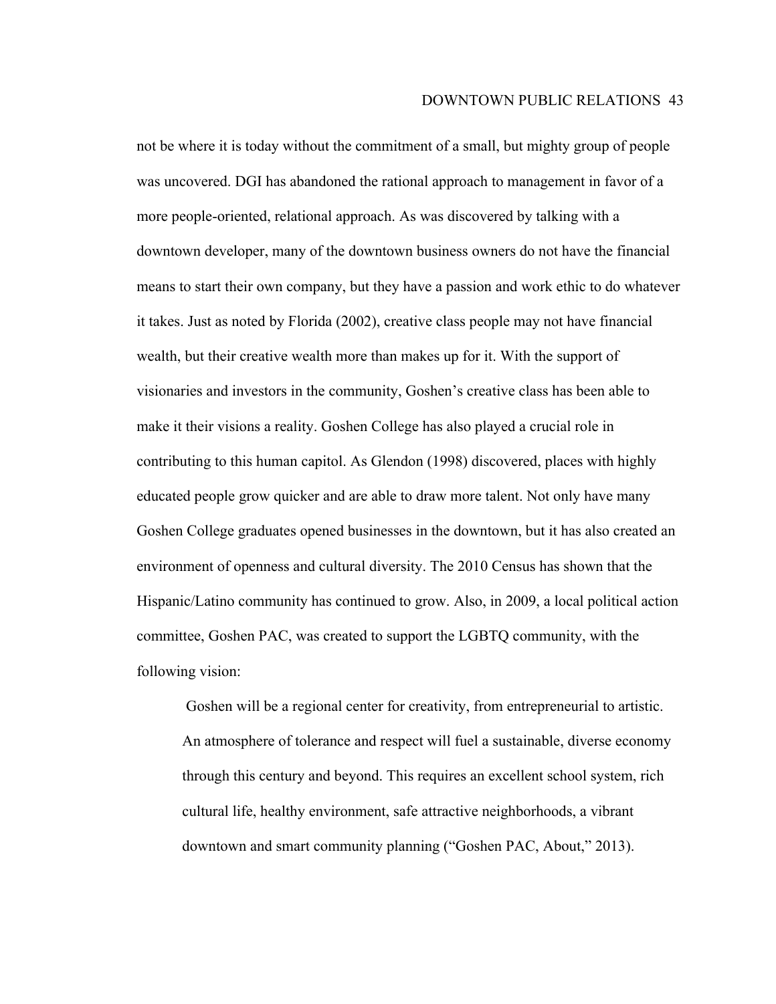not be where it is today without the commitment of a small, but mighty group of people was uncovered. DGI has abandoned the rational approach to management in favor of a more people-oriented, relational approach. As was discovered by talking with a downtown developer, many of the downtown business owners do not have the financial means to start their own company, but they have a passion and work ethic to do whatever it takes. Just as noted by Florida (2002), creative class people may not have financial wealth, but their creative wealth more than makes up for it. With the support of visionaries and investors in the community, Goshen's creative class has been able to make it their visions a reality. Goshen College has also played a crucial role in contributing to this human capitol. As Glendon (1998) discovered, places with highly educated people grow quicker and are able to draw more talent. Not only have many Goshen College graduates opened businesses in the downtown, but it has also created an environment of openness and cultural diversity. The 2010 Census has shown that the Hispanic/Latino community has continued to grow. Also, in 2009, a local political action committee, Goshen PAC, was created to support the LGBTQ community, with the following vision:

Goshen will be a regional center for creativity, from entrepreneurial to artistic. An atmosphere of tolerance and respect will fuel a sustainable, diverse economy through this century and beyond. This requires an excellent school system, rich cultural life, healthy environment, safe attractive neighborhoods, a vibrant downtown and smart community planning ("Goshen PAC, About," 2013).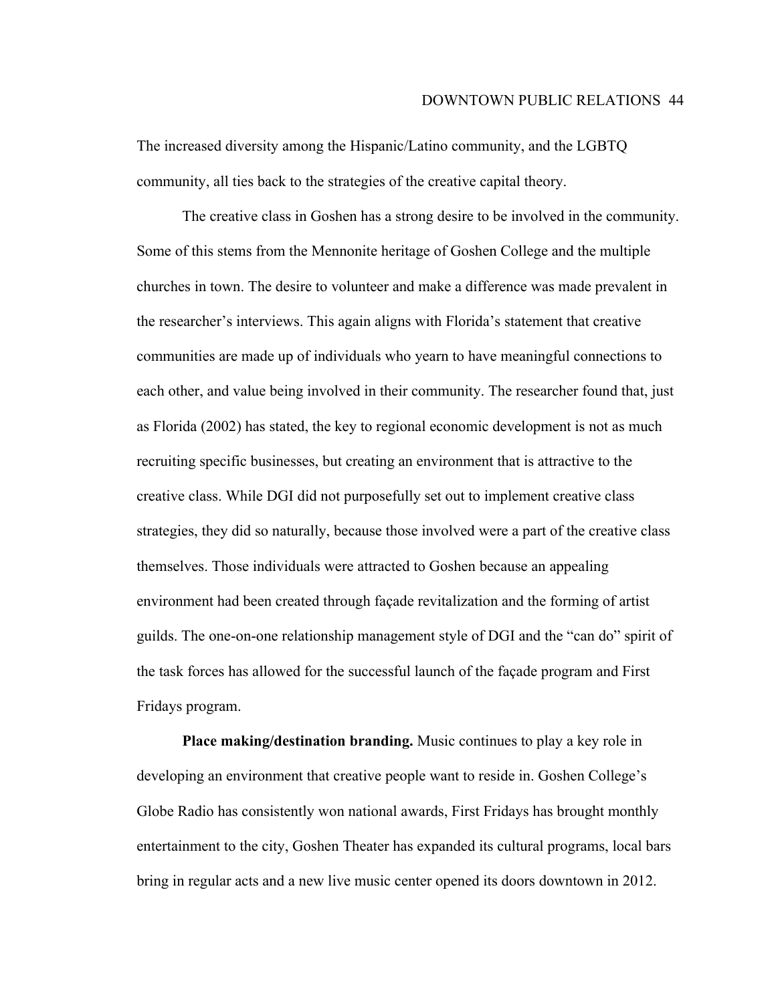The increased diversity among the Hispanic/Latino community, and the LGBTQ community, all ties back to the strategies of the creative capital theory.

The creative class in Goshen has a strong desire to be involved in the community. Some of this stems from the Mennonite heritage of Goshen College and the multiple churches in town. The desire to volunteer and make a difference was made prevalent in the researcher's interviews. This again aligns with Florida's statement that creative communities are made up of individuals who yearn to have meaningful connections to each other, and value being involved in their community. The researcher found that, just as Florida (2002) has stated, the key to regional economic development is not as much recruiting specific businesses, but creating an environment that is attractive to the creative class. While DGI did not purposefully set out to implement creative class strategies, they did so naturally, because those involved were a part of the creative class themselves. Those individuals were attracted to Goshen because an appealing environment had been created through façade revitalization and the forming of artist guilds. The one-on-one relationship management style of DGI and the "can do" spirit of the task forces has allowed for the successful launch of the façade program and First Fridays program.

**Place making/destination branding.** Music continues to play a key role in developing an environment that creative people want to reside in. Goshen College's Globe Radio has consistently won national awards, First Fridays has brought monthly entertainment to the city, Goshen Theater has expanded its cultural programs, local bars bring in regular acts and a new live music center opened its doors downtown in 2012.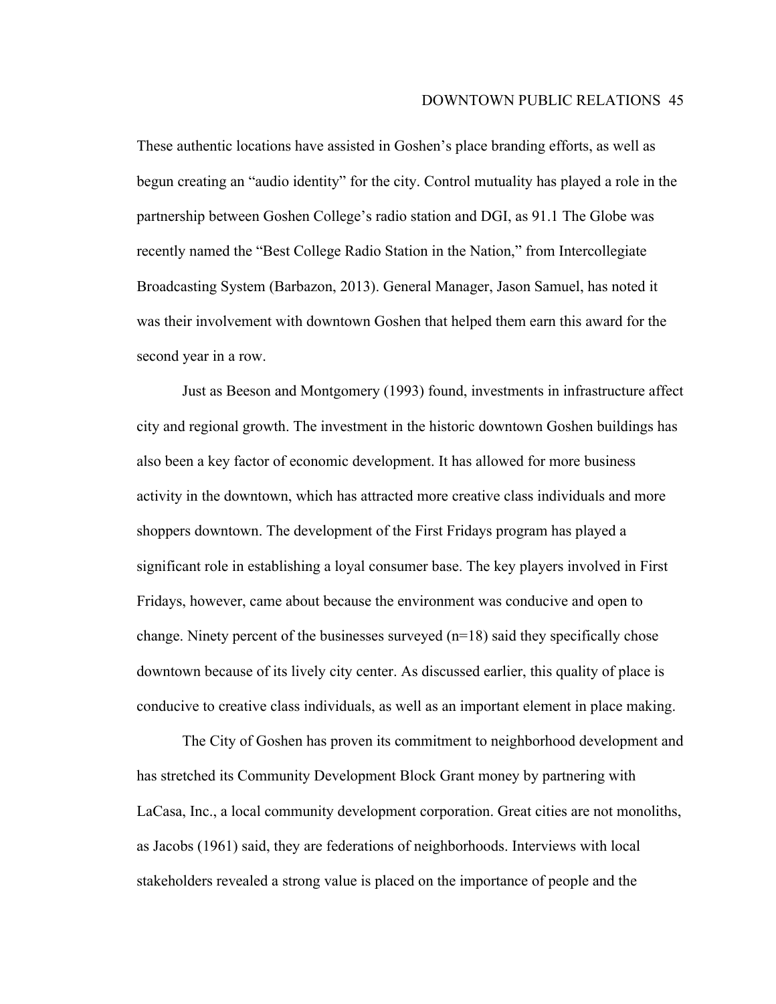These authentic locations have assisted in Goshen's place branding efforts, as well as begun creating an "audio identity" for the city. Control mutuality has played a role in the partnership between Goshen College's radio station and DGI, as 91.1 The Globe was recently named the "Best College Radio Station in the Nation," from Intercollegiate Broadcasting System (Barbazon, 2013). General Manager, Jason Samuel, has noted it was their involvement with downtown Goshen that helped them earn this award for the second year in a row.

Just as Beeson and Montgomery (1993) found, investments in infrastructure affect city and regional growth. The investment in the historic downtown Goshen buildings has also been a key factor of economic development. It has allowed for more business activity in the downtown, which has attracted more creative class individuals and more shoppers downtown. The development of the First Fridays program has played a significant role in establishing a loyal consumer base. The key players involved in First Fridays, however, came about because the environment was conducive and open to change. Ninety percent of the businesses surveyed (n=18) said they specifically chose downtown because of its lively city center. As discussed earlier, this quality of place is conducive to creative class individuals, as well as an important element in place making.

The City of Goshen has proven its commitment to neighborhood development and has stretched its Community Development Block Grant money by partnering with LaCasa, Inc., a local community development corporation. Great cities are not monoliths, as Jacobs (1961) said, they are federations of neighborhoods. Interviews with local stakeholders revealed a strong value is placed on the importance of people and the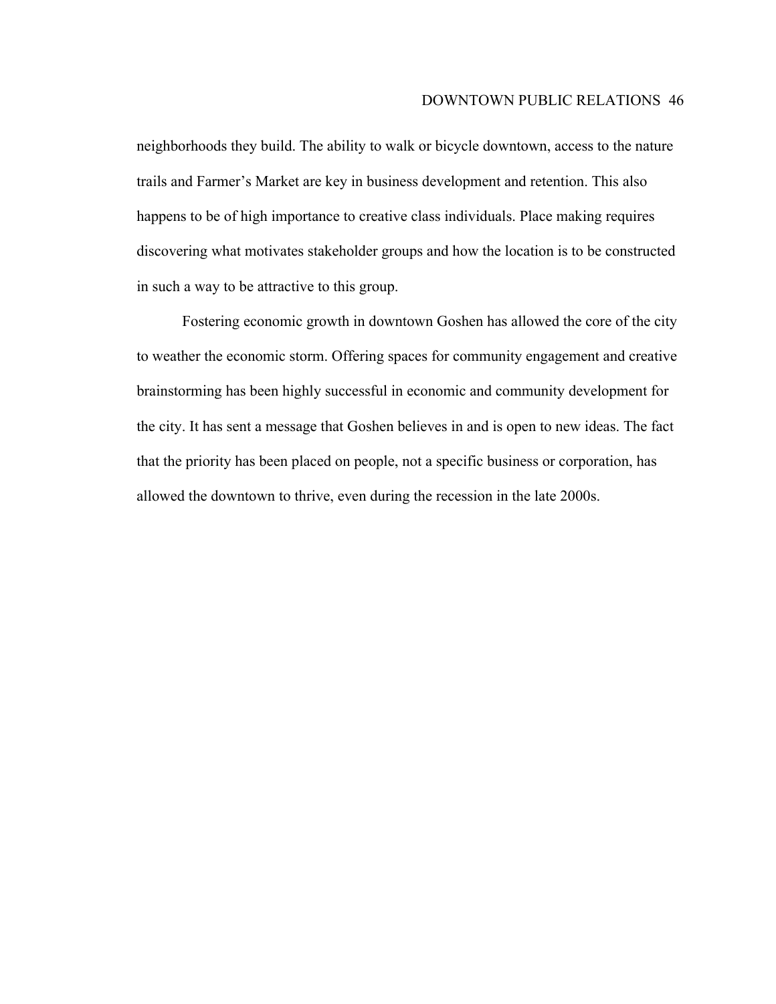neighborhoods they build. The ability to walk or bicycle downtown, access to the nature trails and Farmer's Market are key in business development and retention. This also happens to be of high importance to creative class individuals. Place making requires discovering what motivates stakeholder groups and how the location is to be constructed in such a way to be attractive to this group.

Fostering economic growth in downtown Goshen has allowed the core of the city to weather the economic storm. Offering spaces for community engagement and creative brainstorming has been highly successful in economic and community development for the city. It has sent a message that Goshen believes in and is open to new ideas. The fact that the priority has been placed on people, not a specific business or corporation, has allowed the downtown to thrive, even during the recession in the late 2000s.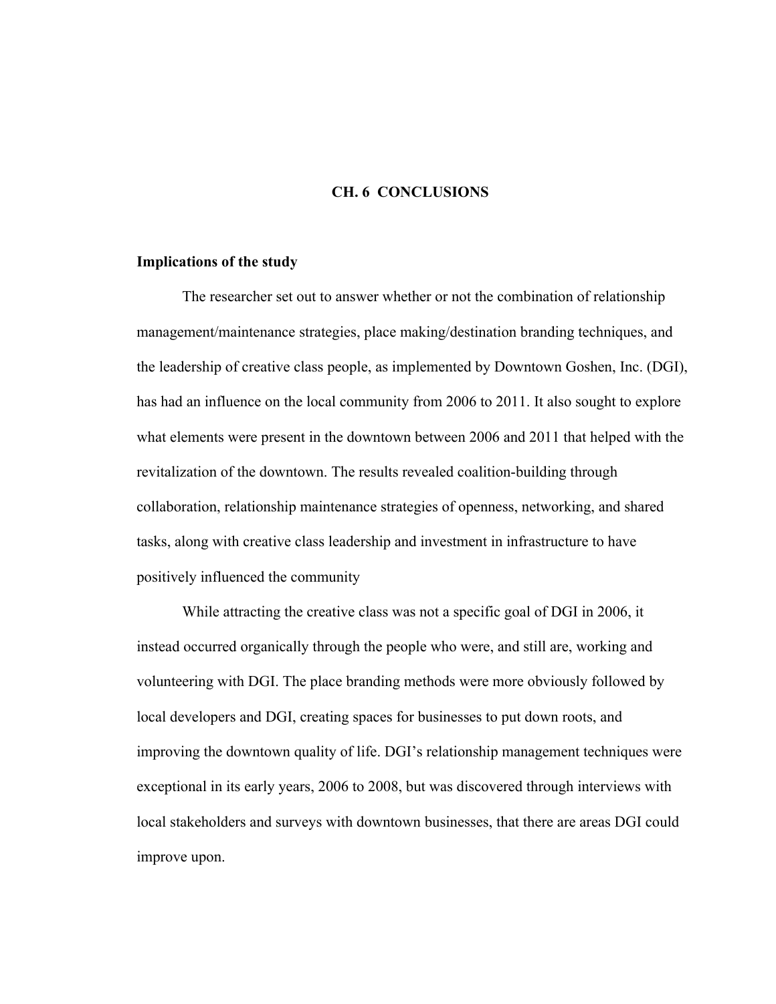#### **CH. 6 CONCLUSIONS**

#### **Implications of the study**

The researcher set out to answer whether or not the combination of relationship management/maintenance strategies, place making/destination branding techniques, and the leadership of creative class people, as implemented by Downtown Goshen, Inc. (DGI), has had an influence on the local community from 2006 to 2011. It also sought to explore what elements were present in the downtown between 2006 and 2011 that helped with the revitalization of the downtown. The results revealed coalition-building through collaboration, relationship maintenance strategies of openness, networking, and shared tasks, along with creative class leadership and investment in infrastructure to have positively influenced the community

While attracting the creative class was not a specific goal of DGI in 2006, it instead occurred organically through the people who were, and still are, working and volunteering with DGI. The place branding methods were more obviously followed by local developers and DGI, creating spaces for businesses to put down roots, and improving the downtown quality of life. DGI's relationship management techniques were exceptional in its early years, 2006 to 2008, but was discovered through interviews with local stakeholders and surveys with downtown businesses, that there are areas DGI could improve upon.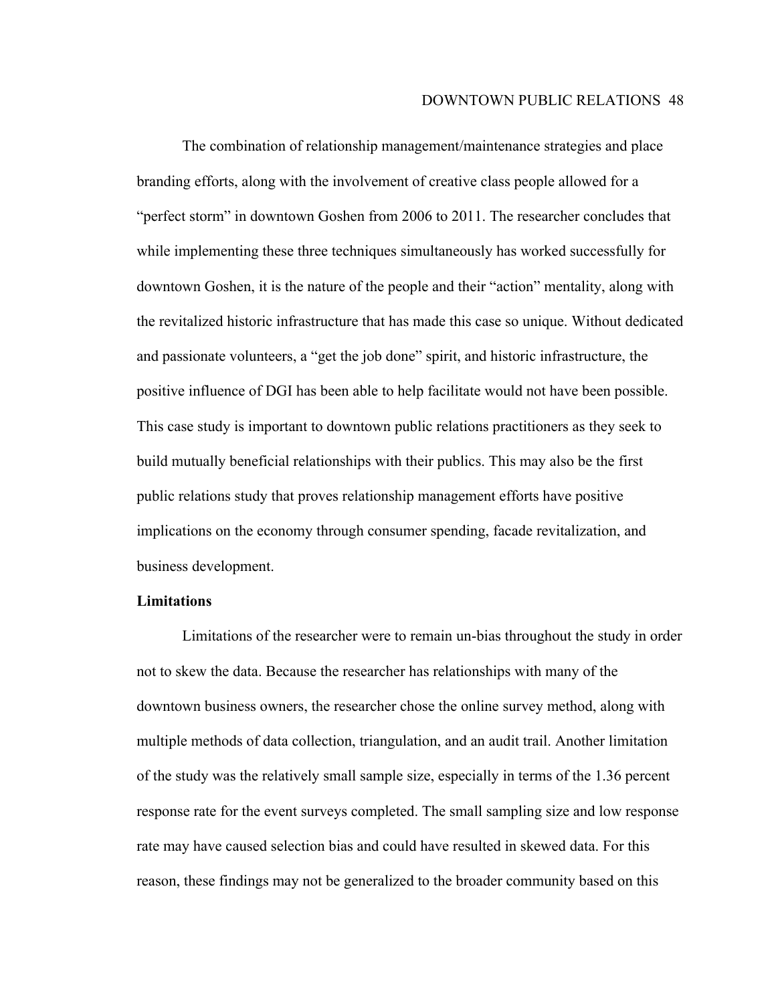The combination of relationship management/maintenance strategies and place branding efforts, along with the involvement of creative class people allowed for a "perfect storm" in downtown Goshen from 2006 to 2011. The researcher concludes that while implementing these three techniques simultaneously has worked successfully for downtown Goshen, it is the nature of the people and their "action" mentality, along with the revitalized historic infrastructure that has made this case so unique. Without dedicated and passionate volunteers, a "get the job done" spirit, and historic infrastructure, the positive influence of DGI has been able to help facilitate would not have been possible. This case study is important to downtown public relations practitioners as they seek to build mutually beneficial relationships with their publics. This may also be the first public relations study that proves relationship management efforts have positive implications on the economy through consumer spending, facade revitalization, and business development.

## **Limitations**

Limitations of the researcher were to remain un-bias throughout the study in order not to skew the data. Because the researcher has relationships with many of the downtown business owners, the researcher chose the online survey method, along with multiple methods of data collection, triangulation, and an audit trail. Another limitation of the study was the relatively small sample size, especially in terms of the 1.36 percent response rate for the event surveys completed. The small sampling size and low response rate may have caused selection bias and could have resulted in skewed data. For this reason, these findings may not be generalized to the broader community based on this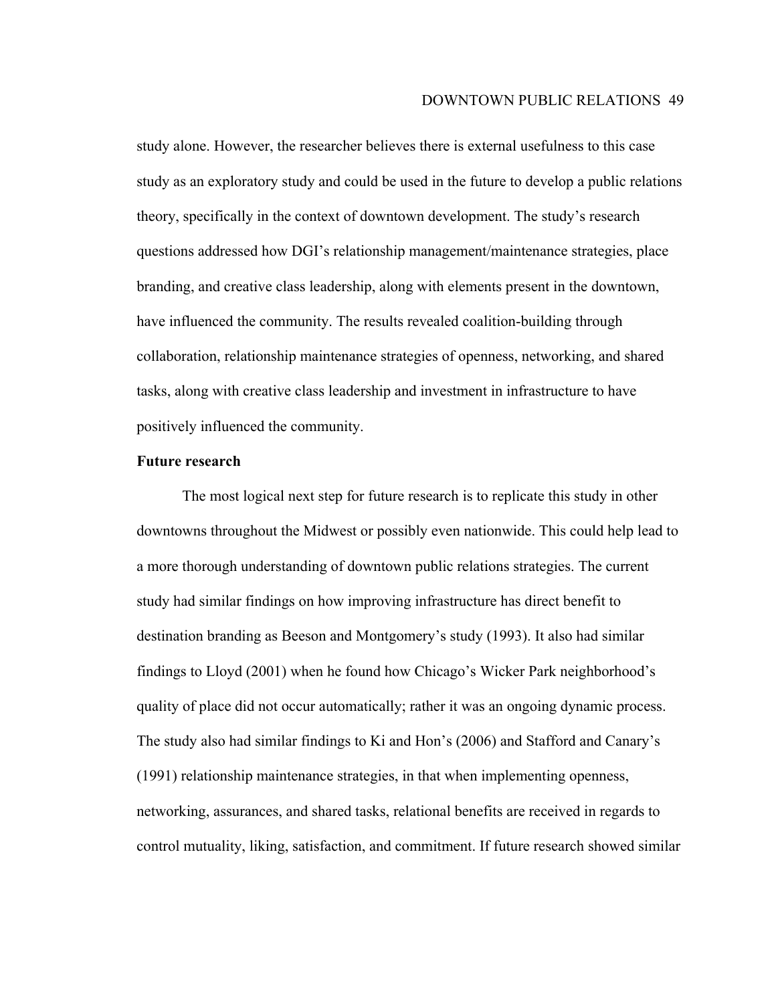study alone. However, the researcher believes there is external usefulness to this case study as an exploratory study and could be used in the future to develop a public relations theory, specifically in the context of downtown development. The study's research questions addressed how DGI's relationship management/maintenance strategies, place branding, and creative class leadership, along with elements present in the downtown, have influenced the community. The results revealed coalition-building through collaboration, relationship maintenance strategies of openness, networking, and shared tasks, along with creative class leadership and investment in infrastructure to have positively influenced the community.

## **Future research**

The most logical next step for future research is to replicate this study in other downtowns throughout the Midwest or possibly even nationwide. This could help lead to a more thorough understanding of downtown public relations strategies. The current study had similar findings on how improving infrastructure has direct benefit to destination branding as Beeson and Montgomery's study (1993). It also had similar findings to Lloyd (2001) when he found how Chicago's Wicker Park neighborhood's quality of place did not occur automatically; rather it was an ongoing dynamic process. The study also had similar findings to Ki and Hon's (2006) and Stafford and Canary's (1991) relationship maintenance strategies, in that when implementing openness, networking, assurances, and shared tasks, relational benefits are received in regards to control mutuality, liking, satisfaction, and commitment. If future research showed similar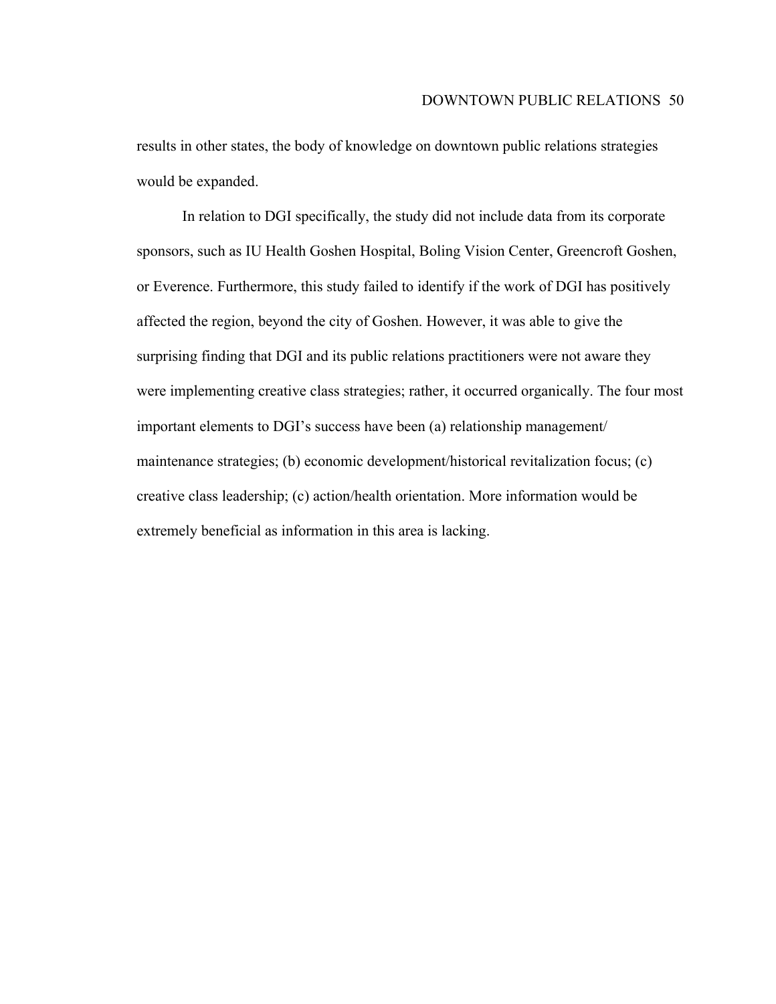results in other states, the body of knowledge on downtown public relations strategies would be expanded.

In relation to DGI specifically, the study did not include data from its corporate sponsors, such as IU Health Goshen Hospital, Boling Vision Center, Greencroft Goshen, or Everence. Furthermore, this study failed to identify if the work of DGI has positively affected the region, beyond the city of Goshen. However, it was able to give the surprising finding that DGI and its public relations practitioners were not aware they were implementing creative class strategies; rather, it occurred organically. The four most important elements to DGI's success have been (a) relationship management/ maintenance strategies; (b) economic development/historical revitalization focus; (c) creative class leadership; (c) action/health orientation. More information would be extremely beneficial as information in this area is lacking.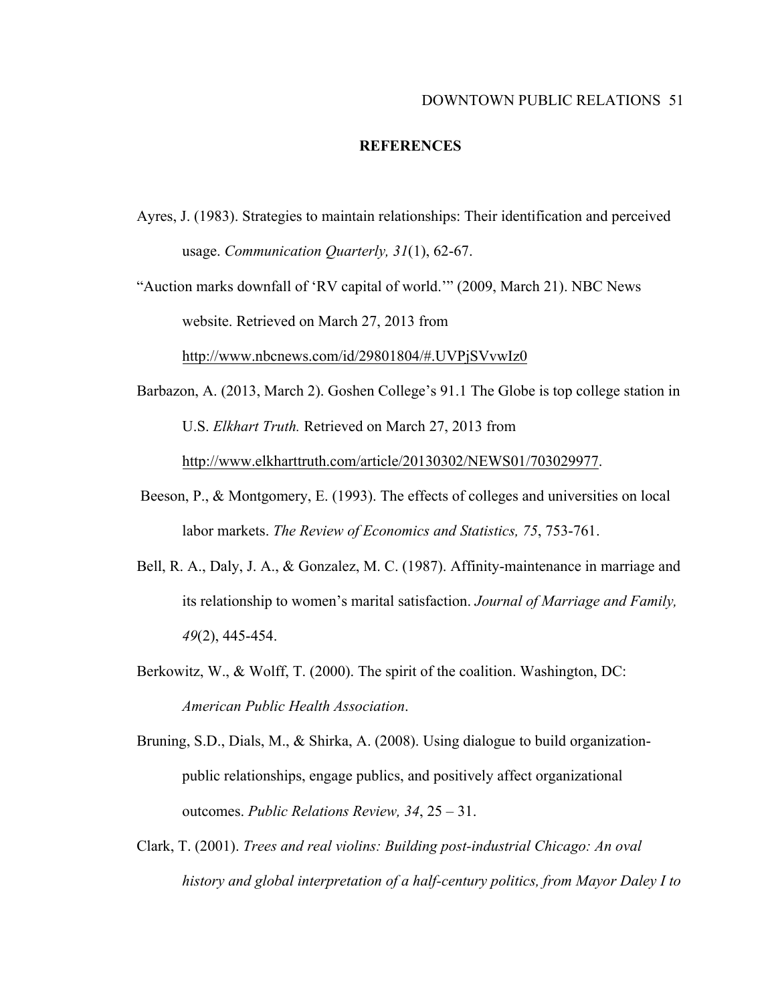#### DOWNTOWN PUBLIC RELATIONS 51

#### **REFERENCES**

Ayres, J. (1983). Strategies to maintain relationships: Their identification and perceived usage. *Communication Quarterly, 31*(1), 62-67.

"Auction marks downfall of 'RV capital of world.'" (2009, March 21). NBC News website. Retrieved on March 27, 2013 from

http://www.nbcnews.com/id/29801804/#.UVPjSVvwIz0

- Barbazon, A. (2013, March 2). Goshen College's 91.1 The Globe is top college station in U.S. *Elkhart Truth.* Retrieved on March 27, 2013 from http://www.elkharttruth.com/article/20130302/NEWS01/703029977.
- Beeson, P., & Montgomery, E. (1993). The effects of colleges and universities on local labor markets. *The Review of Economics and Statistics, 75*, 753-761.
- Bell, R. A., Daly, J. A., & Gonzalez, M. C. (1987). Affinity-maintenance in marriage and its relationship to women's marital satisfaction. *Journal of Marriage and Family, 49*(2), 445-454.
- Berkowitz, W., & Wolff, T. (2000). The spirit of the coalition. Washington, DC: *American Public Health Association*.
- Bruning, S.D., Dials, M., & Shirka, A. (2008). Using dialogue to build organizationpublic relationships, engage publics, and positively affect organizational outcomes. *Public Relations Review, 34*, 25 – 31.
- Clark, T. (2001). *Trees and real violins: Building post-industrial Chicago: An oval history and global interpretation of a half-century politics, from Mayor Daley I to*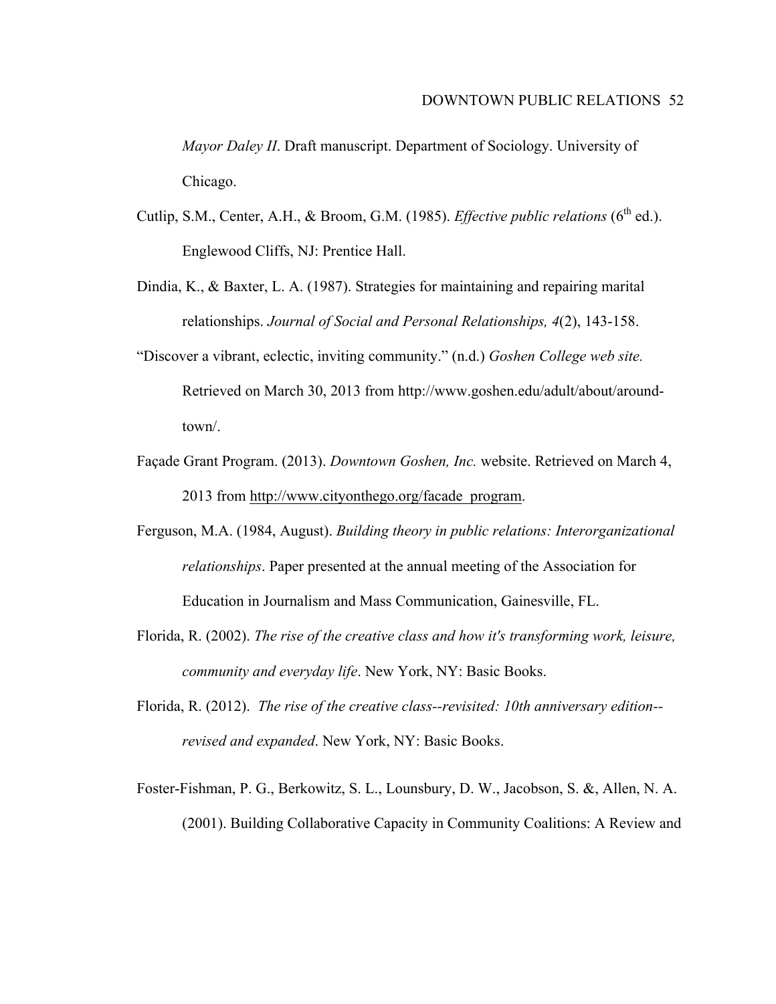*Mayor Daley II*. Draft manuscript. Department of Sociology. University of Chicago.

- Cutlip, S.M., Center, A.H., & Broom, G.M. (1985). *Effective public relations* (6<sup>th</sup> ed.). Englewood Cliffs, NJ: Prentice Hall.
- Dindia, K., & Baxter, L. A. (1987). Strategies for maintaining and repairing marital relationships. *Journal of Social and Personal Relationships, 4*(2), 143-158.
- "Discover a vibrant, eclectic, inviting community." (n.d.) *Goshen College web site.*  Retrieved on March 30, 2013 from http://www.goshen.edu/adult/about/aroundtown/.
- Façade Grant Program. (2013). *Downtown Goshen, Inc.* website. Retrieved on March 4, 2013 from http://www.cityonthego.org/facade\_program.
- Ferguson, M.A. (1984, August). *Building theory in public relations: Interorganizational relationships*. Paper presented at the annual meeting of the Association for Education in Journalism and Mass Communication, Gainesville, FL.
- Florida, R. (2002). *The rise of the creative class and how it's transforming work, leisure, community and everyday life*. New York, NY: Basic Books.
- Florida, R. (2012). *The rise of the creative class--revisited: 10th anniversary edition- revised and expanded*. New York, NY: Basic Books.
- Foster-Fishman, P. G., Berkowitz, S. L., Lounsbury, D. W., Jacobson, S. &, Allen, N. A. (2001). Building Collaborative Capacity in Community Coalitions: A Review and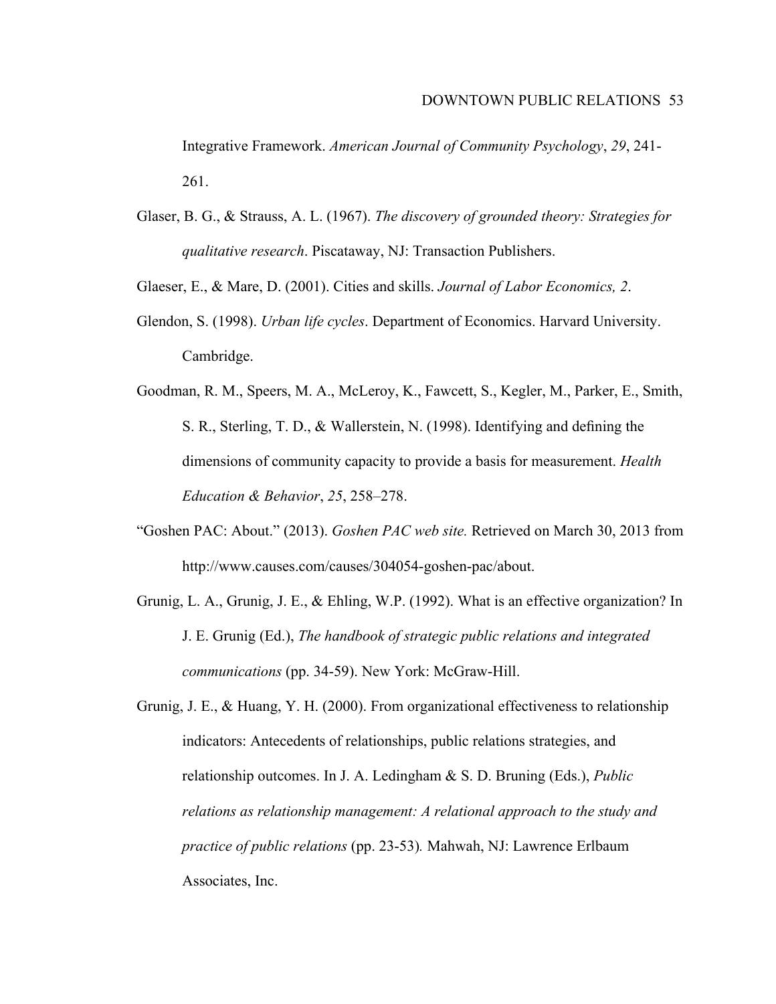Integrative Framework. *American Journal of Community Psychology*, *29*, 241- 261.

Glaser, B. G., & Strauss, A. L. (1967). *The discovery of grounded theory: Strategies for qualitative research*. Piscataway, NJ: Transaction Publishers.

Glaeser, E., & Mare, D. (2001). Cities and skills. *Journal of Labor Economics, 2*.

Glendon, S. (1998). *Urban life cycles*. Department of Economics. Harvard University. Cambridge.

Goodman, R. M., Speers, M. A., McLeroy, K., Fawcett, S., Kegler, M., Parker, E., Smith, S. R., Sterling, T. D., & Wallerstein, N. (1998). Identifying and defining the dimensions of community capacity to provide a basis for measurement. *Health Education & Behavior*, *25*, 258–278.

- "Goshen PAC: About." (2013). *Goshen PAC web site.* Retrieved on March 30, 2013 from http://www.causes.com/causes/304054-goshen-pac/about.
- Grunig, L. A., Grunig, J. E., & Ehling, W.P. (1992). What is an effective organization? In J. E. Grunig (Ed.), *The handbook of strategic public relations and integrated communications* (pp. 34-59). New York: McGraw-Hill.
- Grunig, J. E., & Huang, Y. H. (2000). From organizational effectiveness to relationship indicators: Antecedents of relationships, public relations strategies, and relationship outcomes. In J. A. Ledingham & S. D. Bruning (Eds.), *Public relations as relationship management: A relational approach to the study and practice of public relations* (pp. 23-53)*.* Mahwah, NJ: Lawrence Erlbaum Associates, Inc.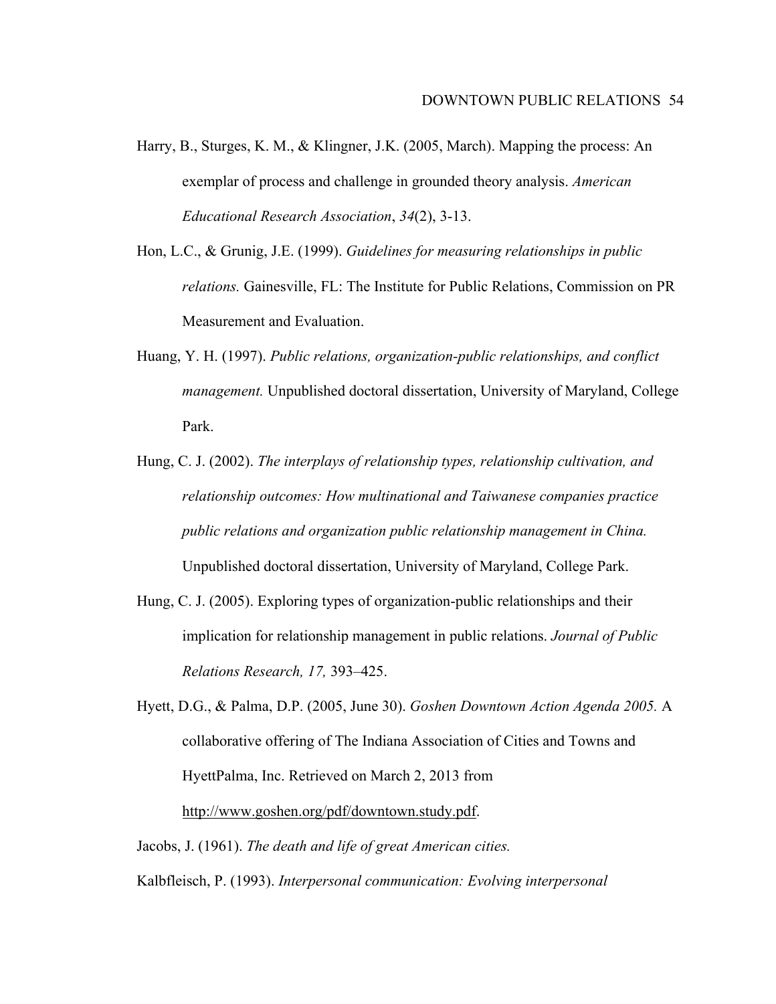- Harry, B., Sturges, K. M., & Klingner, J.K. (2005, March). Mapping the process: An exemplar of process and challenge in grounded theory analysis. *American Educational Research Association*, *34*(2), 3-13.
- Hon, L.C., & Grunig, J.E. (1999). *Guidelines for measuring relationships in public relations.* Gainesville, FL: The Institute for Public Relations, Commission on PR Measurement and Evaluation.
- Huang, Y. H. (1997). *Public relations, organization-public relationships, and conflict management.* Unpublished doctoral dissertation, University of Maryland, College Park.
- Hung, C. J. (2002). *The interplays of relationship types, relationship cultivation, and relationship outcomes: How multinational and Taiwanese companies practice public relations and organization public relationship management in China.*  Unpublished doctoral dissertation, University of Maryland, College Park.
- Hung, C. J. (2005). Exploring types of organization-public relationships and their implication for relationship management in public relations. *Journal of Public Relations Research, 17,* 393–425.
- Hyett, D.G., & Palma, D.P. (2005, June 30). *Goshen Downtown Action Agenda 2005.* A collaborative offering of The Indiana Association of Cities and Towns and HyettPalma, Inc. Retrieved on March 2, 2013 from http://www.goshen.org/pdf/downtown.study.pdf.
- Jacobs, J. (1961). *The death and life of great American cities.* Kalbfleisch, P. (1993). *Interpersonal communication: Evolving interpersonal*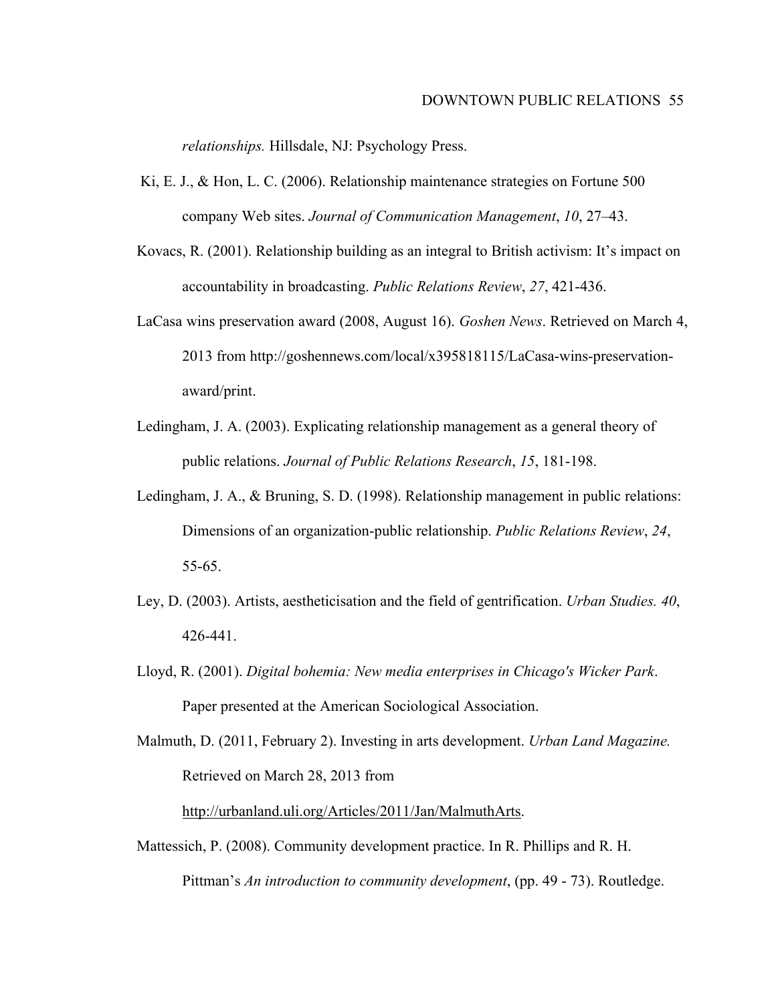*relationships.* Hillsdale, NJ: Psychology Press.

- Ki, E. J., & Hon, L. C. (2006). Relationship maintenance strategies on Fortune 500 company Web sites. *Journal of Communication Management*, *10*, 27–43.
- Kovacs, R. (2001). Relationship building as an integral to British activism: It's impact on accountability in broadcasting. *Public Relations Review*, *27*, 421-436.
- LaCasa wins preservation award (2008, August 16). *Goshen News*. Retrieved on March 4, 2013 from http://goshennews.com/local/x395818115/LaCasa-wins-preservationaward/print.
- Ledingham, J. A. (2003). Explicating relationship management as a general theory of public relations. *Journal of Public Relations Research*, *15*, 181-198.
- Ledingham, J. A., & Bruning, S. D. (1998). Relationship management in public relations: Dimensions of an organization-public relationship. *Public Relations Review*, *24*, 55-65.
- Ley, D. (2003). Artists, aestheticisation and the field of gentrification. *Urban Studies. 40*, 426-441.
- Lloyd, R. (2001). *Digital bohemia: New media enterprises in Chicago's Wicker Park*. Paper presented at the American Sociological Association.

Malmuth, D. (2011, February 2). Investing in arts development. *Urban Land Magazine.* Retrieved on March 28, 2013 from

## http://urbanland.uli.org/Articles/2011/Jan/MalmuthArts.

Mattessich, P. (2008). Community development practice. In R. Phillips and R. H. Pittman's *An introduction to community development*, (pp. 49 - 73). Routledge.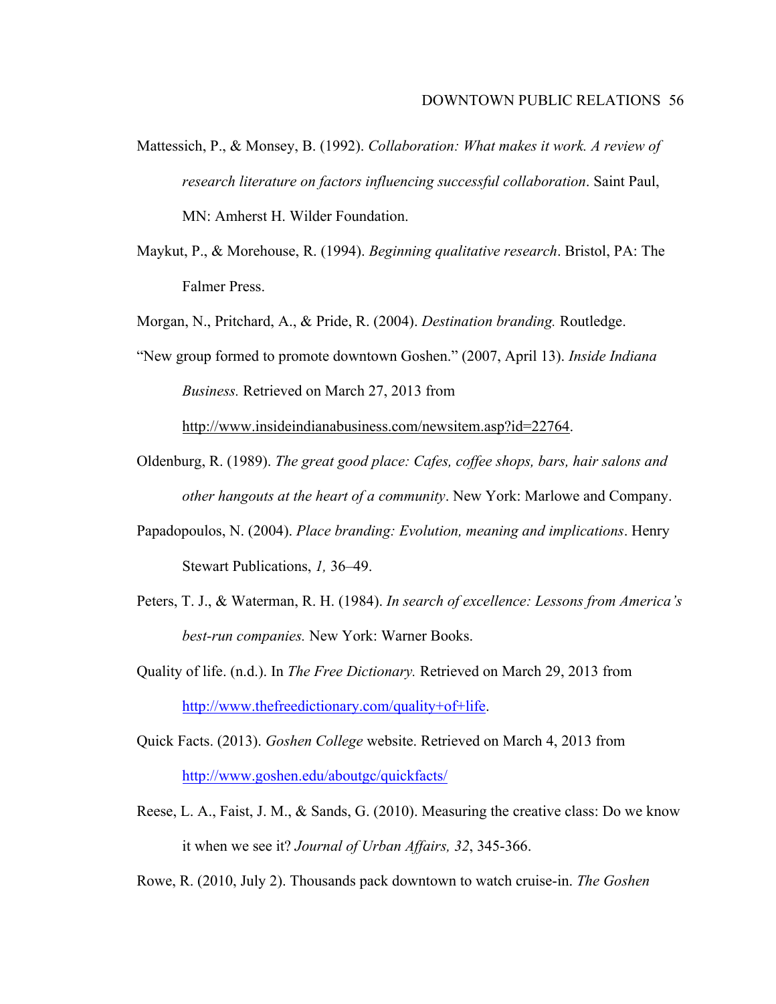- Mattessich, P., & Monsey, B. (1992). *Collaboration: What makes it work. A review of research literature on factors influencing successful collaboration*. Saint Paul, MN: Amherst H. Wilder Foundation.
- Maykut, P., & Morehouse, R. (1994). *Beginning qualitative research*. Bristol, PA: The Falmer Press.

Morgan, N., Pritchard, A., & Pride, R. (2004). *Destination branding.* Routledge.

"New group formed to promote downtown Goshen." (2007, April 13). *Inside Indiana Business.* Retrieved on March 27, 2013 from

http://www.insideindianabusiness.com/newsitem.asp?id=22764.

- Oldenburg, R. (1989). *The great good place: Cafes, coffee shops, bars, hair salons and other hangouts at the heart of a community*. New York: Marlowe and Company.
- Papadopoulos, N. (2004). *Place branding: Evolution, meaning and implications*. Henry Stewart Publications, *1,* 36–49.
- Peters, T. J., & Waterman, R. H. (1984). *In search of excellence: Lessons from America's best-run companies.* New York: Warner Books.
- Quality of life. (n.d.). In *The Free Dictionary.* Retrieved on March 29, 2013 from http://www.thefreedictionary.com/quality+of+life.
- Quick Facts. (2013). *Goshen College* website. Retrieved on March 4, 2013 from http://www.goshen.edu/aboutgc/quickfacts/
- Reese, L. A., Faist, J. M., & Sands, G. (2010). Measuring the creative class: Do we know it when we see it? *Journal of Urban Affairs, 32*, 345-366.
- Rowe, R. (2010, July 2). Thousands pack downtown to watch cruise-in. *The Goshen*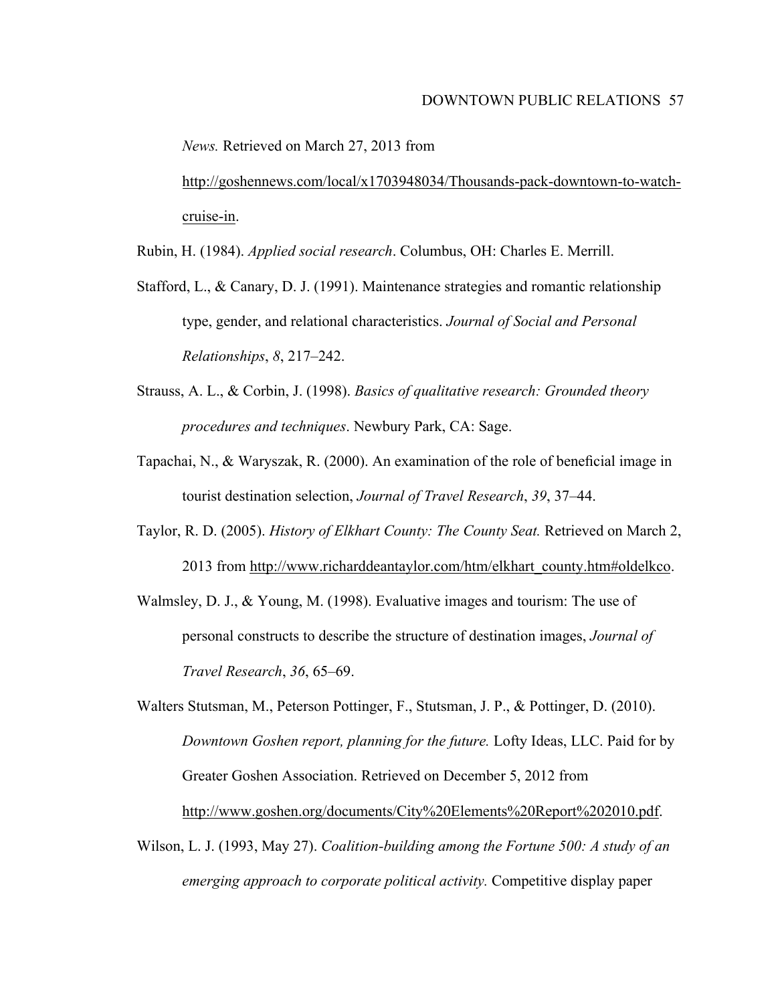*News.* Retrieved on March 27, 2013 from

http://goshennews.com/local/x1703948034/Thousands-pack-downtown-to-watchcruise-in.

Rubin, H. (1984). *Applied social research*. Columbus, OH: Charles E. Merrill.

- Stafford, L., & Canary, D. J. (1991). Maintenance strategies and romantic relationship type, gender, and relational characteristics. *Journal of Social and Personal Relationships*, *8*, 217–242.
- Strauss, A. L., & Corbin, J. (1998). *Basics of qualitative research: Grounded theory procedures and techniques*. Newbury Park, CA: Sage.
- Tapachai, N., & Waryszak, R. (2000). An examination of the role of beneficial image in tourist destination selection, *Journal of Travel Research*, *39*, 37–44.
- Taylor, R. D. (2005). *History of Elkhart County: The County Seat.* Retrieved on March 2, 2013 from http://www.richarddeantaylor.com/htm/elkhart\_county.htm#oldelkco.
- Walmsley, D. J., & Young, M. (1998). Evaluative images and tourism: The use of personal constructs to describe the structure of destination images, *Journal of Travel Research*, *36*, 65–69.

Walters Stutsman, M., Peterson Pottinger, F., Stutsman, J. P., & Pottinger, D. (2010). *Downtown Goshen report, planning for the future.* Lofty Ideas, LLC. Paid for by Greater Goshen Association. Retrieved on December 5, 2012 from http://www.goshen.org/documents/City%20Elements%20Report%202010.pdf.

Wilson, L. J. (1993, May 27). *Coalition-building among the Fortune 500: A study of an emerging approach to corporate political activity.* Competitive display paper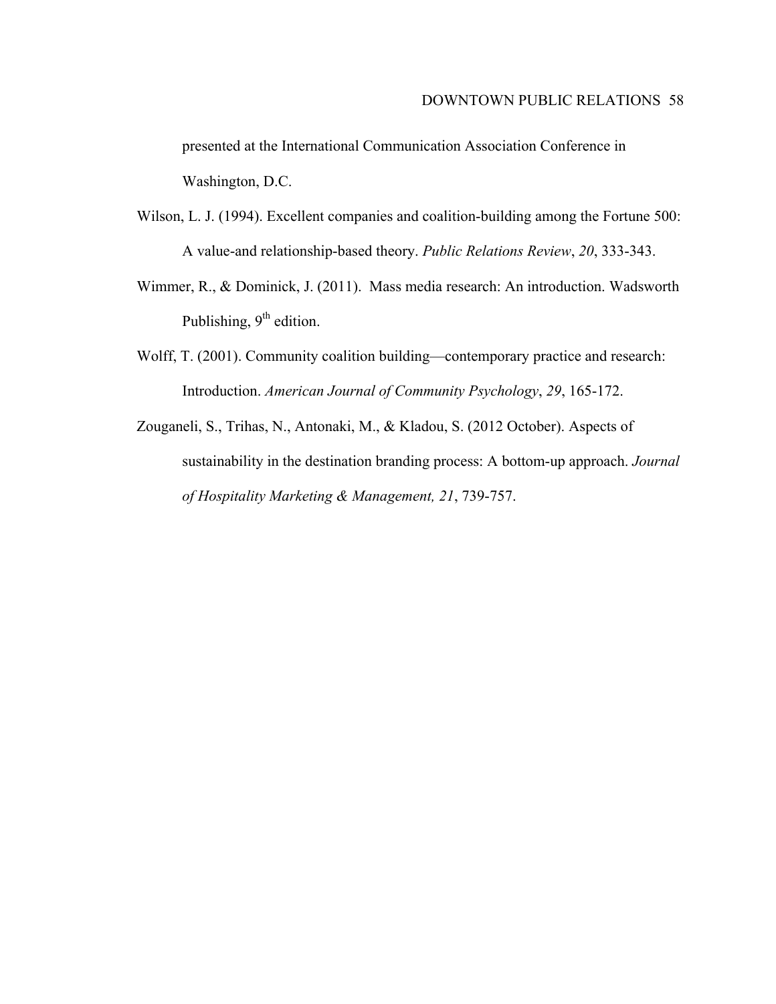presented at the International Communication Association Conference in Washington, D.C.

- Wilson, L. J. (1994). Excellent companies and coalition-building among the Fortune 500: A value-and relationship-based theory. *Public Relations Review*, *20*, 333-343.
- Wimmer, R., & Dominick, J. (2011). Mass media research: An introduction. Wadsworth Publishing,  $9<sup>th</sup>$  edition.
- Wolff, T. (2001). Community coalition building—contemporary practice and research: Introduction. *American Journal of Community Psychology*, *29*, 165-172.
- Zouganeli, S., Trihas, N., Antonaki, M., & Kladou, S. (2012 October). Aspects of sustainability in the destination branding process: A bottom-up approach. *Journal of Hospitality Marketing & Management, 21*, 739-757.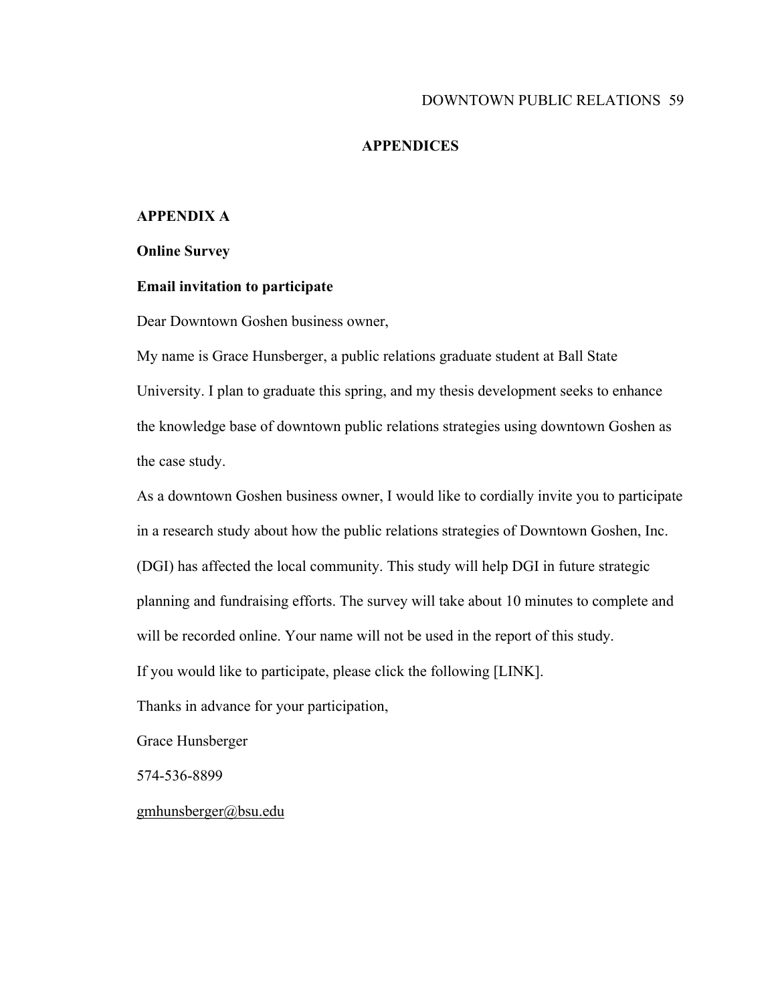## **APPENDICES**

## **APPENDIX A**

#### **Online Survey**

## **Email invitation to participate**

Dear Downtown Goshen business owner,

My name is Grace Hunsberger, a public relations graduate student at Ball State University. I plan to graduate this spring, and my thesis development seeks to enhance the knowledge base of downtown public relations strategies using downtown Goshen as the case study.

As a downtown Goshen business owner, I would like to cordially invite you to participate in a research study about how the public relations strategies of Downtown Goshen, Inc. (DGI) has affected the local community. This study will help DGI in future strategic planning and fundraising efforts. The survey will take about 10 minutes to complete and

will be recorded online. Your name will not be used in the report of this study.

If you would like to participate, please click the following [LINK].

Thanks in advance for your participation,

Grace Hunsberger

574-536-8899

gmhunsberger@bsu.edu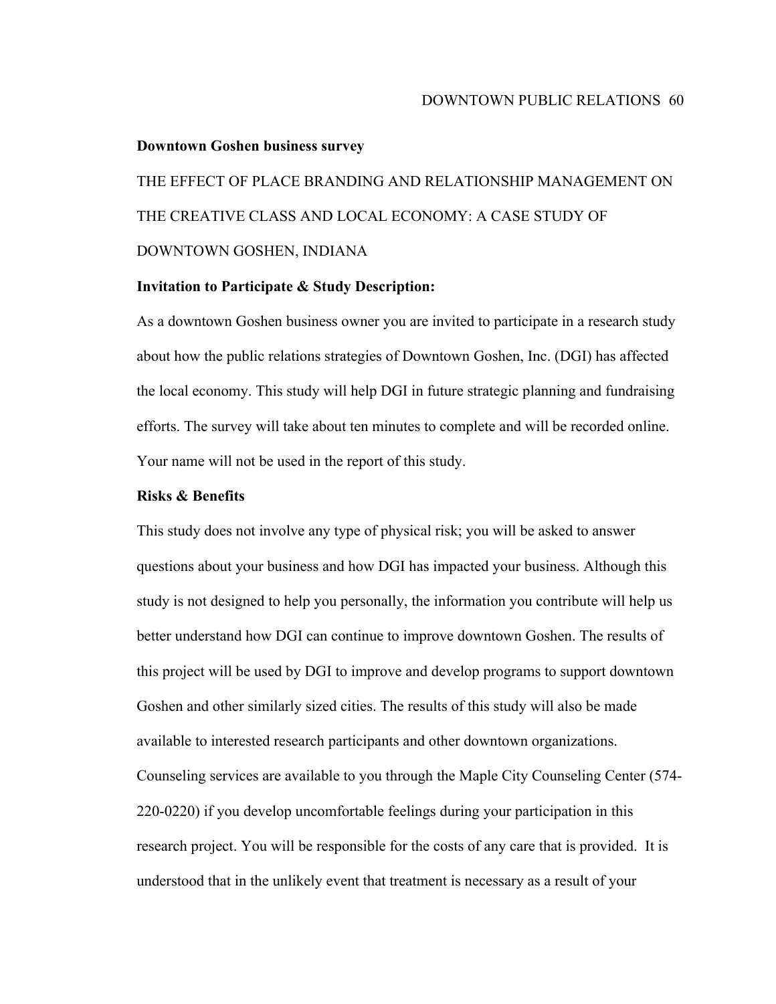#### **Downtown Goshen business survey**

THE EFFECT OF PLACE BRANDING AND RELATIONSHIP MANAGEMENT ON THE CREATIVE CLASS AND LOCAL ECONOMY: A CASE STUDY OF DOWNTOWN GOSHEN, INDIANA

#### **Invitation to Participate & Study Description:**

As a downtown Goshen business owner you are invited to participate in a research study about how the public relations strategies of Downtown Goshen, Inc. (DGI) has affected the local economy. This study will help DGI in future strategic planning and fundraising efforts. The survey will take about ten minutes to complete and will be recorded online. Your name will not be used in the report of this study.

## **Risks & Benefits**

This study does not involve any type of physical risk; you will be asked to answer questions about your business and how DGI has impacted your business. Although this study is not designed to help you personally, the information you contribute will help us better understand how DGI can continue to improve downtown Goshen. The results of this project will be used by DGI to improve and develop programs to support downtown Goshen and other similarly sized cities. The results of this study will also be made available to interested research participants and other downtown organizations. Counseling services are available to you through the Maple City Counseling Center (574- 220-0220) if you develop uncomfortable feelings during your participation in this research project. You will be responsible for the costs of any care that is provided. It is understood that in the unlikely event that treatment is necessary as a result of your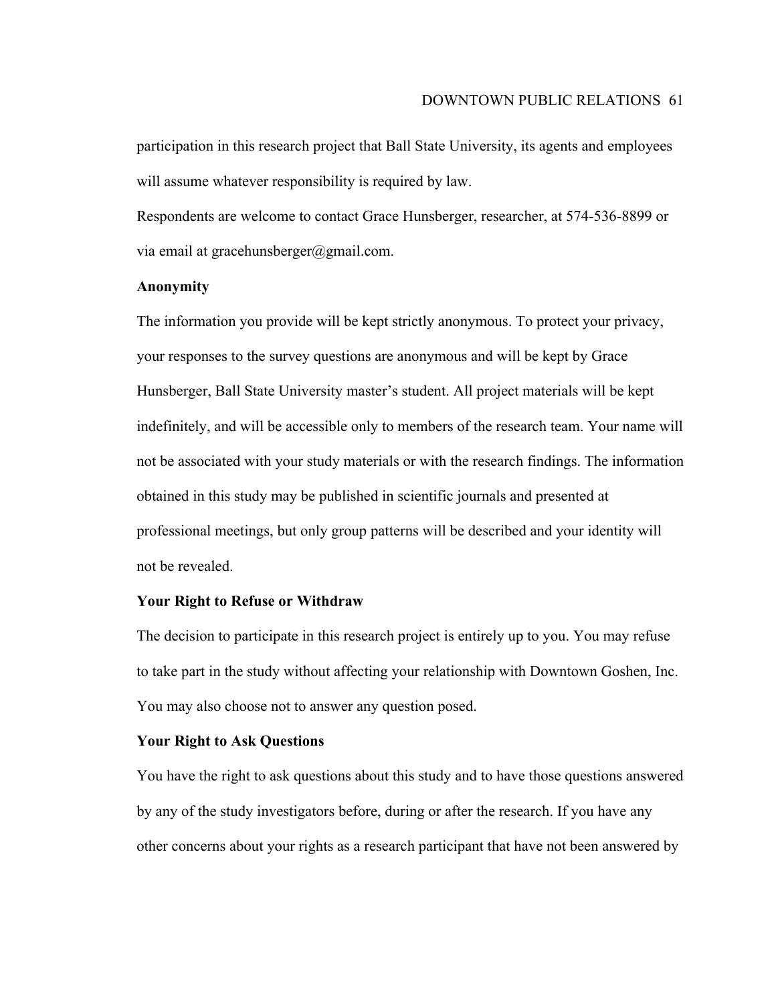participation in this research project that Ball State University, its agents and employees will assume whatever responsibility is required by law.

Respondents are welcome to contact Grace Hunsberger, researcher, at 574-536-8899 or via email at gracehunsberger@gmail.com.

# **Anonymity**

The information you provide will be kept strictly anonymous. To protect your privacy, your responses to the survey questions are anonymous and will be kept by Grace Hunsberger, Ball State University master's student. All project materials will be kept indefinitely, and will be accessible only to members of the research team. Your name will not be associated with your study materials or with the research findings. The information obtained in this study may be published in scientific journals and presented at professional meetings, but only group patterns will be described and your identity will not be revealed.

## **Your Right to Refuse or Withdraw**

The decision to participate in this research project is entirely up to you. You may refuse to take part in the study without affecting your relationship with Downtown Goshen, Inc. You may also choose not to answer any question posed.

## **Your Right to Ask Questions**

You have the right to ask questions about this study and to have those questions answered by any of the study investigators before, during or after the research. If you have any other concerns about your rights as a research participant that have not been answered by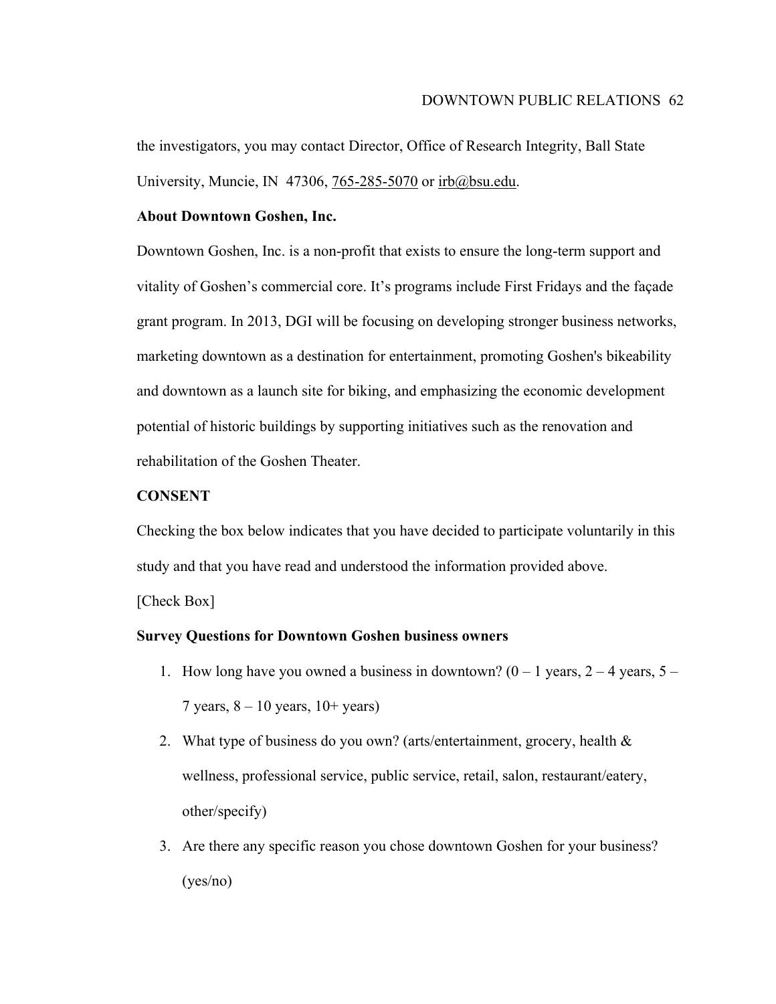the investigators, you may contact Director, Office of Research Integrity, Ball State University, Muncie, IN 47306, 765-285-5070 or irb@bsu.edu.

## **About Downtown Goshen, Inc.**

Downtown Goshen, Inc. is a non-profit that exists to ensure the long-term support and vitality of Goshen's commercial core. It's programs include First Fridays and the façade grant program. In 2013, DGI will be focusing on developing stronger business networks, marketing downtown as a destination for entertainment, promoting Goshen's bikeability and downtown as a launch site for biking, and emphasizing the economic development potential of historic buildings by supporting initiatives such as the renovation and rehabilitation of the Goshen Theater.

## **CONSENT**

Checking the box below indicates that you have decided to participate voluntarily in this study and that you have read and understood the information provided above.

[Check Box]

## **Survey Questions for Downtown Goshen business owners**

- 1. How long have you owned a business in downtown?  $(0 1$  years,  $2 4$  years,  $5 -$ 7 years,  $8 - 10$  years,  $10 + \text{years}$ )
- 2. What type of business do you own? (arts/entertainment, grocery, health & wellness, professional service, public service, retail, salon, restaurant/eatery, other/specify)
- 3. Are there any specific reason you chose downtown Goshen for your business? (yes/no)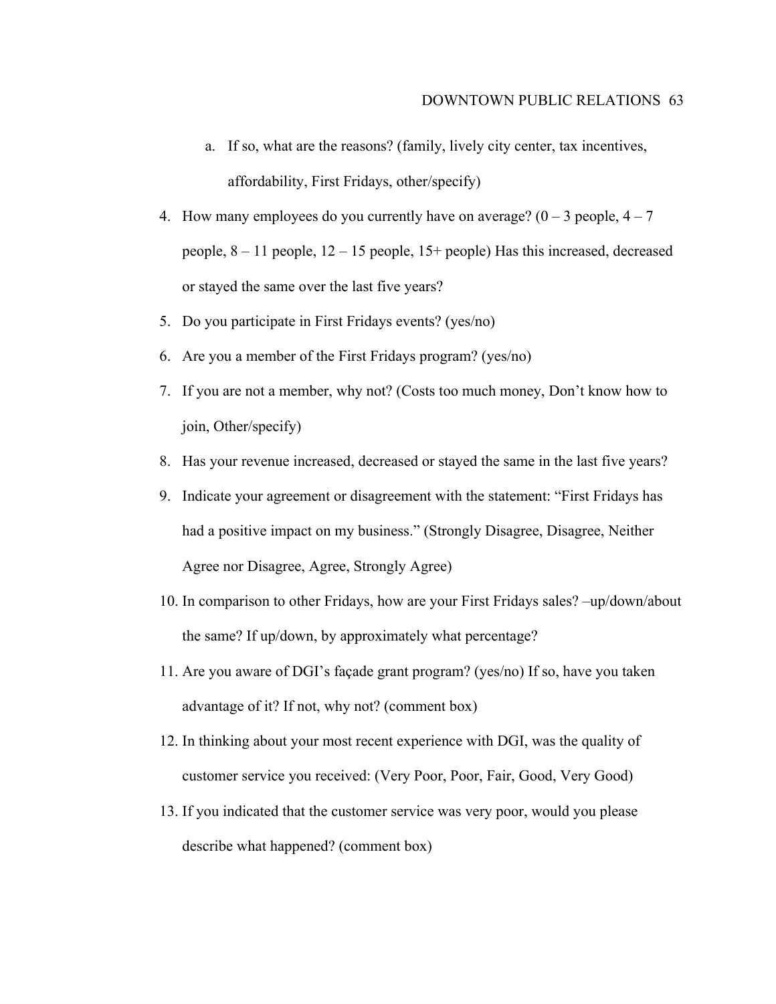- a. If so, what are the reasons? (family, lively city center, tax incentives, affordability, First Fridays, other/specify)
- 4. How many employees do you currently have on average?  $(0 3$  people,  $4 7$ people, 8 – 11 people, 12 – 15 people, 15+ people) Has this increased, decreased or stayed the same over the last five years?
- 5. Do you participate in First Fridays events? (yes/no)
- 6. Are you a member of the First Fridays program? (yes/no)
- 7. If you are not a member, why not? (Costs too much money, Don't know how to join, Other/specify)
- 8. Has your revenue increased, decreased or stayed the same in the last five years?
- 9. Indicate your agreement or disagreement with the statement: "First Fridays has had a positive impact on my business." (Strongly Disagree, Disagree, Neither Agree nor Disagree, Agree, Strongly Agree)
- 10. In comparison to other Fridays, how are your First Fridays sales? –up/down/about the same? If up/down, by approximately what percentage?
- 11. Are you aware of DGI's façade grant program? (yes/no) If so, have you taken advantage of it? If not, why not? (comment box)
- 12. In thinking about your most recent experience with DGI, was the quality of customer service you received: (Very Poor, Poor, Fair, Good, Very Good)
- 13. If you indicated that the customer service was very poor, would you please describe what happened? (comment box)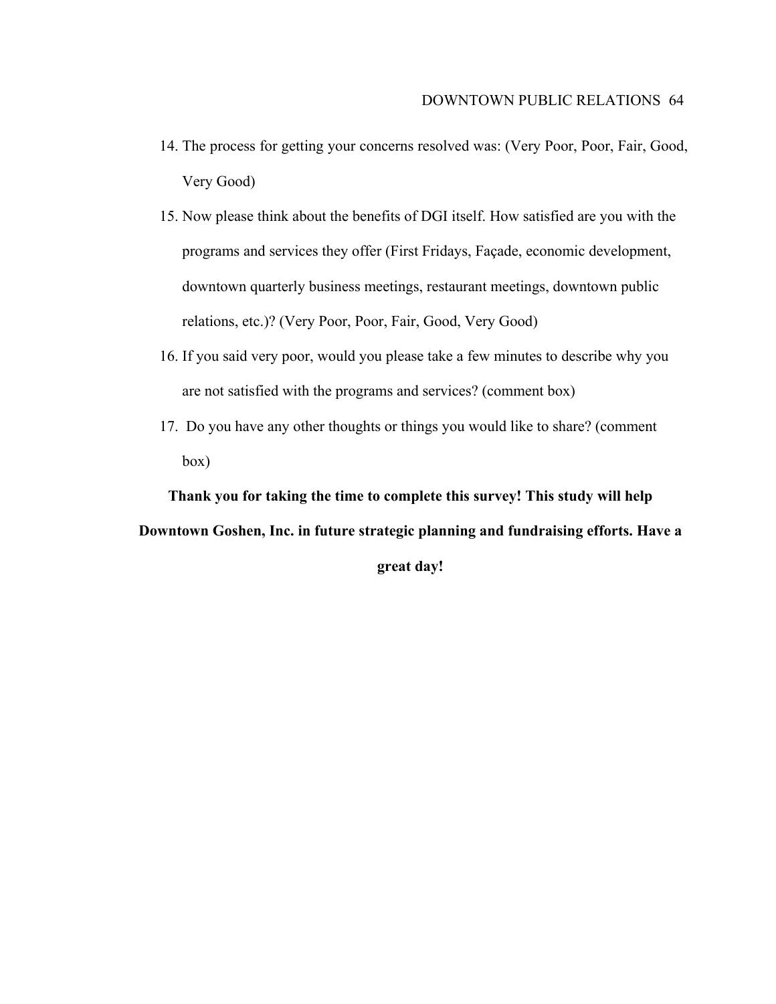- 14. The process for getting your concerns resolved was: (Very Poor, Poor, Fair, Good, Very Good)
- 15. Now please think about the benefits of DGI itself. How satisfied are you with the programs and services they offer (First Fridays, Façade, economic development, downtown quarterly business meetings, restaurant meetings, downtown public relations, etc.)? (Very Poor, Poor, Fair, Good, Very Good)
- 16. If you said very poor, would you please take a few minutes to describe why you are not satisfied with the programs and services? (comment box)
- 17. Do you have any other thoughts or things you would like to share? (comment box)

**Thank you for taking the time to complete this survey! This study will help Downtown Goshen, Inc. in future strategic planning and fundraising efforts. Have a great day!**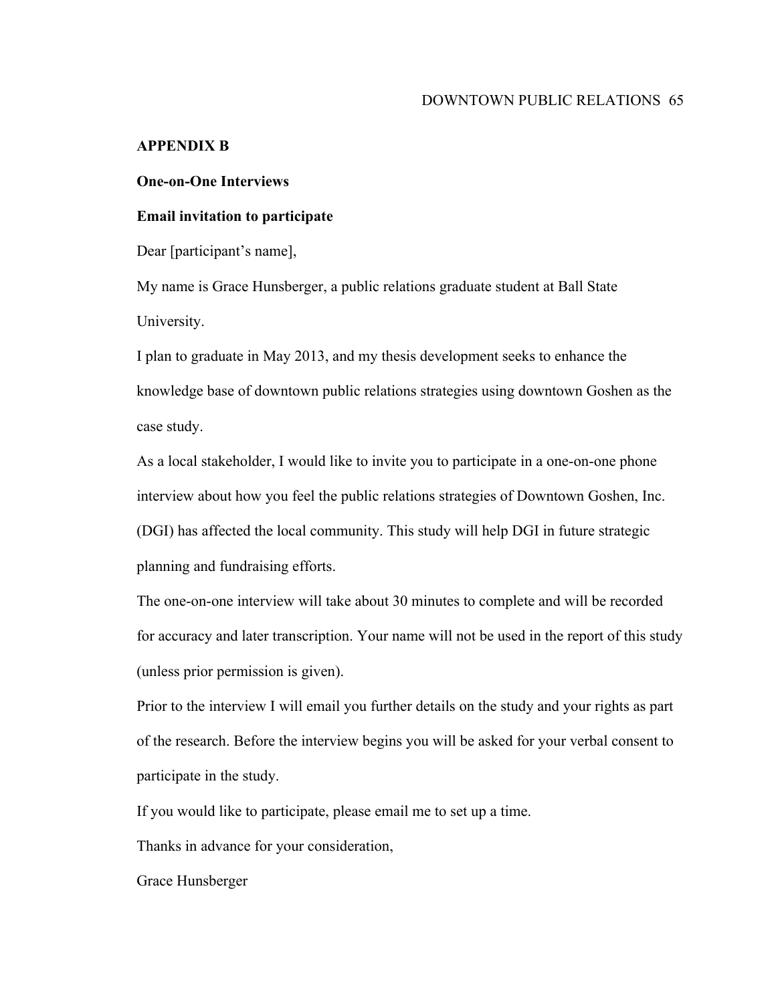# **APPENDIX B**

# **One-on-One Interviews**

# **Email invitation to participate**

Dear [participant's name],

My name is Grace Hunsberger, a public relations graduate student at Ball State University.

I plan to graduate in May 2013, and my thesis development seeks to enhance the knowledge base of downtown public relations strategies using downtown Goshen as the case study.

As a local stakeholder, I would like to invite you to participate in a one-on-one phone interview about how you feel the public relations strategies of Downtown Goshen, Inc. (DGI) has affected the local community. This study will help DGI in future strategic planning and fundraising efforts.

The one-on-one interview will take about 30 minutes to complete and will be recorded for accuracy and later transcription. Your name will not be used in the report of this study (unless prior permission is given).

Prior to the interview I will email you further details on the study and your rights as part of the research. Before the interview begins you will be asked for your verbal consent to participate in the study.

If you would like to participate, please email me to set up a time.

Thanks in advance for your consideration,

Grace Hunsberger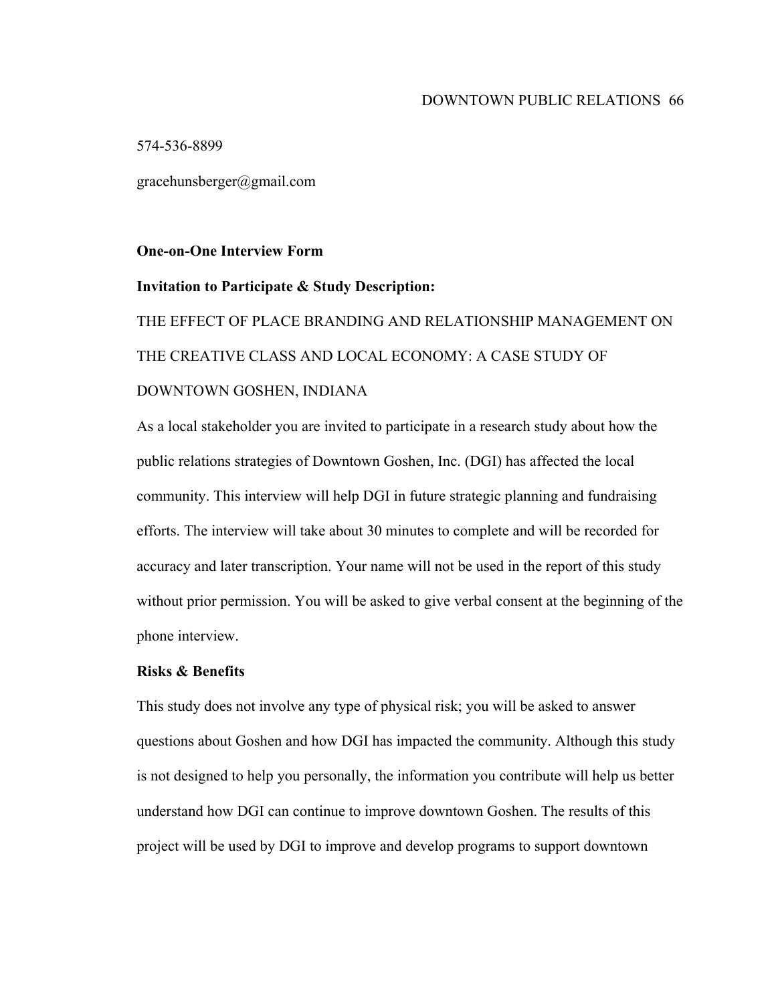574-536-8899

gracehunsberger@gmail.com

# **One-on-One Interview Form**

#### **Invitation to Participate & Study Description:**

THE EFFECT OF PLACE BRANDING AND RELATIONSHIP MANAGEMENT ON THE CREATIVE CLASS AND LOCAL ECONOMY: A CASE STUDY OF DOWNTOWN GOSHEN, INDIANA

As a local stakeholder you are invited to participate in a research study about how the public relations strategies of Downtown Goshen, Inc. (DGI) has affected the local community. This interview will help DGI in future strategic planning and fundraising efforts. The interview will take about 30 minutes to complete and will be recorded for accuracy and later transcription. Your name will not be used in the report of this study without prior permission. You will be asked to give verbal consent at the beginning of the phone interview.

# **Risks & Benefits**

This study does not involve any type of physical risk; you will be asked to answer questions about Goshen and how DGI has impacted the community. Although this study is not designed to help you personally, the information you contribute will help us better understand how DGI can continue to improve downtown Goshen. The results of this project will be used by DGI to improve and develop programs to support downtown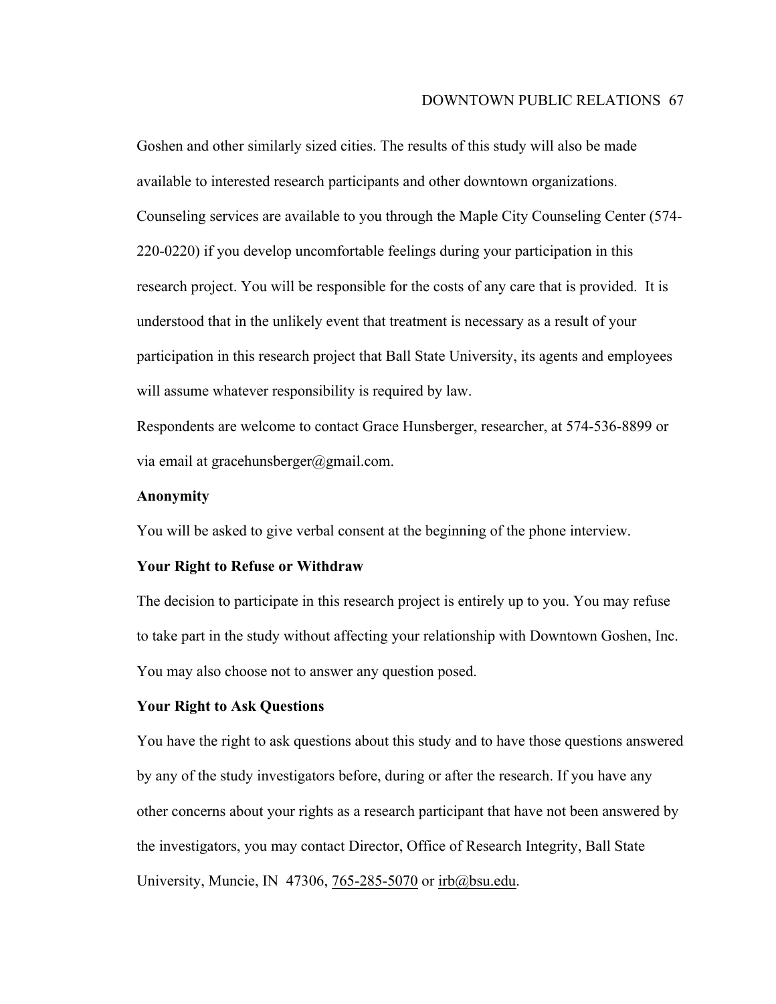#### DOWNTOWN PUBLIC RELATIONS 67

Goshen and other similarly sized cities. The results of this study will also be made available to interested research participants and other downtown organizations. Counseling services are available to you through the Maple City Counseling Center (574- 220-0220) if you develop uncomfortable feelings during your participation in this research project. You will be responsible for the costs of any care that is provided. It is understood that in the unlikely event that treatment is necessary as a result of your participation in this research project that Ball State University, its agents and employees will assume whatever responsibility is required by law.

Respondents are welcome to contact Grace Hunsberger, researcher, at 574-536-8899 or via email at gracehunsberger@gmail.com.

## **Anonymity**

You will be asked to give verbal consent at the beginning of the phone interview.

#### **Your Right to Refuse or Withdraw**

The decision to participate in this research project is entirely up to you. You may refuse to take part in the study without affecting your relationship with Downtown Goshen, Inc. You may also choose not to answer any question posed.

#### **Your Right to Ask Questions**

You have the right to ask questions about this study and to have those questions answered by any of the study investigators before, during or after the research. If you have any other concerns about your rights as a research participant that have not been answered by the investigators, you may contact Director, Office of Research Integrity, Ball State University, Muncie, IN 47306, 765-285-5070 or irb@bsu.edu.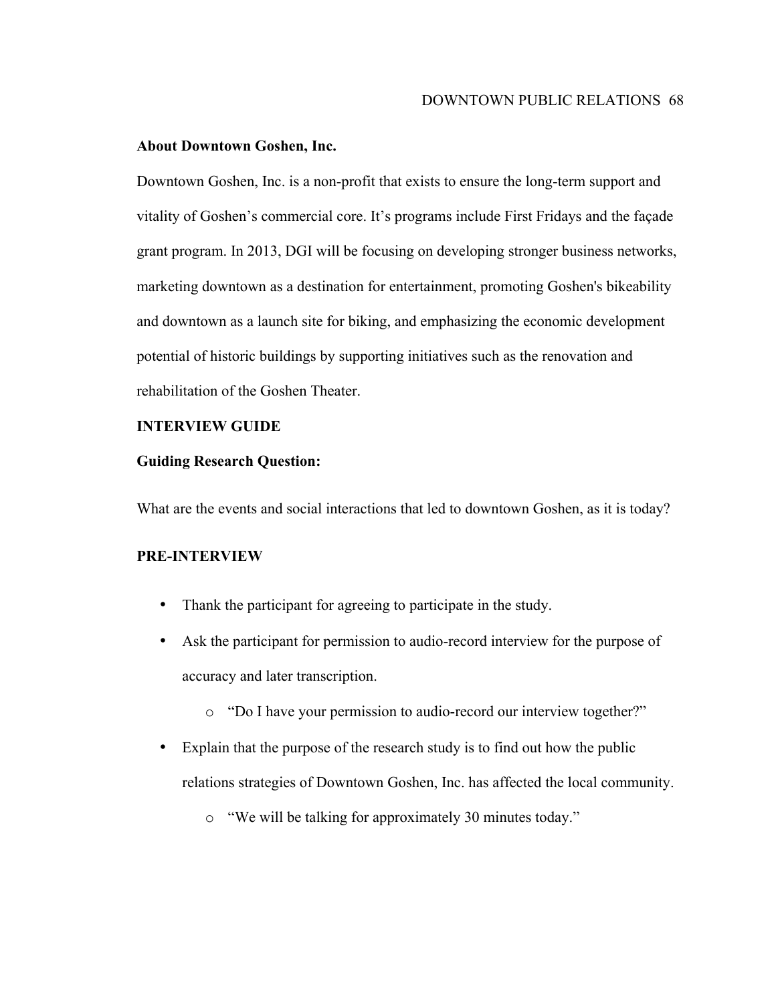## **About Downtown Goshen, Inc.**

Downtown Goshen, Inc. is a non-profit that exists to ensure the long-term support and vitality of Goshen's commercial core. It's programs include First Fridays and the façade grant program. In 2013, DGI will be focusing on developing stronger business networks, marketing downtown as a destination for entertainment, promoting Goshen's bikeability and downtown as a launch site for biking, and emphasizing the economic development potential of historic buildings by supporting initiatives such as the renovation and rehabilitation of the Goshen Theater.

# **INTERVIEW GUIDE**

## **Guiding Research Question:**

What are the events and social interactions that led to downtown Goshen, as it is today?

## **PRE-INTERVIEW**

- Thank the participant for agreeing to participate in the study.
- Ask the participant for permission to audio-record interview for the purpose of accuracy and later transcription.
	- o "Do I have your permission to audio-record our interview together?"
- Explain that the purpose of the research study is to find out how the public relations strategies of Downtown Goshen, Inc. has affected the local community.
	- o "We will be talking for approximately 30 minutes today."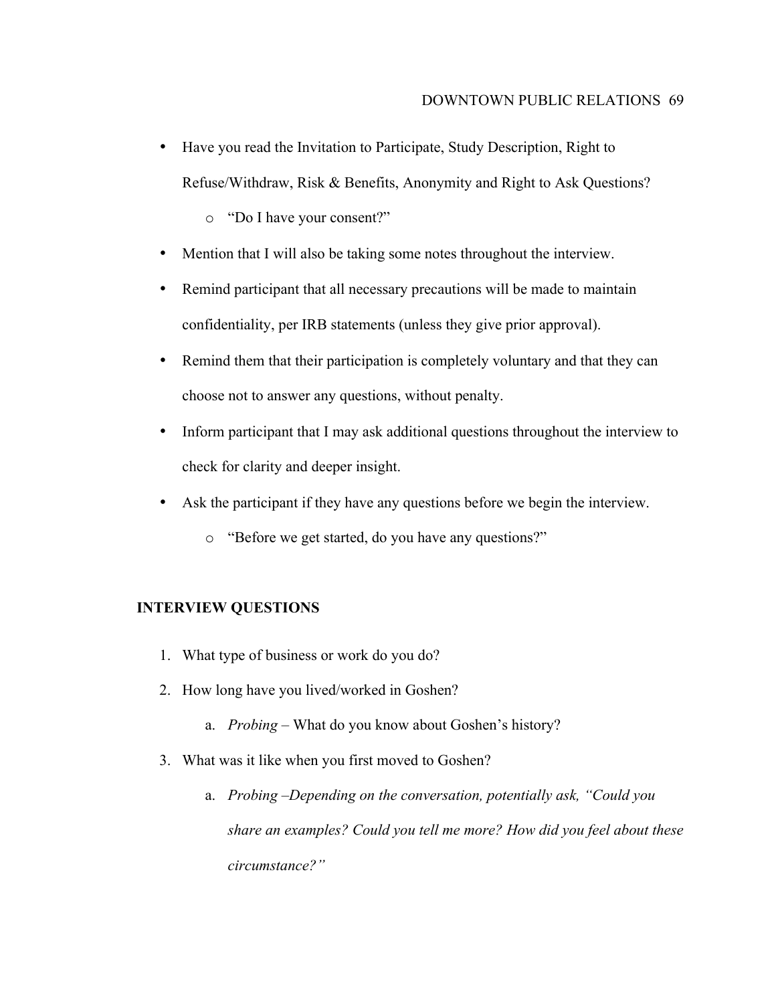• Have you read the Invitation to Participate, Study Description, Right to Refuse/Withdraw, Risk & Benefits, Anonymity and Right to Ask Questions?

o "Do I have your consent?"

- Mention that I will also be taking some notes throughout the interview.
- Remind participant that all necessary precautions will be made to maintain confidentiality, per IRB statements (unless they give prior approval).
- Remind them that their participation is completely voluntary and that they can choose not to answer any questions, without penalty.
- Inform participant that I may ask additional questions throughout the interview to check for clarity and deeper insight.
- Ask the participant if they have any questions before we begin the interview.
	- o "Before we get started, do you have any questions?"

# **INTERVIEW QUESTIONS**

- 1. What type of business or work do you do?
- 2. How long have you lived/worked in Goshen?
	- a. *Probing –* What do you know about Goshen's history?
- 3. What was it like when you first moved to Goshen?
	- a. *Probing –Depending on the conversation, potentially ask, "Could you share an examples? Could you tell me more? How did you feel about these circumstance?"*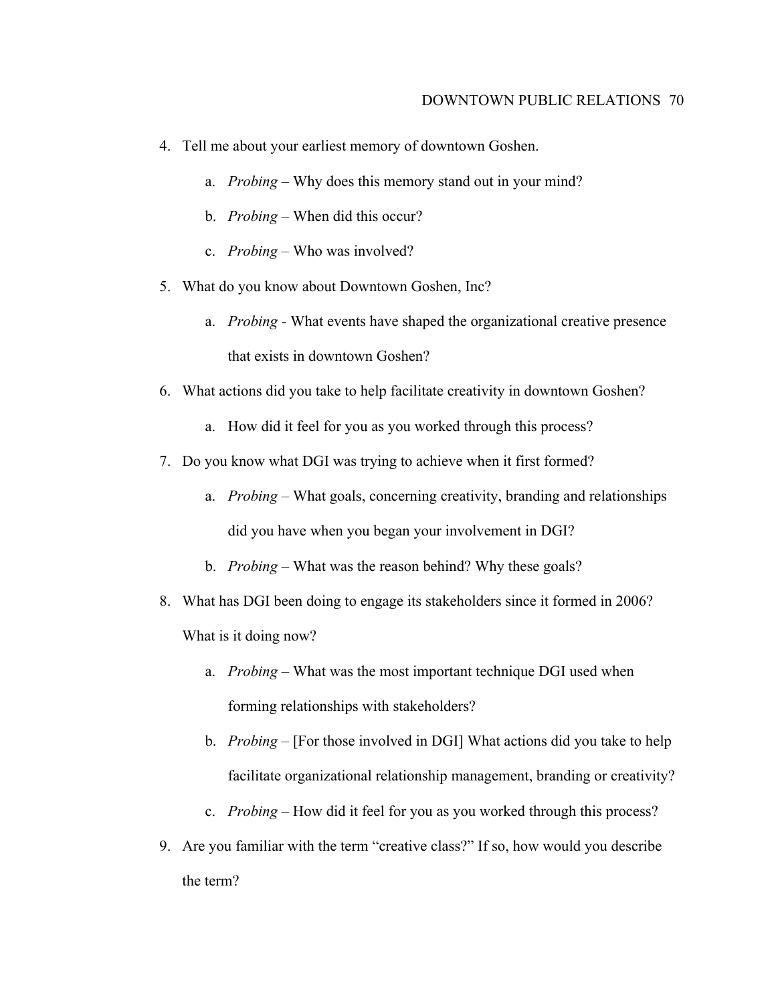- 4. Tell me about your earliest memory of downtown Goshen.
	- a. *Probing* Why does this memory stand out in your mind?
	- b. *Probing* When did this occur?
	- c. *Probing* Who was involved?
- 5. What do you know about Downtown Goshen, Inc?
	- a. *Probing -* What events have shaped the organizational creative presence that exists in downtown Goshen?
- 6. What actions did you take to help facilitate creativity in downtown Goshen?
	- a. How did it feel for you as you worked through this process?
- 7. Do you know what DGI was trying to achieve when it first formed?
	- a. *Probing –* What goals, concerning creativity, branding and relationships did you have when you began your involvement in DGI?
	- b. *Probing –* What was the reason behind? Why these goals?
- 8. What has DGI been doing to engage its stakeholders since it formed in 2006? What is it doing now?
	- a. *Probing –* What was the most important technique DGI used when forming relationships with stakeholders?
	- b. *Probing –* [For those involved in DGI] What actions did you take to help facilitate organizational relationship management, branding or creativity?
	- c. *Probing –* How did it feel for you as you worked through this process?
- 9. Are you familiar with the term "creative class?" If so, how would you describe the term?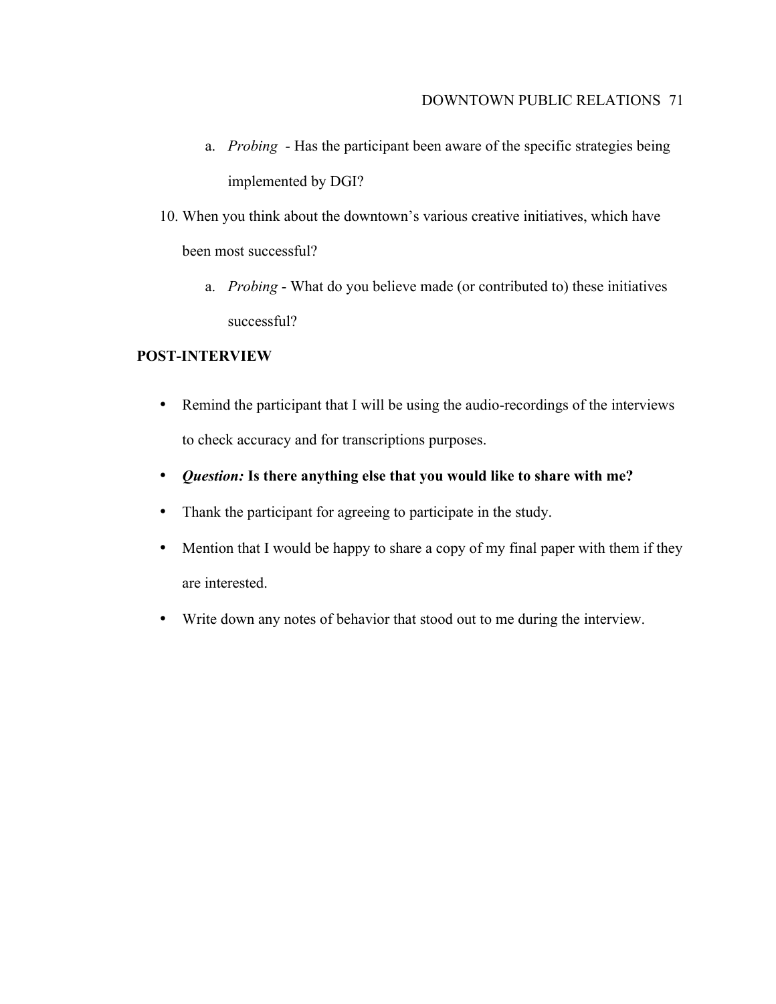- a. *Probing -* Has the participant been aware of the specific strategies being implemented by DGI?
- 10. When you think about the downtown's various creative initiatives, which have been most successful?
	- a. *Probing* What do you believe made (or contributed to) these initiatives successful?

# **POST-INTERVIEW**

- Remind the participant that I will be using the audio-recordings of the interviews to check accuracy and for transcriptions purposes.
- *Question:* **Is there anything else that you would like to share with me?**
- Thank the participant for agreeing to participate in the study.
- Mention that I would be happy to share a copy of my final paper with them if they are interested.
- Write down any notes of behavior that stood out to me during the interview.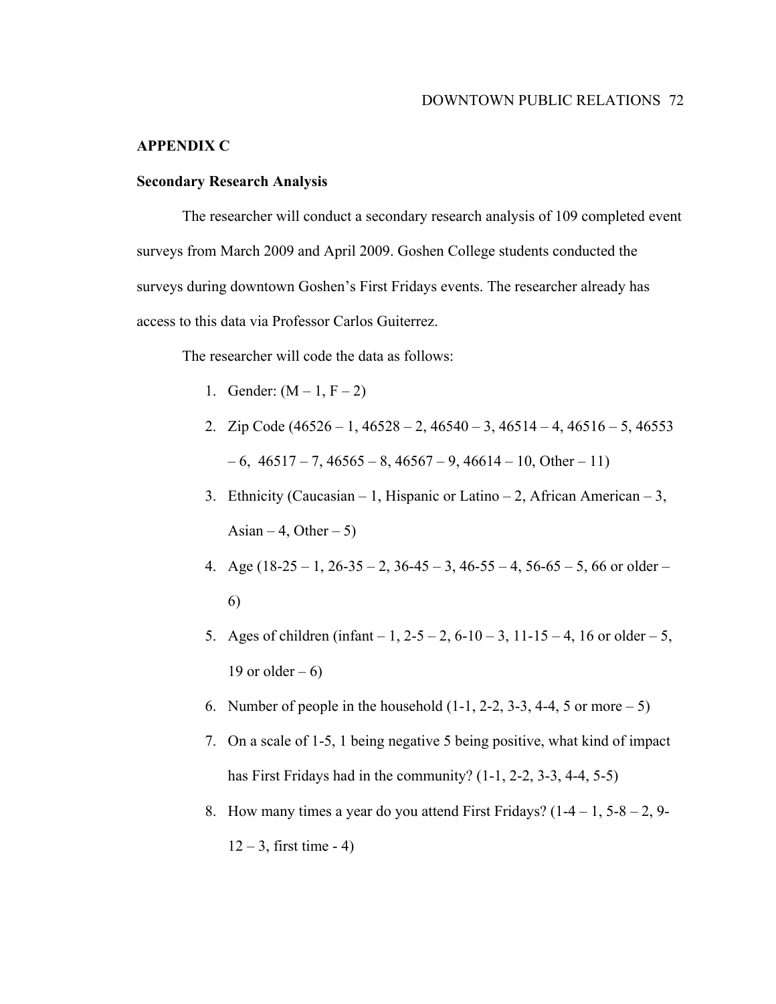# **APPENDIX C**

# **Secondary Research Analysis**

The researcher will conduct a secondary research analysis of 109 completed event surveys from March 2009 and April 2009. Goshen College students conducted the surveys during downtown Goshen's First Fridays events. The researcher already has access to this data via Professor Carlos Guiterrez.

The researcher will code the data as follows:

- 1. Gender:  $(M 1, F 2)$
- 2. Zip Code  $(46526 1, 46528 2, 46540 3, 46514 4, 46516 5, 46553$  $-6$ ,  $46517 - 7$ ,  $46565 - 8$ ,  $46567 - 9$ ,  $46614 - 10$ , Other – 11)
- 3. Ethnicity (Caucasian 1, Hispanic or Latino 2, African American 3, Asian – 4, Other – 5)
- 4. Age  $(18-25-1, 26-35-2, 36-45-3, 46-55-4, 56-65-5, 66$  or older 6)
- 5. Ages of children (infant 1, 2-5 2, 6-10 3, 11-15 4, 16 or older 5, 19 or older  $-6$ )
- 6. Number of people in the household  $(1-1, 2-2, 3-3, 4-4, 5)$  or more  $-5$ )
- 7. On a scale of 1-5, 1 being negative 5 being positive, what kind of impact has First Fridays had in the community?  $(1-1, 2-2, 3-3, 4-4, 5-5)$
- 8. How many times a year do you attend First Fridays?  $(1-4-1, 5-8-2, 9-1)$  $12 - 3$ , first time - 4)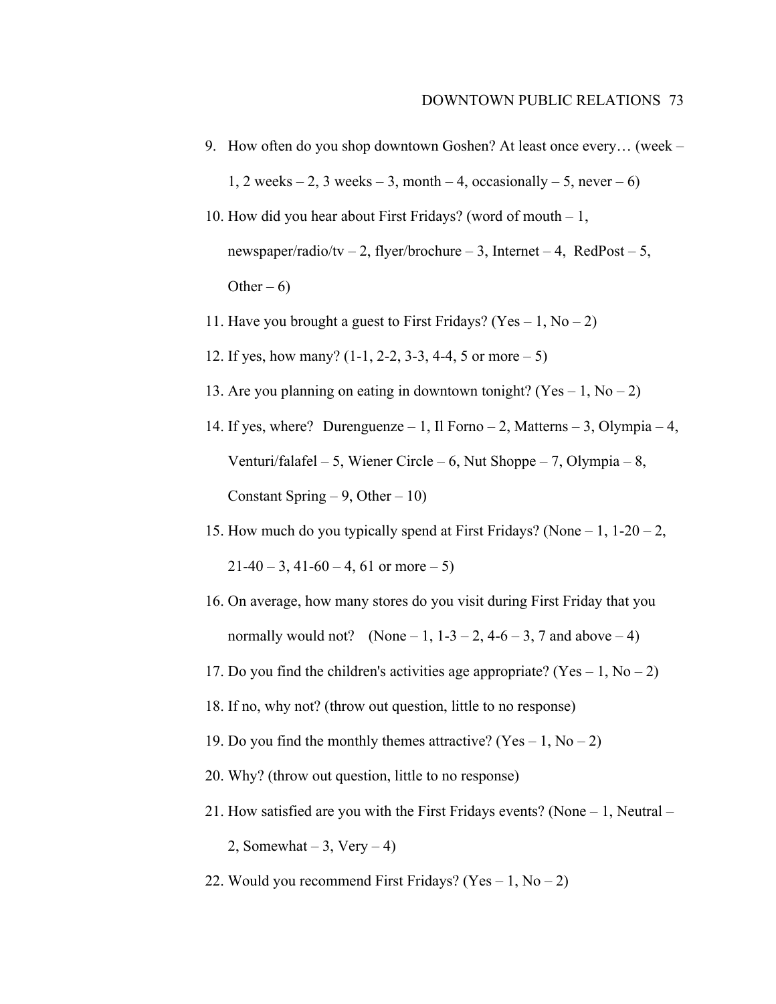- 9. How often do you shop downtown Goshen? At least once every… (week 1, 2 weeks – 2, 3 weeks – 3, month – 4, occasionally – 5, never – 6)
- 10. How did you hear about First Fridays? (word of mouth 1, newspaper/radio/tv – 2, flyer/brochure – 3, Internet – 4, RedPost – 5, Other –  $6$ )
- 11. Have you brought a guest to First Fridays? (Yes  $-1$ , No  $-2$ )
- 12. If yes, how many? (1-1, 2-2, 3-3, 4-4, 5 or more 5)
- 13. Are you planning on eating in downtown tonight? (Yes  $-1$ , No  $-2$ )
- 14. If yes, where? Durenguenze 1, Il Forno 2, Matterns 3, Olympia 4, Venturi/falafel – 5, Wiener Circle – 6, Nut Shoppe – 7, Olympia – 8, Constant Spring  $-9$ , Other  $-10$ )
- 15. How much do you typically spend at First Fridays? (None  $-1$ , 1-20  $-2$ ,  $21-40-3$ , 41-60 – 4, 61 or more – 5)
- 16. On average, how many stores do you visit during First Friday that you normally would not? (None  $-1$ ,  $1-3-2$ ,  $4-6-3$ , 7 and above  $-4$ )
- 17. Do you find the children's activities age appropriate? (Yes  $-1$ , No  $-2$ )
- 18. If no, why not? (throw out question, little to no response)
- 19. Do you find the monthly themes attractive? (Yes  $-1$ , No  $-2$ )
- 20. Why? (throw out question, little to no response)
- 21. How satisfied are you with the First Fridays events? (None 1, Neutral
	- 2, Somewhat  $-3$ , Very  $-4$ )
- 22. Would you recommend First Fridays? (Yes  $-1$ , No  $-2$ )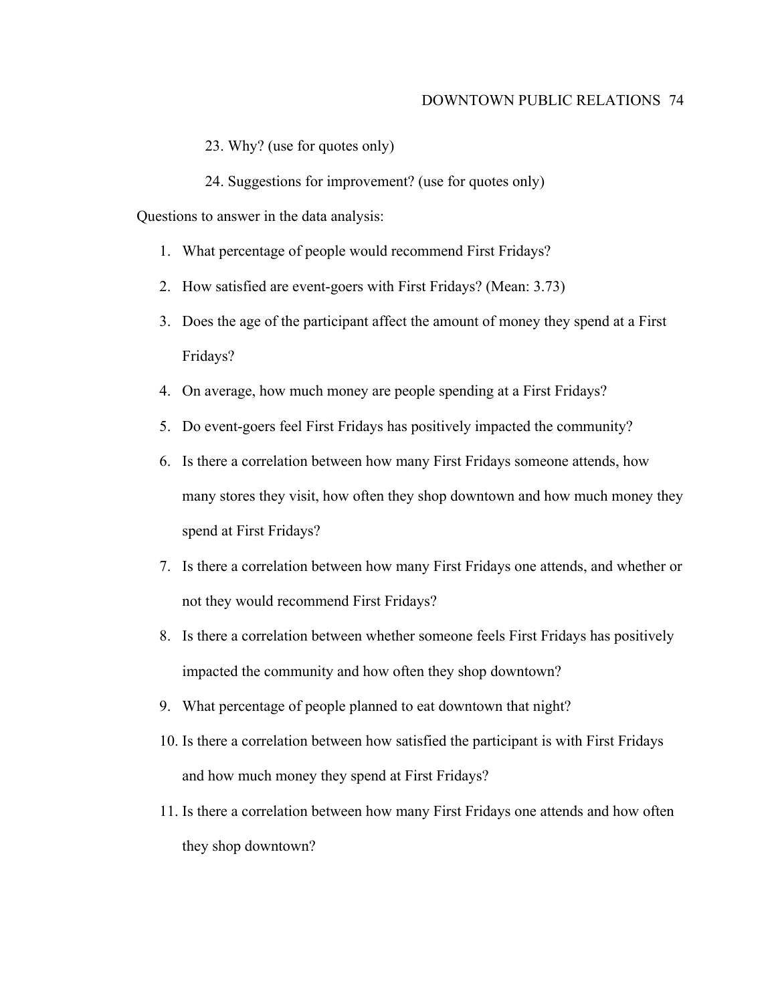#### DOWNTOWN PUBLIC RELATIONS 74

- 23. Why? (use for quotes only)
- 24. Suggestions for improvement? (use for quotes only)

Questions to answer in the data analysis:

- 1. What percentage of people would recommend First Fridays?
- 2. How satisfied are event-goers with First Fridays? (Mean: 3.73)
- 3. Does the age of the participant affect the amount of money they spend at a First Fridays?
- 4. On average, how much money are people spending at a First Fridays?
- 5. Do event-goers feel First Fridays has positively impacted the community?
- 6. Is there a correlation between how many First Fridays someone attends, how many stores they visit, how often they shop downtown and how much money they spend at First Fridays?
- 7. Is there a correlation between how many First Fridays one attends, and whether or not they would recommend First Fridays?
- 8. Is there a correlation between whether someone feels First Fridays has positively impacted the community and how often they shop downtown?
- 9. What percentage of people planned to eat downtown that night?
- 10. Is there a correlation between how satisfied the participant is with First Fridays and how much money they spend at First Fridays?
- 11. Is there a correlation between how many First Fridays one attends and how often they shop downtown?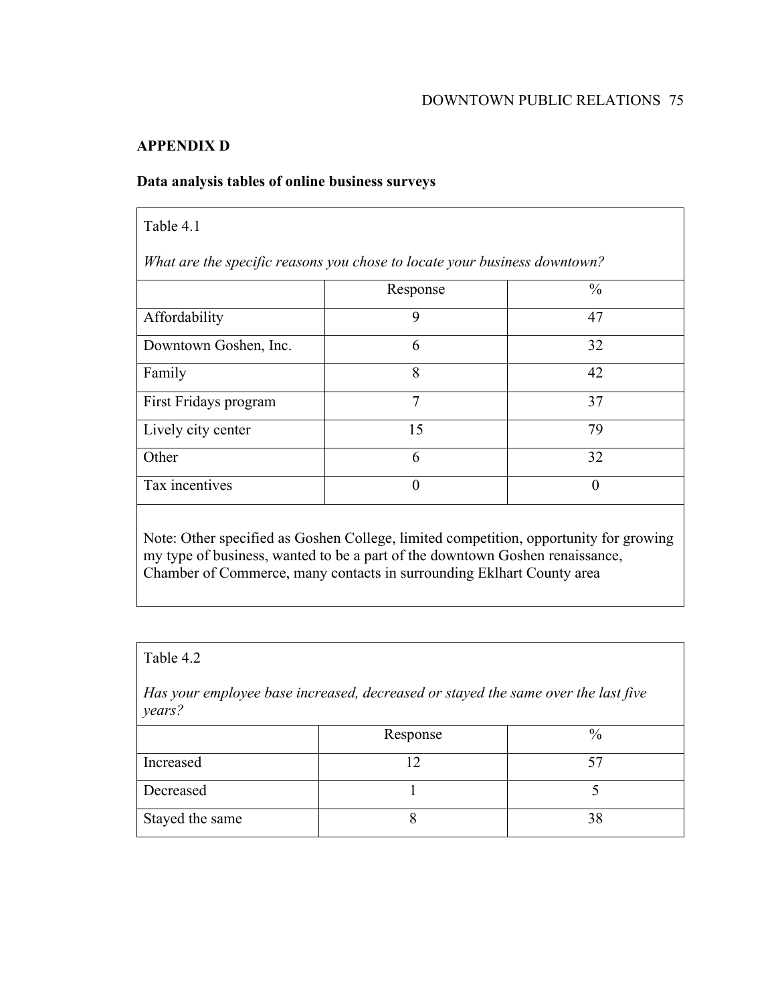## **APPENDIX D**

## **Data analysis tables of online business surveys**

| Table 4.1                                                                             |          |               |
|---------------------------------------------------------------------------------------|----------|---------------|
| What are the specific reasons you chose to locate your business downtown?             |          |               |
|                                                                                       | Response | $\frac{0}{0}$ |
| Affordability                                                                         | 9        | 47            |
| Downtown Goshen, Inc.                                                                 | 6        | 32            |
| Family                                                                                | 8        | 42            |
| First Fridays program                                                                 | 7        | 37            |
| Lively city center                                                                    | 15       | 79            |
| Other                                                                                 | 6        | 32            |
| Tax incentives                                                                        | $\theta$ | $\theta$      |
| Note: Other specified as Goshen College, limited competition, opportunity for growing |          |               |

Note: Other specified as Goshen College, limited competition, opportunity for growing my type of business, wanted to be a part of the downtown Goshen renaissance, Chamber of Commerce, many contacts in surrounding Eklhart County area

# Table 4.2

*Has your employee base increased, decreased or stayed the same over the last five years?*

|                 | Response | $\frac{0}{0}$ |
|-----------------|----------|---------------|
| Increased       |          |               |
| Decreased       |          |               |
| Stayed the same |          | 38            |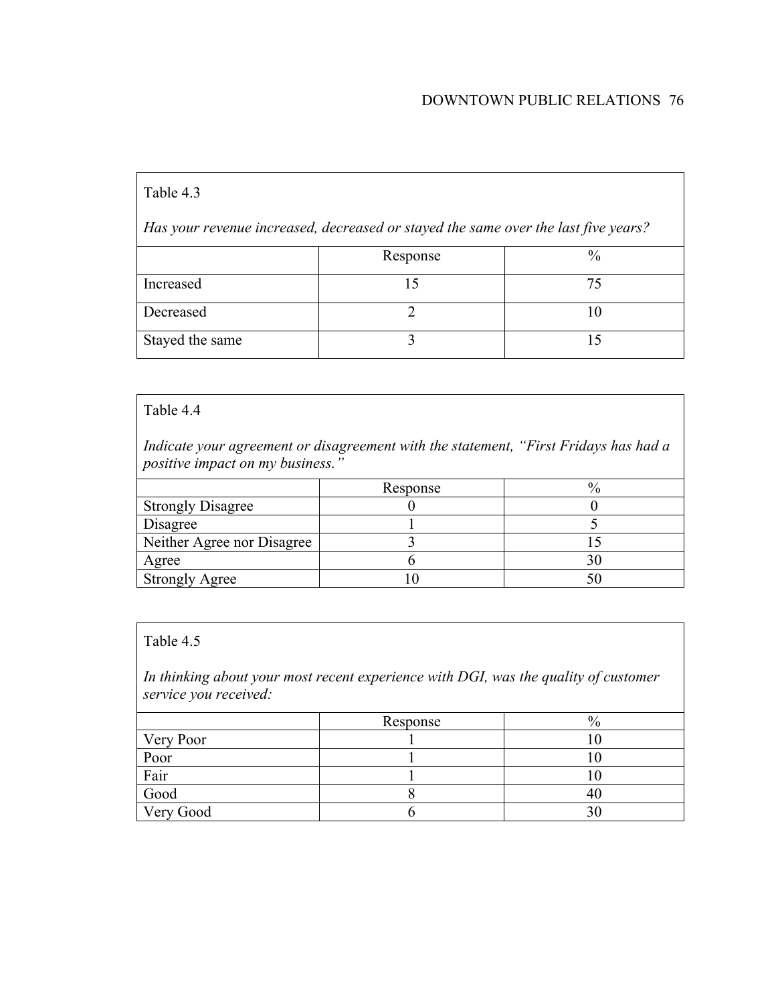## DOWNTOWN PUBLIC RELATIONS 76

### Table 4.3

*Has your revenue increased, decreased or stayed the same over the last five years?*

|                 | Response | $\frac{0}{0}$ |
|-----------------|----------|---------------|
| Increased       |          | 74            |
| Decreased       |          |               |
| Stayed the same |          |               |

#### Table 4.4

*Indicate your agreement or disagreement with the statement, "First Fridays has had a positive impact on my business."*

|                            | Response |  |
|----------------------------|----------|--|
| <b>Strongly Disagree</b>   |          |  |
| Disagree                   |          |  |
| Neither Agree nor Disagree |          |  |
| <u>Agree</u>               |          |  |
| <b>Strongly Agree</b>      |          |  |

#### Table 4.5

*In thinking about your most recent experience with DGI, was the quality of customer service you received:*

|           | Response | $\frac{0}{0}$ |
|-----------|----------|---------------|
| Very Poor |          |               |
| Poor      |          |               |
| Fair      |          |               |
| Good      |          | 4U            |
| Very Good |          |               |